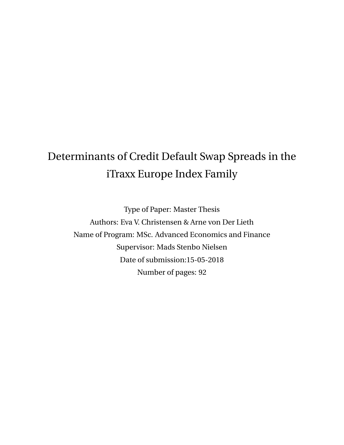# <span id="page-0-0"></span>Determinants of Credit Default Swap Spreads in the iTraxx Europe Index Family

Type of Paper: Master Thesis Authors: Eva V. Christensen & Arne von Der Lieth Name of Program: MSc. Advanced Economics and Finance Supervisor: Mads Stenbo Nielsen Date of submission:15-05-2018 Number of pages: 92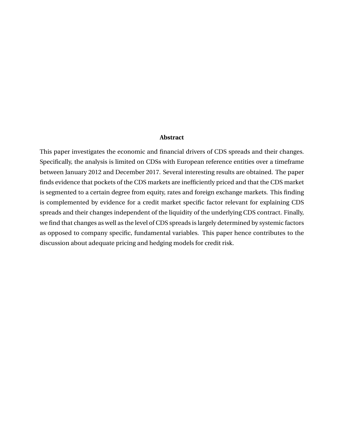#### **Abstract**

This paper investigates the economic and financial drivers of CDS spreads and their changes. Specifically, the analysis is limited on CDSs with European reference entities over a timeframe between January 2012 and December 2017. Several interesting results are obtained. The paper finds evidence that pockets of the CDS markets are inefficiently priced and that the CDS market is segmented to a certain degree from equity, rates and foreign exchange markets. This finding is complemented by evidence for a credit market specific factor relevant for explaining CDS spreads and their changes independent of the liquidity of the underlying CDS contract. Finally, we find that changes as well as the level of CDS spreads is largely determined by systemic factors as opposed to company specific, fundamental variables. This paper hence contributes to the discussion about adequate pricing and hedging models for credit risk.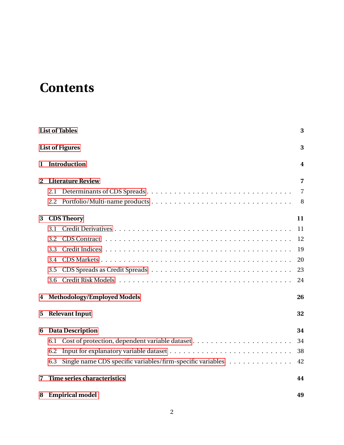# <span id="page-2-0"></span>**Contents**

| <b>List of Tables</b>  |                                                                   |                |  |  |
|------------------------|-------------------------------------------------------------------|----------------|--|--|
| <b>List of Figures</b> |                                                                   |                |  |  |
| Introduction<br>1      |                                                                   |                |  |  |
| 2                      | <b>Literature Review</b>                                          | 7              |  |  |
|                        | 2.1                                                               | $\overline{7}$ |  |  |
|                        | 2.2                                                               | 8              |  |  |
| 3                      | <b>CDS Theory</b>                                                 | 11             |  |  |
|                        | 3.1                                                               | 11             |  |  |
|                        | 3.2                                                               | 12             |  |  |
|                        | 3.3                                                               | 19             |  |  |
|                        | 3.4                                                               | 20             |  |  |
|                        | 3.5                                                               | 23             |  |  |
|                        | 3.6                                                               | 24             |  |  |
| 4                      | <b>Methodology/Employed Models</b>                                |                |  |  |
| 5                      | <b>Relevant Input</b>                                             | 32             |  |  |
| 6                      | <b>Data Description</b>                                           | 34             |  |  |
|                        | 6.1                                                               | 34             |  |  |
|                        | 6.2                                                               | 38             |  |  |
|                        | Single name CDS specific variables/firm-specific variables<br>6.3 | 42             |  |  |
| 7                      | Time series characteristics                                       | 44             |  |  |
| 8                      | <b>Empirical model</b>                                            | 49             |  |  |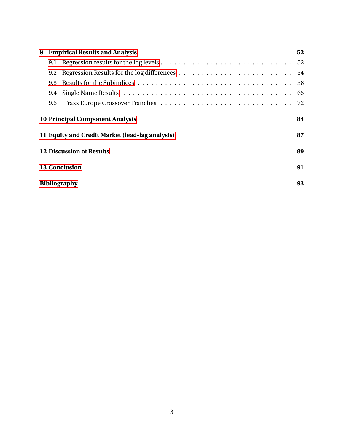| 9 | <b>Empirical Results and Analysis</b>           |  |    |  |  |
|---|-------------------------------------------------|--|----|--|--|
|   |                                                 |  | 52 |  |  |
|   | 9.2                                             |  | 54 |  |  |
|   | 9.3                                             |  | 58 |  |  |
|   | 9.4                                             |  | 65 |  |  |
|   | 9.5                                             |  | 72 |  |  |
|   | <b>10 Principal Component Analysis</b>          |  |    |  |  |
|   | 11 Equity and Credit Market (lead-lag analysis) |  |    |  |  |
|   | 12 Discussion of Results                        |  |    |  |  |
|   | <b>13 Conclusion</b>                            |  |    |  |  |
|   | <b>Bibliography</b>                             |  |    |  |  |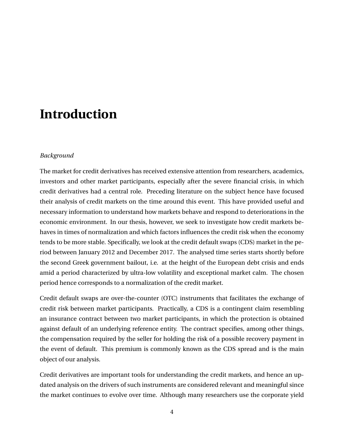# <span id="page-4-0"></span>**Introduction**

#### *Background*

The market for credit derivatives has received extensive attention from researchers, academics, investors and other market participants, especially after the severe financial crisis, in which credit derivatives had a central role. Preceding literature on the subject hence have focused their analysis of credit markets on the time around this event. This have provided useful and necessary information to understand how markets behave and respond to deteriorations in the economic environment. In our thesis, however, we seek to investigate how credit markets behaves in times of normalization and which factors influences the credit risk when the economy tends to be more stable. Specifically, we look at the credit default swaps (CDS) market in the period between January 2012 and December 2017. The analysed time series starts shortly before the second Greek government bailout, i.e. at the height of the European debt crisis and ends amid a period characterized by ultra-low volatility and exceptional market calm. The chosen period hence corresponds to a normalization of the credit market.

Credit default swaps are over-the-counter (OTC) instruments that facilitates the exchange of credit risk between market participants. Practically, a CDS is a contingent claim resembling an insurance contract between two market participants, in which the protection is obtained against default of an underlying reference entity. The contract specifies, among other things, the compensation required by the seller for holding the risk of a possible recovery payment in the event of default. This premium is commonly known as the CDS spread and is the main object of our analysis.

Credit derivatives are important tools for understanding the credit markets, and hence an updated analysis on the drivers of such instruments are considered relevant and meaningful since the market continues to evolve over time. Although many researchers use the corporate yield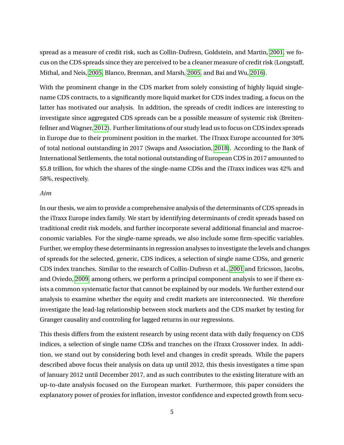spread as a measure of credit risk, such as Collin-Dufresn, Goldstein, and Martin, [2001,](#page-93-0) we focus on the CDS spreads since they are perceived to be a cleaner measure of credit risk (Longstaff, Mithal, and Neis, [2005,](#page-94-0) Blanco, Brennan, and Marsh, [2005,](#page-93-1) and Bai and Wu, [2016\)](#page-93-2).

With the prominent change in the CDS market from solely consisting of highly liquid singlename CDS contracts, to a significantly more liquid market for CDS index trading, a focus on the latter has motivated our analysis. In addition, the spreads of credit indices are interesting to investigate since aggregated CDS spreads can be a possible measure of systemic risk (Breitenfellner and Wagner, [2012\)](#page-93-3). Further limitations of our study lead us to focus on CDS index spreads in Europe due to their prominent position in the market. The iTraxx Europe accounted for 30% of total notional outstanding in 2017 (Swaps and Association, [2018\)](#page-95-0). According to the Bank of International Settlements, the total notional outstanding of European CDS in 2017 amounted to \$5.8 trillion, for which the shares of the single-name CDSs and the iTraxx indices was 42% and 58%, respectively.

#### *Aim*

In our thesis, we aim to provide a comprehensive analysis of the determinants of CDS spreads in the iTraxx Europe index family. We start by identifying determinants of credit spreads based on traditional credit risk models, and further incorporate several additional financial and macroeconomic variables. For the single-name spreads, we also include some firm-specific variables. Further, we employ these determinants in regression analyses to investigate the levels and changes of spreads for the selected, generic, CDS indices, a selection of single name CDSs, and generic CDS index tranches. Similar to the research of Collin-Dufresn et al., [2001](#page-93-0) and Ericsson, Jacobs, and Oviedo, [2009,](#page-94-1) among others, we perform a principal component analysis to see if there exists a common systematic factor that cannot be explained by our models. We further extend our analysis to examine whether the equity and credit markets are interconnected. We therefore investigate the lead-lag relationship between stock markets and the CDS market by testing for Granger causality and controling for lagged returns in our regressions.

This thesis differs from the existent research by using recent data with daily frequency on CDS indices, a selection of single name CDSs and tranches on the iTraxx Crossover index. In addition, we stand out by considering both level and changes in credit spreads. While the papers described above focus their analysis on data up until 2012, this thesis investigates a time span of January 2012 until December 2017, and as such contributes to the existing literature with an up-to-date analysis focused on the European market. Furthermore, this paper considers the explanatory power of proxies for inflation, investor confidence and expected growth from secu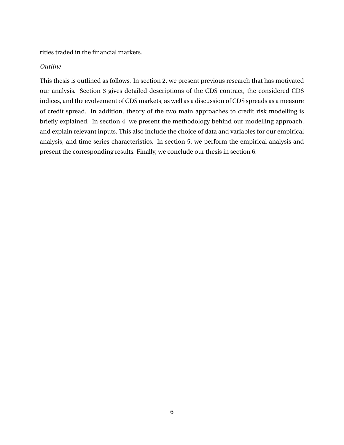rities traded in the financial markets.

### *Outline*

This thesis is outlined as follows. In section 2, we present previous research that has motivated our analysis. Section 3 gives detailed descriptions of the CDS contract, the considered CDS indices, and the evolvement of CDS markets, as well as a discussion of CDS spreads as a measure of credit spread. In addition, theory of the two main approaches to credit risk modelling is briefly explained. In section 4, we present the methodology behind our modelling approach, and explain relevant inputs. This also include the choice of data and variables for our empirical analysis, and time series characteristics. In section 5, we perform the empirical analysis and present the corresponding results. Finally, we conclude our thesis in section 6.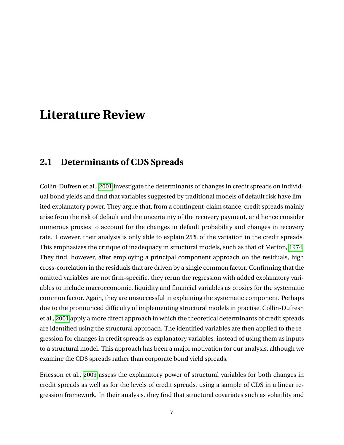## <span id="page-7-0"></span>**Literature Review**

### <span id="page-7-1"></span>**2.1 Determinants of CDS Spreads**

Collin-Dufresn et al., [2001](#page-93-0) investigate the determinants of changes in credit spreads on individual bond yields and find that variables suggested by traditional models of default risk have limited explanatory power. They argue that, from a contingent-claim stance, credit spreads mainly arise from the risk of default and the uncertainty of the recovery payment, and hence consider numerous proxies to account for the changes in default probability and changes in recovery rate. However, their analysis is only able to explain 25% of the variation in the credit spreads. This emphasizes the critique of inadequacy in structural models, such as that of Merton, [1974.](#page-95-1) They find, however, after employing a principal component approach on the residuals, high cross-correlation in the residuals that are driven by a single common factor. Confirming that the omitted variables are not firm-specific, they rerun the regression with added explanatory variables to include macroeconomic, liquidity and financial variables as proxies for the systematic common factor. Again, they are unsuccessful in explaining the systematic component. Perhaps due to the pronounced difficulty of implementing structural models in practise, Collin-Dufresn et al., [2001](#page-93-0) apply a more direct approach in which the theoretical determinants of credit spreads are identified using the structural approach. The identified variables are then applied to the regression for changes in credit spreads as explanatory variables, instead of using them as inputs to a structural model. This approach has been a major motivation for our analysis, although we examine the CDS spreads rather than corporate bond yield spreads.

Ericsson et al., [2009](#page-94-1) assess the explanatory power of structural variables for both changes in credit spreads as well as for the levels of credit spreads, using a sample of CDS in a linear regression framework. In their analysis, they find that structural covariates such as volatility and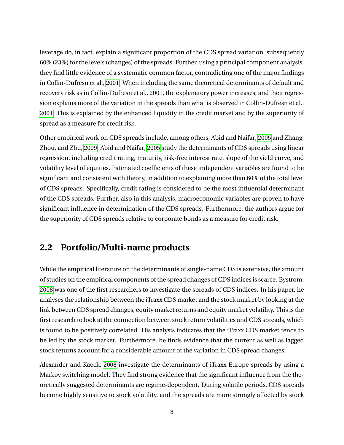leverage do, in fact, explain a significant proportion of the CDS spread variation, subsequently 60% (23%) for the levels (changes) of the spreads. Further, using a principal component analysis, they find little evidence of a systematic common factor, contradicting one of the major findings in Collin-Dufresn et al., [2001.](#page-93-0) When including the same theoretical determinants of default and recovery risk as in Collin-Dufresn et al., [2001,](#page-93-0) the explanatory power increases, and their regression explains more of the variation in the spreads than what is observed in Collin-Dufresn et al., [2001.](#page-93-0) This is explained by the enhanced liquidity in the credit market and by the superiority of spread as a measure for credit risk.

Other empirical work on CDS spreads include, among others, Abid and Naifar, [2005](#page-93-4) and Zhang, Zhou, and Zhu, [2009.](#page-95-2) Abid and Naifar, [2005](#page-93-4) study the determinants of CDS spreads using linear regression, including credit rating, maturity, risk-free interest rate, slope of the yield curve, and volatility level of equities. Estimated coefficients of these independent variables are found to be significant and consistent with theory, in addition to explaining more than 60% of the total level of CDS spreads. Specifically, credit rating is considered to be the most influential determinant of the CDS spreads. Further, also in this analysis, macroeconomic variables are proven to have significant influence in determination of the CDS spreads. Furthermore, the authors argue for the superiority of CDS spreads relative to corporate bonds as a measure for credit risk.

## <span id="page-8-0"></span>**2.2 Portfolio/Multi-name products**

While the empirical literature on the determinants of single-name CDS is extensive, the amount of studies on the empirical components of the spread changes of CDS indices is scarce. Bystrom, [2008](#page-93-5) was one of the first researchers to investigate the spreads of CDS indices. In his paper, he analyses the relationship between the iTraxx CDS market and the stock market by looking at the link between CDS spread changes, equity market returns and equity market volatility. This is the first research to look at the connection between stock return volatilities and CDS spreads, which is found to be positively correlated. His analysis indicates that the iTraxx CDS market tends to be led by the stock market. Furthermore, he finds evidence that the current as well as lagged stock returns account for a considerable amount of the variation in CDS spread changes.

Alexander and Kaeck, [2008](#page-93-6) investigate the determinants of iTraxx Europe spreads by using a Markov switching model. They find strong evidence that the significant influence from the theoretically suggested determinants are regime-dependent. During volatile periods, CDS spreads become highly sensitive to stock volatility, and the spreads are more strongly affected by stock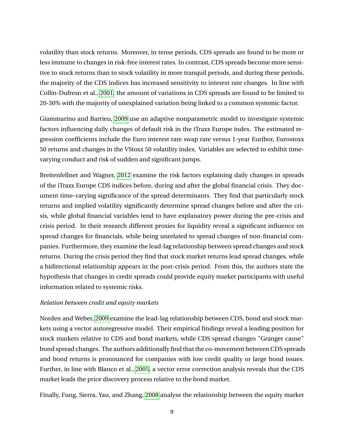volatility than stock returns. Moreover, in tense periods, CDS spreads are found to be more or less immune to changes in risk-free interest rates. In contrast, CDS spreads become more sensitive to stock returns than to stock volatility in more tranquil periods, and during these periods, the majority of the CDS indices has increased sensitivity to interest rate changes. In line with Collin-Dufresn et al., [2001,](#page-93-0) the amount of variations in CDS spreads are found to be limited to 20-30% with the majority of unexplained variation being linked to a common systemic factor.

Giammarino and Barrieu, [2009](#page-94-2) use an adaptive nonparametric model to investigate systemic factors influencing daily changes of default risk in the iTraxx Europe index. The estimated regression coefficients include the Euro interest rate swap rate versus 1-year Euribor, Eurostoxx 50 returns and changes in the VStoxx 50 volatility index. Variables are selected to exhibit timevarying conduct and risk of sudden and significant jumps.

Breitenfellner and Wagner, [2012](#page-93-3) examine the risk factors explaining daily changes in spreads of the iTraxx Europe CDS indices before, during and after the global financial crisis. They document time-varying significance of the spread determinants. They find that particularly stock returns and implied volatility significantly determine spread changes before and after the crisis, while global financial variables tend to have explanatory power during the pre-crisis and crisis period. In their research different proxies for liquidity reveal a significant influence on spread changes for financials, while being unrelated to spread changes of non-financial companies. Furthermore, they examine the lead-lag relationship between spread changes and stock returns. During the crisis period they find that stock market returns lead spread changes, while a bidirectional relationship appears in the post-crisis period. From this, the authors state the hypothesis that changes in credit spreads could provide equity market participants with useful information related to systemic risks.

### *Relation between credit and equity markets*

Norden and Weber, [2009](#page-95-3) examine the lead-lag relationship between CDS, bond and stock markets using a vector autoregressive model. Their empirical findings reveal a leading position for stock markets relative to CDS and bond markets, while CDS spread changes "Granger cause" bond spread changes. The authors additionally find that the co-movement between CDS spreads and bond returns is pronounced for companies with low credit quality or large bond issues. Further, in line with Blanco et al., [2005,](#page-93-1) a vector error correction analysis reveals that the CDS market leads the price discovery process relative to the bond market.

Finally, Fung, Sierra, Yau, and Zhang, [2008](#page-94-3) analyse the relationship between the equity market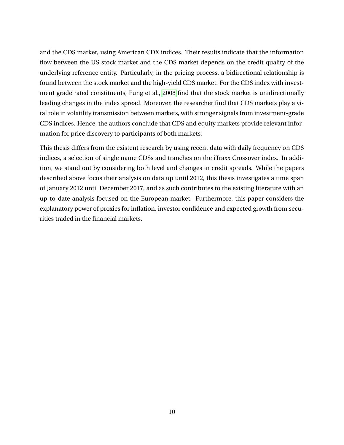and the CDS market, using American CDX indices. Their results indicate that the information flow between the US stock market and the CDS market depends on the credit quality of the underlying reference entity. Particularly, in the pricing process, a bidirectional relationship is found between the stock market and the high-yield CDS market. For the CDS index with investment grade rated constituents, Fung et al., [2008](#page-94-3) find that the stock market is unidirectionally leading changes in the index spread. Moreover, the researcher find that CDS markets play a vital role in volatility transmission between markets, with stronger signals from investment-grade CDS indices. Hence, the authors conclude that CDS and equity markets provide relevant information for price discovery to participants of both markets.

This thesis differs from the existent research by using recent data with daily frequency on CDS indices, a selection of single name CDSs and tranches on the iTraxx Crossover index. In addition, we stand out by considering both level and changes in credit spreads. While the papers described above focus their analysis on data up until 2012, this thesis investigates a time span of January 2012 until December 2017, and as such contributes to the existing literature with an up-to-date analysis focused on the European market. Furthermore, this paper considers the explanatory power of proxies for inflation, investor confidence and expected growth from securities traded in the financial markets.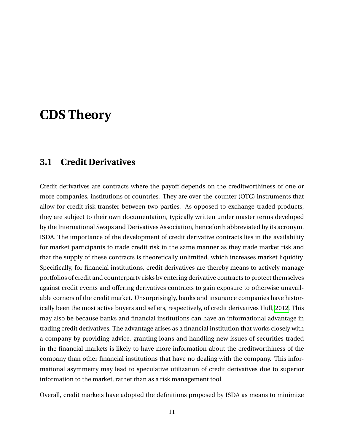## <span id="page-11-0"></span>**CDS Theory**

### <span id="page-11-1"></span>**3.1 Credit Derivatives**

Credit derivatives are contracts where the payoff depends on the creditworthiness of one or more companies, institutions or countries. They are over-the-counter (OTC) instruments that allow for credit risk transfer between two parties. As opposed to exchange-traded products, they are subject to their own documentation, typically written under master terms developed by the International Swaps and Derivatives Association, henceforth abbreviated by its acronym, ISDA. The importance of the development of credit derivative contracts lies in the availability for market participants to trade credit risk in the same manner as they trade market risk and that the supply of these contracts is theoretically unlimited, which increases market liquidity. Specifically, for financial institutions, credit derivatives are thereby means to actively manage portfolios of credit and counterparty risks by entering derivative contracts to protect themselves against credit events and offering derivatives contracts to gain exposure to otherwise unavailable corners of the credit market. Unsurprisingly, banks and insurance companies have historically been the most active buyers and sellers, respectively, of credit derivatives Hull, [2012.](#page-94-4) This may also be because banks and financial institutions can have an informational advantage in trading credit derivatives. The advantage arises as a financial institution that works closely with a company by providing advice, granting loans and handling new issues of securities traded in the financial markets is likely to have more information about the creditworthiness of the company than other financial institutions that have no dealing with the company. This informational asymmetry may lead to speculative utilization of credit derivatives due to superior information to the market, rather than as a risk management tool.

Overall, credit markets have adopted the definitions proposed by ISDA as means to minimize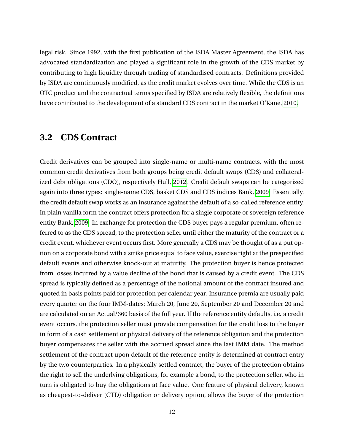legal risk. Since 1992, with the first publication of the ISDA Master Agreement, the ISDA has advocated standardization and played a significant role in the growth of the CDS market by contributing to high liquidity through trading of standardised contracts. Definitions provided by ISDA are continuously modified, as the credit market evolves over time. While the CDS is an OTC product and the contractual terms specified by ISDA are relatively flexible, the definitions have contributed to the development of a standard CDS contract in the market O'Kane, [2010.](#page-95-4)

### <span id="page-12-0"></span>**3.2 CDS Contract**

Credit derivatives can be grouped into single-name or multi-name contracts, with the most common credit derivatives from both groups being credit default swaps (CDS) and collateralized debt obligations (CDO), respectively Hull, [2012.](#page-94-4) Credit default swaps can be categorized again into three types: single-name CDS, basket CDS and CDS indices Bank, [2009.](#page-93-7) Essentially, the credit default swap works as an insurance against the default of a so-called reference entity. In plain vanilla form the contract offers protection for a single corporate or sovereign reference entity Bank, [2009.](#page-93-7) In exchange for protection the CDS buyer pays a regular premium, often referred to as the CDS spread, to the protection seller until either the maturity of the contract or a credit event, whichever event occurs first. More generally a CDS may be thought of as a put option on a corporate bond with a strike price equal to face value, exercise right at the prespecified default events and otherwise knock-out at maturity. The protection buyer is hence protected from losses incurred by a value decline of the bond that is caused by a credit event. The CDS spread is typically defined as a percentage of the notional amount of the contract insured and quoted in basis points paid for protection per calendar year. Insurance premia are usually paid every quarter on the four IMM-dates; March 20, June 20, September 20 and December 20 and are calculated on an Actual/360 basis of the full year. If the reference entity defaults, i.e. a credit event occurs, the protection seller must provide compensation for the credit loss to the buyer in form of a cash settlement or physical delivery of the reference obligation and the protection buyer compensates the seller with the accrued spread since the last IMM date. The method settlement of the contract upon default of the reference entity is determined at contract entry by the two counterparties. In a physically settled contract, the buyer of the protection obtains the right to sell the underlying obligations, for example a bond, to the protection seller, who in turn is obligated to buy the obligations at face value. One feature of physical delivery, known as cheapest-to-deliver (CTD) obligation or delivery option, allows the buyer of the protection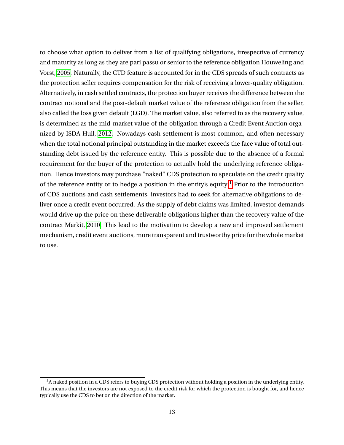to choose what option to deliver from a list of qualifying obligations, irrespective of currency and maturity as long as they are pari passu or senior to the reference obligation Houweling and Vorst, [2005.](#page-94-5) Naturally, the CTD feature is accounted for in the CDS spreads of such contracts as the protection seller requires compensation for the risk of receiving a lower-quality obligation. Alternatively, in cash settled contracts, the protection buyer receives the difference between the contract notional and the post-default market value of the reference obligation from the seller, also called the loss given default (LGD). The market value, also referred to as the recovery value, is determined as the mid-market value of the obligation through a Credit Event Auction organized by ISDA Hull, [2012.](#page-94-4) Nowadays cash settlement is most common, and often necessary when the total notional principal outstanding in the market exceeds the face value of total outstanding debt issued by the reference entity. This is possible due to the absence of a formal requirement for the buyer of the protection to actually hold the underlying reference obligation. Hence investors may purchase "naked" CDS protection to speculate on the credit quality of the reference entity or to hedge a position in the entity's equity  $\frac{1}{1}$  $\frac{1}{1}$  $\frac{1}{1}$  Prior to the introduction of CDS auctions and cash settlements, investors had to seek for alternative obligations to deliver once a credit event occurred. As the supply of debt claims was limited, investor demands would drive up the price on these deliverable obligations higher than the recovery value of the contract Markit, [2010.](#page-94-6) This lead to the motivation to develop a new and improved settlement mechanism, credit event auctions, more transparent and trustworthy price for the whole market to use.

<sup>&</sup>lt;sup>1</sup>A naked position in a CDS refers to buying CDS protection without holding a position in the underlying entity. This means that the investors are not exposed to the credit risk for which the protection is bought for, and hence typically use the CDS to bet on the direction of the market.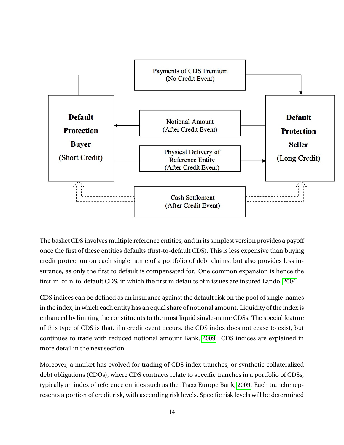

The basket CDS involves multiple reference entities, and in its simplest version provides a payoff once the first of these entities defaults (first-to-default CDS). This is less expensive than buying credit protection on each single name of a portfolio of debt claims, but also provides less insurance, as only the first to default is compensated for. One common expansion is hence the first-m-of-n-to-default CDS, in which the first m defaults of n issues are insured Lando, [2004.](#page-94-7)

CDS indices can be defined as an insurance against the default risk on the pool of single-names in the index, in which each entity has an equal share of notional amount. Liquidity of the index is enhanced by limiting the constituents to the most liquid single-name CDSs. The special feature of this type of CDS is that, if a credit event occurs, the CDS index does not cease to exist, but continues to trade with reduced notional amount Bank, [2009.](#page-93-7) CDS indices are explained in more detail in the next section.

Moreover, a market has evolved for trading of CDS index tranches, or synthetic collateralized debt obligations (CDOs), where CDS contracts relate to specific tranches in a portfolio of CDSs, typically an index of reference entities such as the iTraxx Europe Bank, [2009.](#page-93-7) Each tranche represents a portion of credit risk, with ascending risk levels. Specific risk levels will be determined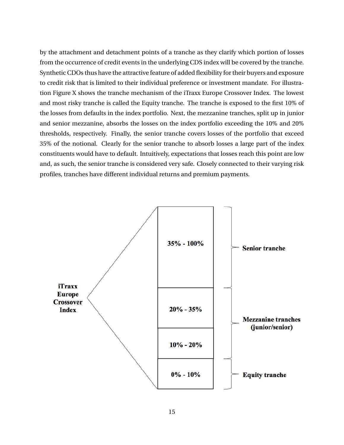by the attachment and detachment points of a tranche as they clarify which portion of losses from the occurrence of credit events in the underlying CDS index will be covered by the tranche. Synthetic CDOs thus have the attractive feature of added flexibility for their buyers and exposure to credit risk that is limited to their individual preference or investment mandate. For illustration Figure X shows the tranche mechanism of the iTraxx Europe Crossover Index. The lowest and most risky tranche is called the Equity tranche. The tranche is exposed to the first 10% of the losses from defaults in the index portfolio. Next, the mezzanine tranches, split up in junior and senior mezzanine, absorbs the losses on the index portfolio exceeding the 10% and 20% thresholds, respectively. Finally, the senior tranche covers losses of the portfolio that exceed 35% of the notional. Clearly for the senior tranche to absorb losses a large part of the index constituents would have to default. Intuitively, expectations that losses reach this point are low and, as such, the senior tranche is considered very safe. Closely connected to their varying risk profiles, tranches have different individual returns and premium payments.

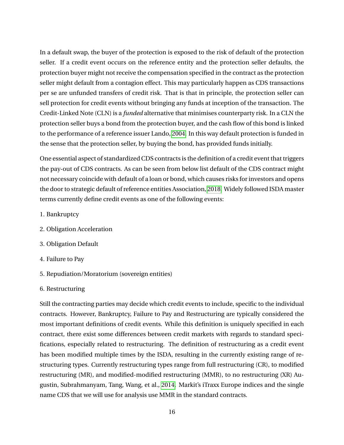In a default swap, the buyer of the protection is exposed to the risk of default of the protection seller. If a credit event occurs on the reference entity and the protection seller defaults, the protection buyer might not receive the compensation specified in the contract as the protection seller might default from a contagion effect. This may particularly happen as CDS transactions per se are unfunded transfers of credit risk. That is that in principle, the protection seller can sell protection for credit events without bringing any funds at inception of the transaction. The Credit-Linked Note (CLN) is a *funded* alternative that minimises counterparty risk. In a CLN the protection seller buys a bond from the protection buyer, and the cash flow of this bond is linked to the performance of a reference issuer Lando, [2004.](#page-94-7) In this way default protection is funded in the sense that the protection seller, by buying the bond, has provided funds initially.

One essential aspect of standardized CDS contracts is the definition of a credit event that triggers the pay-out of CDS contracts. As can be seen from below list default of the CDS contract might not necessary coincide with default of a loan or bond, which causes risks for investors and opens the door to strategic default of reference entities Association, [2018.](#page-93-8) Widely followed ISDA master terms currently define credit events as one of the following events:

- 1. Bankruptcy
- 2. Obligation Acceleration
- 3. Obligation Default
- 4. Failure to Pay
- 5. Repudiation/Moratorium (sovereign entities)

### 6. Restructuring

Still the contracting parties may decide which credit events to include, specific to the individual contracts. However, Bankruptcy, Failure to Pay and Restructuring are typically considered the most important definitions of credit events. While this definition is uniquely specified in each contract, there exist some differences between credit markets with regards to standard specifications, especially related to restructuring. The definition of restructuring as a credit event has been modified multiple times by the ISDA, resulting in the currently existing range of restructuring types. Currently restructuring types range from full restructuring (CR), to modified restructuring (MR), and modified-modified restructuring (MMR), to no restructuring (XR) Augustin, Subrahmanyam, Tang, Wang, et al., [2014.](#page-93-9) Markit's iTraxx Europe indices and the single name CDS that we will use for analysis use MMR in the standard contracts.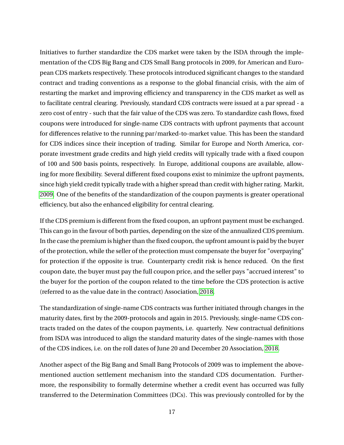Initiatives to further standardize the CDS market were taken by the ISDA through the implementation of the CDS Big Bang and CDS Small Bang protocols in 2009, for American and European CDS markets respectively. These protocols introduced significant changes to the standard contract and trading conventions as a response to the global financial crisis, with the aim of restarting the market and improving efficiency and transparency in the CDS market as well as to facilitate central clearing. Previously, standard CDS contracts were issued at a par spread - a zero cost of entry - such that the fair value of the CDS was zero. To standardize cash flows, fixed coupons were introduced for single-name CDS contracts with upfront payments that account for differences relative to the running par/marked-to-market value. This has been the standard for CDS indices since their inception of trading. Similar for Europe and North America, corporate investment grade credits and high yield credits will typically trade with a fixed coupon of 100 and 500 basis points, respectively. In Europe, additional coupons are available, allowing for more flexibility. Several different fixed coupons exist to minimize the upfront payments, since high yield credit typically trade with a higher spread than credit with higher rating. Markit, [2009.](#page-94-8) One of the benefits of the standardization of the coupon payments is greater operational efficiency, but also the enhanced eligibility for central clearing.

If the CDS premium is different from the fixed coupon, an upfront payment must be exchanged. This can go in the favour of both parties, depending on the size of the annualized CDS premium. In the case the premium is higher than the fixed coupon, the upfront amount is paid by the buyer of the protection, while the seller of the protection must compensate the buyer for "overpaying" for protection if the opposite is true. Counterparty credit risk is hence reduced. On the first coupon date, the buyer must pay the full coupon price, and the seller pays "accrued interest" to the buyer for the portion of the coupon related to the time before the CDS protection is active (referred to as the value date in the contract) Association, [2018.](#page-93-8)

The standardization of single-name CDS contracts was further initiated through changes in the maturity dates, first by the 2009-protocols and again in 2015. Previously, single-name CDS contracts traded on the dates of the coupon payments, i.e. quarterly. New contractual definitions from ISDA was introduced to align the standard maturity dates of the single-names with those of the CDS indices, i.e. on the roll dates of June 20 and December 20 Association, [2018.](#page-93-8)

Another aspect of the Big Bang and Small Bang Protocols of 2009 was to implement the abovementioned auction settlement mechanism into the standard CDS documentation. Furthermore, the responsibility to formally determine whether a credit event has occurred was fully transferred to the Determination Committees (DCs). This was previously controlled for by the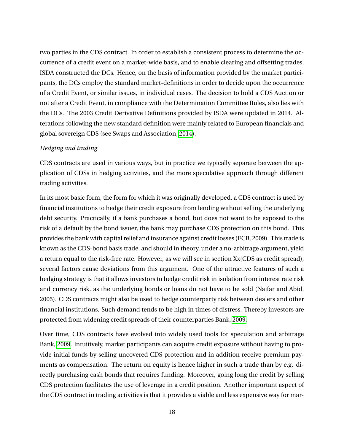two parties in the CDS contract. In order to establish a consistent process to determine the occurrence of a credit event on a market-wide basis, and to enable clearing and offsetting trades, ISDA constructed the DCs. Hence, on the basis of information provided by the market participants, the DCs employ the standard market-definitions in order to decide upon the occurrence of a Credit Event, or similar issues, in individual cases. The decision to hold a CDS Auction or not after a Credit Event, in compliance with the Determination Committee Rules, also lies with the DCs. The 2003 Credit Derivative Definitions provided by ISDA were updated in 2014. Alterations following the new standard definition were mainly related to European financials and global sovereign CDS (see Swaps and Association, [2014\)](#page-95-5).

### *Hedging and trading*

CDS contracts are used in various ways, but in practice we typically separate between the application of CDSs in hedging activities, and the more speculative approach through different trading activities.

In its most basic form, the form for which it was originally developed, a CDS contract is used by financial institutions to hedge their credit exposure from lending without selling the underlying debt security. Practically, if a bank purchases a bond, but does not want to be exposed to the risk of a default by the bond issuer, the bank may purchase CDS protection on this bond. This provides the bank with capital relief and insurance against credit losses (ECB, 2009). This trade is known as the CDS-bond basis trade, and should in theory, under a no-arbitrage argument, yield a return equal to the risk-free rate. However, as we will see in section Xx(CDS as credit spread), several factors cause deviations from this argument. One of the attractive features of such a hedging strategy is that it allows investors to hedge credit risk in isolation from interest rate risk and currency risk, as the underlying bonds or loans do not have to be sold (Naifar and Abid, 2005). CDS contracts might also be used to hedge counterparty risk between dealers and other financial institutions. Such demand tends to be high in times of distress. Thereby investors are protected from widening credit spreads of their counterparties Bank, [2009.](#page-93-7)

Over time, CDS contracts have evolved into widely used tools for speculation and arbitrage Bank, [2009.](#page-93-7) Intuitively, market participants can acquire credit exposure without having to provide initial funds by selling uncovered CDS protection and in addition receive premium payments as compensation. The return on equity is hence higher in such a trade than by e.g. directly purchasing cash bonds that requires funding. Moreover, going long the credit by selling CDS protection facilitates the use of leverage in a credit position. Another important aspect of the CDS contract in trading activities is that it provides a viable and less expensive way for mar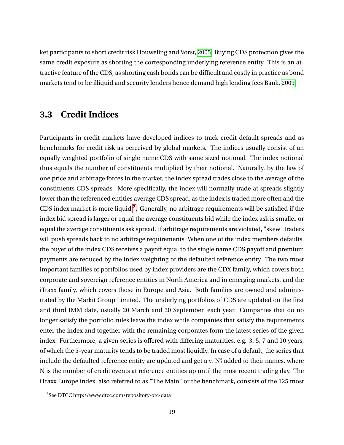ket participants to short credit risk Houweling and Vorst, [2005.](#page-94-5) Buying CDS protection gives the same credit exposure as shorting the corresponding underlying reference entity. This is an attractive feature of the CDS, as shorting cash bonds can be difficult and costly in practice as bond markets tend to be illiquid and security lenders hence demand high lending fees Bank, [2009.](#page-93-7)

### <span id="page-19-0"></span>**3.3 Credit Indices**

Participants in credit markets have developed indices to track credit default spreads and as benchmarks for credit risk as perceived by global markets. The indices usually consist of an equally weighted portfolio of single name CDS with same sized notional. The index notional thus equals the number of constituents multiplied by their notional. Naturally, by the law of one price and arbitrage forces in the market, the index spread trades close to the average of the constituents CDS spreads. More specifically, the index will normally trade at spreads slightly lower than the referenced entities average CDS spread, as the index is traded more often and the CDS index market is more liquid  $2$ . Generally, no arbitrage requirements will be satisfied if the index bid spread is larger or equal the average constituents bid while the index ask is smaller or equal the average constituents ask spread. If arbitrage requirements are violated, "skew" traders will push spreads back to no arbitrage requirements. When one of the index members defaults, the buyer of the index CDS receives a payoff equal to the single name CDS payoff and premium payments are reduced by the index weighting of the defaulted reference entity. The two most important families of portfolios used by index providers are the CDX family, which covers both corporate and sovereign reference entities in North America and in emerging markets, and the iTraxx family, which covers those in Europe and Asia. Both families are owned and administrated by the Markit Group Limited. The underlying portfolios of CDS are updated on the first and third IMM date, usually 20 March and 20 September, each year. Companies that do no longer satisfy the portfolio rules leave the index while companies that satisfy the requirements enter the index and together with the remaining corporates form the latest series of the given index. Furthermore, a given series is offered with differing maturities, e.g. 3, 5, 7 and 10 years, of which the 5-year maturity tends to be traded most liquidly. In case of a default, the series that include the defaulted reference entity are updated and get a v. N? added to their names, where N is the number of credit events at reference entities up until the most recent trading day. The iTraxx Europe index, also referred to as "The Main" or the benchmark, consists of the 125 most

<sup>2</sup>See DTCC http://www.dtcc.com/repository-otc-data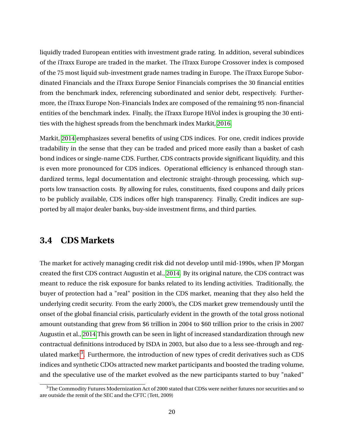liquidly traded European entities with investment grade rating. In addition, several subindices of the iTraxx Europe are traded in the market. The iTraxx Europe Crossover index is composed of the 75 most liquid sub-investment grade names trading in Europe. The iTraxx Europe Subordinated Financials and the iTraxx Europe Senior Financials comprises the 30 financial entities from the benchmark index, referencing subordinated and senior debt, respectively. Furthermore, the iTraxx Europe Non-Financials Index are composed of the remaining 95 non-financial entities of the benchmark index. Finally, the iTraxx Europe HiVol index is grouping the 30 entities with the highest spreads from the benchmark index Markit, [2016.](#page-94-9)

Markit, [2014](#page-94-10) emphasizes several benefits of using CDS indices. For one, credit indices provide tradability in the sense that they can be traded and priced more easily than a basket of cash bond indices or single-name CDS. Further, CDS contracts provide significant liquidity, and this is even more pronounced for CDS indices. Operational efficiency is enhanced through standardized terms, legal documentation and electronic straight-through processing, which supports low transaction costs. By allowing for rules, constituents, fixed coupons and daily prices to be publicly available, CDS indices offer high transparency. Finally, Credit indices are supported by all major dealer banks, buy-side investment firms, and third parties.

## <span id="page-20-0"></span>**3.4 CDS Markets**

The market for actively managing credit risk did not develop until mid-1990s, when JP Morgan created the first CDS contract Augustin et al., [2014.](#page-93-9) By its original nature, the CDS contract was meant to reduce the risk exposure for banks related to its lending activities. Traditionally, the buyer of protection had a "real" position in the CDS market, meaning that they also held the underlying credit security. From the early 2000's, the CDS market grew tremendously until the onset of the global financial crisis, particularly evident in the growth of the total gross notional amount outstanding that grew from \$6 trillion in 2004 to \$60 trillion prior to the crisis in 2007 Augustin et al., [2014.](#page-93-9)This growth can be seen in light of increased standardization through new contractual definitions introduced by ISDA in 2003, but also due to a less see-through and regulated market  $3$ . Furthermore, the introduction of new types of credit derivatives such as CDS indices and synthetic CDOs attracted new market participants and boosted the trading volume, and the speculative use of the market evolved as the new participants started to buy "naked"

<sup>&</sup>lt;sup>3</sup>The Commodity Futures Modernization Act of 2000 stated that CDSs were neither futures nor securities and so are outside the remit of the SEC and the CFTC (Tett, 2009)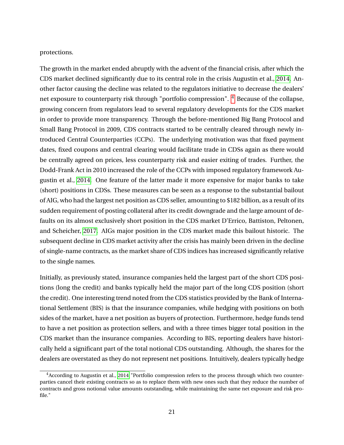protections.

The growth in the market ended abruptly with the advent of the financial crisis, after which the CDS market declined significantly due to its central role in the crisis Augustin et al., [2014.](#page-93-9) Another factor causing the decline was related to the regulators initiative to decrease the dealers' net exposure to counterparty risk through "portfolio compression".  $4$  Because of the collapse, growing concern from regulators lead to several regulatory developments for the CDS market in order to provide more transparency. Through the before-mentioned Big Bang Protocol and Small Bang Protocol in 2009, CDS contracts started to be centrally cleared through newly introduced Central Counterparties (CCPs). The underlying motivation was that fixed payment dates, fixed coupons and central clearing would facilitate trade in CDSs again as there would be centrally agreed on prices, less counterparty risk and easier exiting of trades. Further, the Dodd-Frank Act in 2010 increased the role of the CCPs with imposed regulatory framework Augustin et al., [2014.](#page-93-9) One feature of the latter made it more expensive for major banks to take (short) positions in CDSs. These measures can be seen as a response to the substantial bailout of AIG, who had the largest net position as CDS seller, amounting to \$182 billion, as a result of its sudden requirement of posting collateral after its credit downgrade and the large amount of defaults on its almost exclusively short position in the CDS market D'Errico, Battiston, Peltonen, and Scheicher, [2017.](#page-93-10) AIGs major position in the CDS market made this bailout historic. The subsequent decline in CDS market activity after the crisis has mainly been driven in the decline of single-name contracts, as the market share of CDS indices has increased significantly relative to the single names.

Initially, as previously stated, insurance companies held the largest part of the short CDS positions (long the credit) and banks typically held the major part of the long CDS position (short the credit). One interesting trend noted from the CDS statistics provided by the Bank of International Settlement (BIS) is that the insurance companies, while hedging with positions on both sides of the market, have a net position as buyers of protection. Furthermore, hedge funds tend to have a net position as protection sellers, and with a three times bigger total position in the CDS market than the insurance companies. According to BIS, reporting dealers have historically held a significant part of the total notional CDS outstanding. Although, the shares for the dealers are overstated as they do not represent net positions. Intuitively, dealers typically hedge

<sup>4</sup>According to Augustin et al., [2014](#page-93-9) "Portfolio compression refers to the process through which two counterparties cancel their existing contracts so as to replace them with new ones such that they reduce the number of contracts and gross notional value amounts outstanding, while maintaining the same net exposure and risk profile."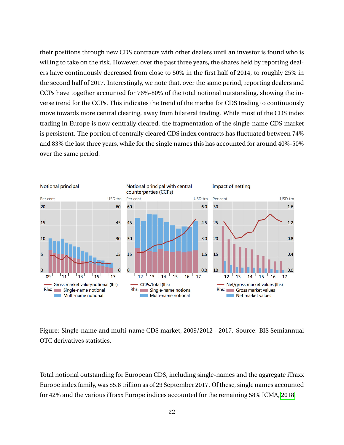their positions through new CDS contracts with other dealers until an investor is found who is willing to take on the risk. However, over the past three years, the shares held by reporting dealers have continuously decreased from close to 50% in the first half of 2014, to roughly 25% in the second half of 2017. Interestingly, we note that, over the same period, reporting dealers and CCPs have together accounted for 76%-80% of the total notional outstanding, showing the inverse trend for the CCPs. This indicates the trend of the market for CDS trading to continuously move towards more central clearing, away from bilateral trading. While most of the CDS index trading in Europe is now centrally cleared, the fragmentation of the single-name CDS market is persistent. The portion of centrally cleared CDS index contracts has fluctuated between 74% and 83% the last three years, while for the single names this has accounted for around 40%-50% over the same period.



Figure: Single-name and multi-name CDS market, 2009/2012 - 2017. Source: BIS Semiannual OTC derivatives statistics.

<span id="page-22-0"></span>Total notional outstanding for European CDS, including single-names and the aggregate iTraxx Europe index family, was \$5.8 trillion as of 29 September 2017. Of these, single names accounted for 42% and the various iTraxx Europe indices accounted for the remaining 58% ICMA, [2018.](#page-94-11)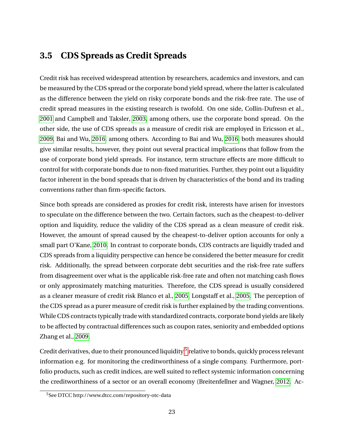## **3.5 CDS Spreads as Credit Spreads**

Credit risk has received widespread attention by researchers, academics and investors, and can be measured by the CDS spread or the corporate bond yield spread, where the latter is calculated as the difference between the yield on risky corporate bonds and the risk-free rate. The use of credit spread measures in the existing research is twofold. On one side, Collin-Dufresn et al., [2001](#page-93-0) and Campbell and Taksler, [2003,](#page-93-11) among others, use the corporate bond spread. On the other side, the use of CDS spreads as a measure of credit risk are employed in Ericsson et al., [2009,](#page-94-1) Bai and Wu, [2016,](#page-93-2) among others. According to Bai and Wu, [2016,](#page-93-2) both measures should give similar results, however, they point out several practical implications that follow from the use of corporate bond yield spreads. For instance, term structure effects are more difficult to control for with corporate bonds due to non-fixed maturities. Further, they point out a liquidity factor inherent in the bond spreads that is driven by characteristics of the bond and its trading conventions rather than firm-specific factors.

Since both spreads are considered as proxies for credit risk, interests have arisen for investors to speculate on the difference between the two. Certain factors, such as the cheapest-to-deliver option and liquidity, reduce the validity of the CDS spread as a clean measure of credit risk. However, the amount of spread caused by the cheapest-to-deliver option accounts for only a small part O'Kane, [2010.](#page-95-4) In contrast to corporate bonds, CDS contracts are liquidly traded and CDS spreads from a liquidity perspective can hence be considered the better measure for credit risk. Additionally, the spread between corporate debt securities and the risk-free rate suffers from disagreement over what is the applicable risk-free rate and often not matching cash flows or only approximately matching maturities. Therefore, the CDS spread is usually considered as a cleaner measure of credit risk Blanco et al., [2005,](#page-93-1) Longstaff et al., [2005.](#page-94-0) The perception of the CDS spread as a purer measure of credit risk is further explained by the trading conventions. While CDS contracts typically trade with standardized contracts, corporate bond yields are likely to be affected by contractual differences such as coupon rates, seniority and embedded options Zhang et al., [2009.](#page-95-2)

Credit derivatives, due to their pronounced liquidity  $^5$  $^5$  relative to bonds, quickly process relevant information e.g. for monitoring the creditworthiness of a single company. Furthermore, portfolio products, such as credit indices, are well suited to reflect systemic information concerning the creditworthiness of a sector or an overall economy (Breitenfellner and Wagner, [2012.](#page-93-3) Ac-

<sup>5</sup>See DTCC http://www.dtcc.com/repository-otc-data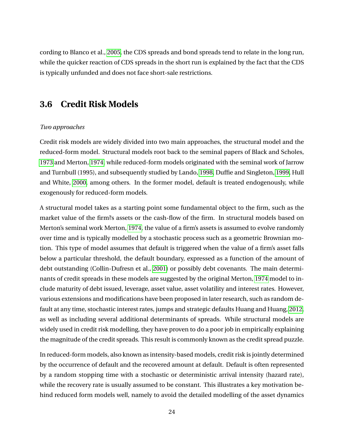cording to Blanco et al., [2005,](#page-93-1) the CDS spreads and bond spreads tend to relate in the long run, while the quicker reaction of CDS spreads in the short run is explained by the fact that the CDS is typically unfunded and does not face short-sale restrictions.

## <span id="page-24-0"></span>**3.6 Credit Risk Models**

### *Two approaches*

Credit risk models are widely divided into two main approaches, the structural model and the reduced-form model. Structural models root back to the seminal papers of Black and Scholes, [1973](#page-93-12) and Merton, [1974,](#page-95-1) while reduced-form models originated with the seminal work of Jarrow and Turnbull (1995), and subsequently studied by Lando, [1998,](#page-94-12) Duffie and Singleton, [1999,](#page-94-13) Hull and White, [2000,](#page-94-14) among others. In the former model, default is treated endogenously, while exogenously for reduced-form models.

A structural model takes as a starting point some fundamental object to the firm, such as the market value of the firm?s assets or the cash-flow of the firm. In structural models based on Merton's seminal work Merton, [1974,](#page-95-1) the value of a firm's assets is assumed to evolve randomly over time and is typically modelled by a stochastic process such as a geometric Brownian motion. This type of model assumes that default is triggered when the value of a firm's asset falls below a particular threshold, the default boundary, expressed as a function of the amount of debt outstanding (Collin-Dufresn et al., [2001\)](#page-93-0) or possibly debt covenants. The main determinants of credit spreads in these models are suggested by the original Merton, [1974](#page-95-1) model to include maturity of debt issued, leverage, asset value, asset volatility and interest rates. However, various extensions and modifications have been proposed in later research, such as random default at any time, stochastic interest rates, jumps and strategic defaults Huang and Huang, [2012,](#page-94-15) as well as including several additional determinants of spreads. While structural models are widely used in credit risk modelling, they have proven to do a poor job in empirically explaining the magnitude of the credit spreads. This result is commonly known as the credit spread puzzle.

In reduced-form models, also known as intensity-based models, credit risk is jointly determined by the occurrence of default and the recovered amount at default. Default is often represented by a random stopping time with a stochastic or deterministic arrival intensity (hazard rate), while the recovery rate is usually assumed to be constant. This illustrates a key motivation behind reduced form models well, namely to avoid the detailed modelling of the asset dynamics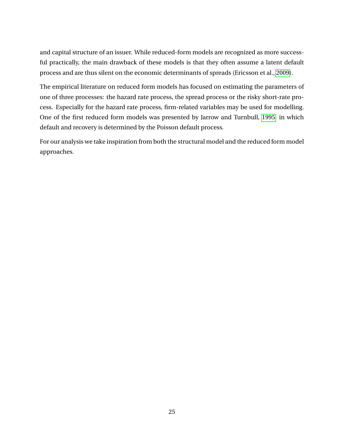and capital structure of an issuer. While reduced-form models are recognized as more successful practically, the main drawback of these models is that they often assume a latent default process and are thus silent on the economic determinants of spreads (Ericsson et al., [2009\)](#page-94-1).

The empirical literature on reduced form models has focused on estimating the parameters of one of three processes: the hazard rate process, the spread process or the risky short-rate process. Especially for the hazard rate process, firm-related variables may be used for modelling. One of the first reduced form models was presented by Jarrow and Turnbull, [1995,](#page-94-16) in which default and recovery is determined by the Poisson default process.

For our analysis we take inspiration from both the structural model and the reduced form model approaches.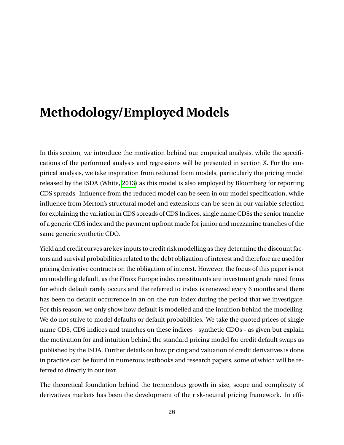# <span id="page-26-0"></span>**Methodology/Employed Models**

In this section, we introduce the motivation behind our empirical analysis, while the specifications of the performed analysis and regressions will be presented in section X. For the empirical analysis, we take inspiration from reduced form models, particularly the pricing model released by the ISDA (White, [2013\)](#page-95-6) as this model is also employed by Bloomberg for reporting CDS spreads. Influence from the reduced model can be seen in our model specification, while influence from Merton's structural model and extensions can be seen in our variable selection for explaining the variation in CDS spreads of CDS Indices, single name CDSs the senior tranche of a generic CDS index and the payment upfront made for junior and mezzanine tranches of the same generic synthetic CDO.

Yield and credit curves are key inputs to credit risk modelling as they determine the discount factors and survival probabilities related to the debt obligation of interest and therefore are used for pricing derivative contracts on the obligation of interest. However, the focus of this paper is not on modelling default, as the iTraxx Europe index constituents are investment grade rated firms for which default rarely occurs and the referred to index is renewed every 6 months and there has been no default occurrence in an on-the-run index during the period that we investigate. For this reason, we only show how default is modelled and the intuition behind the modelling. We do not strive to model defaults or default probabilities. We take the quoted prices of single name CDS, CDS indices and tranches on these indices - synthetic CDOs - as given but explain the motivation for and intuition behind the standard pricing model for credit default swaps as published by the ISDA. Further details on how pricing and valuation of credit derivatives is done in practice can be found in numerous textbooks and research papers, some of which will be referred to directly in our text.

The theoretical foundation behind the tremendous growth in size, scope and complexity of derivatives markets has been the development of the risk-neutral pricing framework. In effi-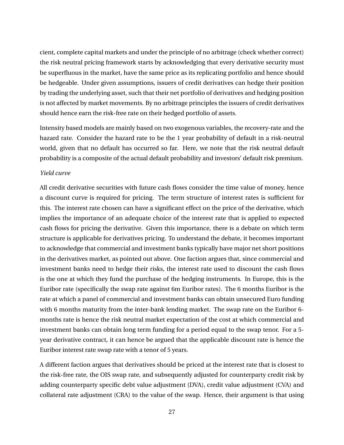cient, complete capital markets and under the principle of no arbitrage (check whether correct) the risk neutral pricing framework starts by acknowledging that every derivative security must be superfluous in the market, have the same price as its replicating portfolio and hence should be hedgeable. Under given assumptions, issuers of credit derivatives can hedge their position by trading the underlying asset, such that their net portfolio of derivatives and hedging position is not affected by market movements. By no arbitrage principles the issuers of credit derivatives should hence earn the risk-free rate on their hedged portfolio of assets.

Intensity based models are mainly based on two exogenous variables, the recovery-rate and the hazard rate. Consider the hazard rate to be the 1 year probability of default in a risk-neutral world, given that no default has occurred so far. Here, we note that the risk neutral default probability is a composite of the actual default probability and investors' default risk premium.

### *Yield curve*

All credit derivative securities with future cash flows consider the time value of money, hence a discount curve is required for pricing. The term structure of interest rates is sufficient for this. The interest rate chosen can have a significant effect on the price of the derivative, which implies the importance of an adequate choice of the interest rate that is applied to expected cash flows for pricing the derivative. Given this importance, there is a debate on which term structure is applicable for derivatives pricing. To understand the debate, it becomes important to acknowledge that commercial and investment banks typically have major net short positions in the derivatives market, as pointed out above. One faction argues that, since commercial and investment banks need to hedge their risks, the interest rate used to discount the cash flows is the one at which they fund the purchase of the hedging instruments. In Europe, this is the Euribor rate (specifically the swap rate against 6m Euribor rates). The 6 months Euribor is the rate at which a panel of commercial and investment banks can obtain unsecured Euro funding with 6 months maturity from the inter-bank lending market. The swap rate on the Euribor 6 months rate is hence the risk neutral market expectation of the cost at which commercial and investment banks can obtain long term funding for a period equal to the swap tenor. For a 5 year derivative contract, it can hence be argued that the applicable discount rate is hence the Euribor interest rate swap rate with a tenor of 5 years.

A different faction argues that derivatives should be priced at the interest rate that is closest to the risk-free rate, the OIS swap rate, and subsequently adjusted for counterparty credit risk by adding counterparty specific debt value adjustment (DVA), credit value adjustment (CVA) and collateral rate adjustment (CRA) to the value of the swap. Hence, their argument is that using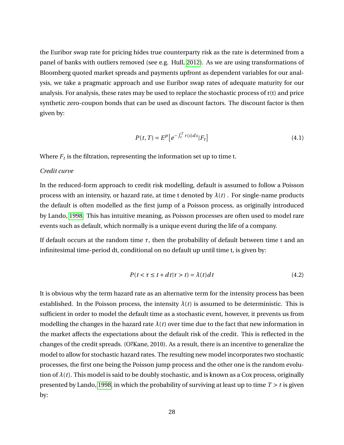the Euribor swap rate for pricing hides true counterparty risk as the rate is determined from a panel of banks with outliers removed (see e.g. Hull, [2012\)](#page-94-4). As we are using transformations of Bloomberg quoted market spreads and payments upfront as dependent variables for our analysis, we take a pragmatic approach and use Euribor swap rates of adequate maturity for our analysis. For analysis, these rates may be used to replace the stochastic process of r(t) and price synthetic zero-coupon bonds that can be used as discount factors. The discount factor is then given by:

$$
P(t,T) = E^p \left[ e^{-\int_t^T r(s)ds} |F_t| \right] \tag{4.1}
$$

Where  $F_t$  is the filtration, representing the information set up to time t.

### *Credit curve*

In the reduced-form approach to credit risk modelling, default is assumed to follow a Poisson process with an intensity, or hazard rate, at time t denoted by  $\lambda(t)$ . For single-name products the default is often modelled as the first jump of a Poisson process, as originally introduced by Lando, [1998.](#page-94-12) This has intuitive meaning, as Poisson processes are often used to model rare events such as default, which normally is a unique event during the life of a company.

If default occurs at the random time *τ*, then the probability of default between time t and an infinitesimal time-period dt, conditional on no default up until time t, is given by:

$$
P(t < \tau \le t + dt | \tau > t) = \lambda(t) dt
$$
\n(4.2)

It is obvious why the term hazard rate as an alternative term for the intensity process has been established. In the Poisson process, the intensity  $\lambda(t)$  is assumed to be deterministic. This is sufficient in order to model the default time as a stochastic event, however, it prevents us from modelling the changes in the hazard rate  $\lambda(t)$  over time due to the fact that new information in the market affects the expectations about the default risk of the credit. This is reflected in the changes of the credit spreads. (O?Kane, 2010). As a result, there is an incentive to generalize the model to allow for stochastic hazard rates. The resulting new model incorporates two stochastic processes, the first one being the Poisson jump process and the other one is the random evolution of  $\lambda(t)$ . This model is said to be doubly stochastic, and is known as a Cox process, originally presented by Lando, [1998,](#page-94-12) in which the probability of surviving at least up to time *T* > *t* is given by: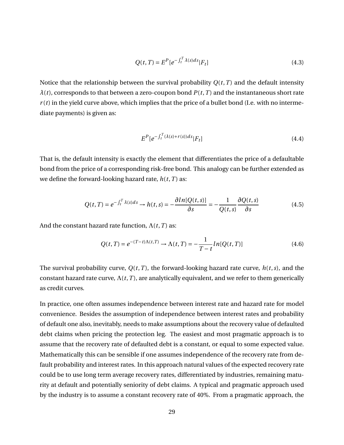$$
Q(t,T) = E^{P}[e^{-\int_{t}^{T} \lambda(s)ds}|F_{t}]
$$
\n(4.3)

Notice that the relationship between the survival probability  $Q(t, T)$  and the default intensity  $\lambda(t)$ , corresponds to that between a zero-coupon bond  $P(t, T)$  and the instantaneous short rate  $r(t)$  in the yield curve above, which implies that the price of a bullet bond (I.e. with no intermediate payments) is given as:

$$
E^{P}[e^{-\int_{t}^{T}(\lambda(s)+r(s))ds}|F_{t}] \tag{4.4}
$$

That is, the default intensity is exactly the element that differentiates the price of a defaultable bond from the price of a corresponding risk-free bond. This analogy can be further extended as we define the forward-looking hazard rate,  $h(t, T)$  as:

$$
Q(t,T) = e^{-\int_t^T \lambda(s)ds} \to h(t,s) = -\frac{\partial \ln[Q(t,s)]}{\partial s} = -\frac{1}{Q(t,s)}\frac{\partial Q(t,s)}{\partial s}
$$
(4.5)

And the constant hazard rate function,  $\Lambda(t, T)$  as:

$$
Q(t,T) = e^{-(T-t)\Lambda(t,T)} \to \Lambda(t,T) = -\frac{1}{T-t}ln[Q(t,T)]
$$
\n(4.6)

The survival probability curve,  $Q(t, T)$ , the forward-looking hazard rate curve,  $h(t, s)$ , and the constant hazard rate curve,  $\Lambda(t, T)$ , are analytically equivalent, and we refer to them generically as credit curves.

In practice, one often assumes independence between interest rate and hazard rate for model convenience. Besides the assumption of independence between interest rates and probability of default one also, inevitably, needs to make assumptions about the recovery value of defaulted debt claims when pricing the protection leg. The easiest and most pragmatic approach is to assume that the recovery rate of defaulted debt is a constant, or equal to some expected value. Mathematically this can be sensible if one assumes independence of the recovery rate from default probability and interest rates. In this approach natural values of the expected recovery rate could be to use long term average recovery rates, differentiated by industries, remaining maturity at default and potentially seniority of debt claims. A typical and pragmatic approach used by the industry is to assume a constant recovery rate of 40%. From a pragmatic approach, the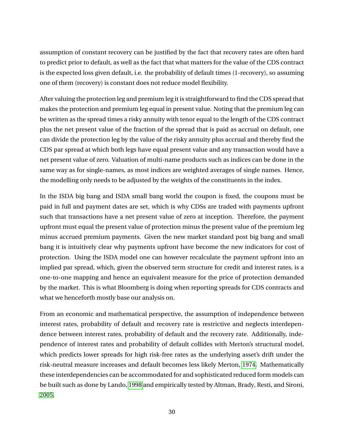assumption of constant recovery can be justified by the fact that recovery rates are often hard to predict prior to default, as well as the fact that what matters for the value of the CDS contract is the expected loss given default, i.e. the probability of default times (1-recovery), so assuming one of them (recovery) is constant does not reduce model flexibility.

After valuing the protection leg and premium leg it is straightforward to find the CDS spread that makes the protection and premium leg equal in present value. Noting that the premium leg can be written as the spread times a risky annuity with tenor equal to the length of the CDS contract plus the net present value of the fraction of the spread that is paid as accrual on default, one can divide the protection leg by the value of the risky annuity plus accrual and thereby find the CDS par spread at which both legs have equal present value and any transaction would have a net present value of zero. Valuation of multi-name products such as indices can be done in the same way as for single-names, as most indices are weighted averages of single names. Hence, the modelling only needs to be adjusted by the weights of the constituents in the index.

In the ISDA big bang and ISDA small bang world the coupon is fixed, the coupons must be paid in full and payment dates are set, which is why CDSs are traded with payments upfront such that transactions have a net present value of zero at inception. Therefore, the payment upfront must equal the present value of protection minus the present value of the premium leg minus accrued premium payments. Given the new market standard post big bang and small bang it is intuitively clear why payments upfront have become the new indicators for cost of protection. Using the ISDA model one can however recalculate the payment upfront into an implied par spread, which, given the observed term structure for credit and interest rates, is a one-to-one mapping and hence an equivalent measure for the price of protection demanded by the market. This is what Bloomberg is doing when reporting spreads for CDS contracts and what we henceforth mostly base our analysis on.

From an economic and mathematical perspective, the assumption of independence between interest rates, probability of default and recovery rate is restrictive and neglects interdependence between interest rates, probability of default and the recovery rate. Additionally, independence of interest rates and probability of default collides with Merton's structural model, which predicts lower spreads for high risk-free rates as the underlying asset's drift under the risk-neutral measure increases and default becomes less likely Merton, [1974.](#page-95-1) Mathematically these interdependencies can be accommodated for and sophisticated reduced form models can be built such as done by Lando, [1998](#page-94-12) and empirically tested by Altman, Brady, Resti, and Sironi, [2005.](#page-93-13)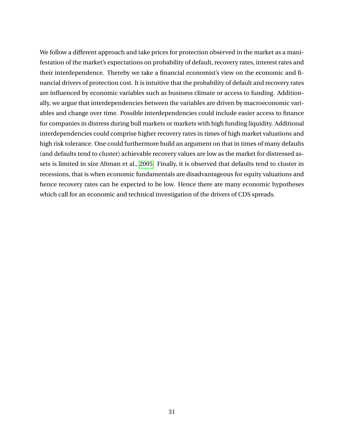We follow a different approach and take prices for protection observed in the market as a manifestation of the market's expectations on probability of default, recovery rates, interest rates and their interdependence. Thereby we take a financial economist's view on the economic and financial drivers of protection cost. It is intuitive that the probability of default and recovery rates are influenced by economic variables such as business climate or access to funding. Additionally, we argue that interdependencies between the variables are driven by macroeconomic variables and change over time. Possible interdependencies could include easier access to finance for companies in distress during bull markets or markets with high funding liquidity. Additional interdependencies could comprise higher recovery rates in times of high market valuations and high risk tolerance. One could furthermore build an argument on that in times of many defaults (and defaults tend to cluster) achievable recovery values are low as the market for distressed assets is limited in size Altman et al., [2005.](#page-93-13) Finally, it is observed that defaults tend to cluster in recessions, that is when economic fundamentals are disadvantageous for equity valuations and hence recovery rates can be expected to be low. Hence there are many economic hypotheses which call for an economic and technical investigation of the drivers of CDS spreads.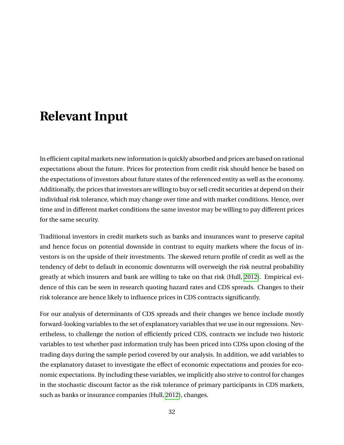# <span id="page-32-0"></span>**Relevant Input**

In efficient capital markets new information is quickly absorbed and prices are based on rational expectations about the future. Prices for protection from credit risk should hence be based on the expectations of investors about future states of the referenced entity as well as the economy. Additionally, the prices that investors are willing to buy or sell credit securities at depend on their individual risk tolerance, which may change over time and with market conditions. Hence, over time and in different market conditions the same investor may be willing to pay different prices for the same security.

Traditional investors in credit markets such as banks and insurances want to preserve capital and hence focus on potential downside in contrast to equity markets where the focus of investors is on the upside of their investments. The skewed return profile of credit as well as the tendency of debt to default in economic downturns will overweigh the risk neutral probability greatly at which insurers and bank are willing to take on that risk (Hull, [2012\)](#page-94-4). Empirical evidence of this can be seen in research quoting hazard rates and CDS spreads. Changes to their risk tolerance are hence likely to influence prices in CDS contracts significantly.

For our analysis of determinants of CDS spreads and their changes we hence include mostly forward-looking variables to the set of explanatory variables that we use in our regressions. Nevertheless, to challenge the notion of efficiently priced CDS, contracts we include two historic variables to test whether past information truly has been priced into CDSs upon closing of the trading days during the sample period covered by our analysis. In addition, we add variables to the explanatory dataset to investigate the effect of economic expectations and proxies for economic expectations. By including these variables, we implicitly also strive to control for changes in the stochastic discount factor as the risk tolerance of primary participants in CDS markets, such as banks or insurance companies (Hull, [2012\)](#page-94-4), changes.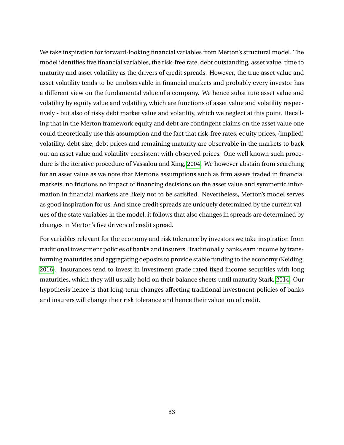We take inspiration for forward-looking financial variables from Merton's structural model. The model identifies five financial variables, the risk-free rate, debt outstanding, asset value, time to maturity and asset volatility as the drivers of credit spreads. However, the true asset value and asset volatility tends to be unobservable in financial markets and probably every investor has a different view on the fundamental value of a company. We hence substitute asset value and volatility by equity value and volatility, which are functions of asset value and volatility respectively - but also of risky debt market value and volatility, which we neglect at this point. Recalling that in the Merton framework equity and debt are contingent claims on the asset value one could theoretically use this assumption and the fact that risk-free rates, equity prices, (implied) volatility, debt size, debt prices and remaining maturity are observable in the markets to back out an asset value and volatility consistent with observed prices. One well known such procedure is the iterative procedure of Vassalou and Xing, [2004.](#page-95-7) We however abstain from searching for an asset value as we note that Merton's assumptions such as firm assets traded in financial markets, no frictions no impact of financing decisions on the asset value and symmetric information in financial markets are likely not to be satisfied. Nevertheless, Merton's model serves as good inspiration for us. And since credit spreads are uniquely determined by the current values of the state variables in the model, it follows that also changes in spreads are determined by changes in Merton's five drivers of credit spread.

For variables relevant for the economy and risk tolerance by investors we take inspiration from traditional investment policies of banks and insurers. Traditionally banks earn income by transforming maturities and aggregating deposits to provide stable funding to the economy (Keiding, [2016\)](#page-94-17). Insurances tend to invest in investment grade rated fixed income securities with long maturities, which they will usually hold on their balance sheets until maturity Stark, [2014.](#page-95-8) Our hypothesis hence is that long-term changes affecting traditional investment policies of banks and insurers will change their risk tolerance and hence their valuation of credit.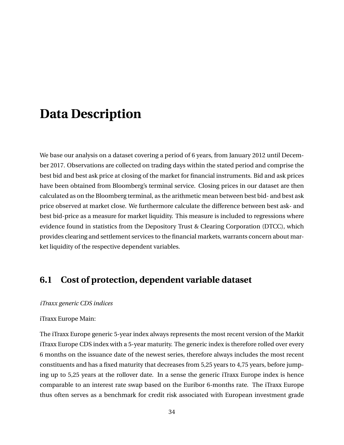## <span id="page-34-0"></span>**Data Description**

We base our analysis on a dataset covering a period of 6 years, from January 2012 until December 2017. Observations are collected on trading days within the stated period and comprise the best bid and best ask price at closing of the market for financial instruments. Bid and ask prices have been obtained from Bloomberg's terminal service. Closing prices in our dataset are then calculated as on the Bloomberg terminal, as the arithmetic mean between best bid- and best ask price observed at market close. We furthermore calculate the difference between best ask- and best bid-price as a measure for market liquidity. This measure is included to regressions where evidence found in statistics from the Depository Trust & Clearing Corporation (DTCC), which provides clearing and settlement services to the financial markets, warrants concern about market liquidity of the respective dependent variables.

## <span id="page-34-1"></span>**6.1 Cost of protection, dependent variable dataset**

### *iTraxx generic CDS indices*

#### iTraxx Europe Main:

The iTraxx Europe generic 5-year index always represents the most recent version of the Markit iTraxx Europe CDS index with a 5-year maturity. The generic index is therefore rolled over every 6 months on the issuance date of the newest series, therefore always includes the most recent constituents and has a fixed maturity that decreases from 5,25 years to 4,75 years, before jumping up to 5,25 years at the rollover date. In a sense the generic iTraxx Europe index is hence comparable to an interest rate swap based on the Euribor 6-months rate. The iTraxx Europe thus often serves as a benchmark for credit risk associated with European investment grade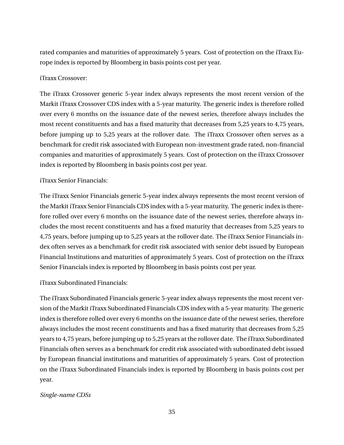rated companies and maturities of approximately 5 years. Cost of protection on the iTraxx Europe index is reported by Bloomberg in basis points cost per year.

### iTraxx Crossover:

The iTraxx Crossover generic 5-year index always represents the most recent version of the Markit iTraxx Crossover CDS index with a 5-year maturity. The generic index is therefore rolled over every 6 months on the issuance date of the newest series, therefore always includes the most recent constituents and has a fixed maturity that decreases from 5,25 years to 4,75 years, before jumping up to 5,25 years at the rollover date. The iTraxx Crossover often serves as a benchmark for credit risk associated with European non-investment grade rated, non-financial companies and maturities of approximately 5 years. Cost of protection on the iTraxx Crossover index is reported by Bloomberg in basis points cost per year.

### iTraxx Senior Financials:

The iTraxx Senior Financials generic 5-year index always represents the most recent version of the Markit iTraxx Senior Financials CDS index with a 5-year maturity. The generic index is therefore rolled over every 6 months on the issuance date of the newest series, therefore always includes the most recent constituents and has a fixed maturity that decreases from 5,25 years to 4,75 years, before jumping up to 5,25 years at the rollover date. The iTraxx Senior Financials index often serves as a benchmark for credit risk associated with senior debt issued by European Financial Institutions and maturities of approximately 5 years. Cost of protection on the iTraxx Senior Financials index is reported by Bloomberg in basis points cost per year.

### iTraxx Subordinated Financials:

The iTraxx Subordinated Financials generic 5-year index always represents the most recent version of the Markit iTraxx Subordinated Financials CDS index with a 5-year maturity. The generic index is therefore rolled over every 6 months on the issuance date of the newest series, therefore always includes the most recent constituents and has a fixed maturity that decreases from 5,25 years to 4,75 years, before jumping up to 5,25 years at the rollover date. The iTraxx Subordinated Financials often serves as a benchmark for credit risk associated with subordinated debt issued by European financial institutions and maturities of approximately 5 years. Cost of protection on the iTraxx Subordinated Financials index is reported by Bloomberg in basis points cost per year.

### *Single-name CDSs*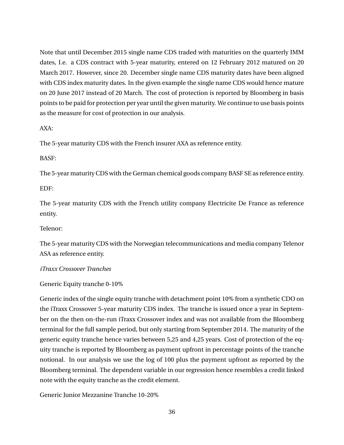Note that until December 2015 single name CDS traded with maturities on the quarterly IMM dates, I.e. a CDS contract with 5-year maturity, entered on 12 February 2012 matured on 20 March 2017. However, since 20. December single name CDS maturity dates have been aligned with CDS index maturity dates. In the given example the single name CDS would hence mature on 20 June 2017 instead of 20 March. The cost of protection is reported by Bloomberg in basis points to be paid for protection per year until the given maturity. We continue to use basis points as the measure for cost of protection in our analysis.

AXA:

The 5-year maturity CDS with the French insurer AXA as reference entity.

BASF:

The 5-year maturity CDS with the German chemical goods company BASF SE as reference entity.

EDF:

The 5-year maturity CDS with the French utility company Electricite De France as reference entity.

Telenor:

The 5-year maturity CDS with the Norwegian telecommunications and media company Telenor ASA as reference entity.

*iTraxx Crossover Tranches*

Generic Equity tranche 0-10%

Generic index of the single equity tranche with detachment point 10% from a synthetic CDO on the iTraxx Crossover 5-year maturity CDS index. The tranche is issued once a year in September on the then on-the-run iTraxx Crossover index and was not available from the Bloomberg terminal for the full sample period, but only starting from September 2014. The maturity of the generic equity tranche hence varies between 5,25 and 4,25 years. Cost of protection of the equity tranche is reported by Bloomberg as payment upfront in percentage points of the tranche notional. In our analysis we use the log of 100 plus the payment upfront as reported by the Bloomberg terminal. The dependent variable in our regression hence resembles a credit linked note with the equity tranche as the credit element.

Generic Junior Mezzanine Tranche 10-20%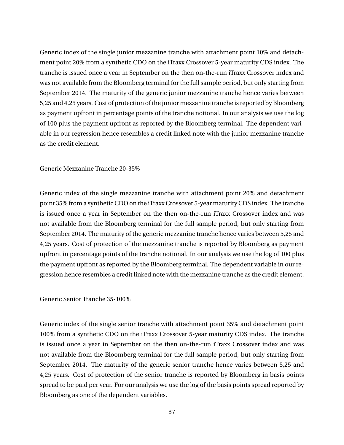Generic index of the single junior mezzanine tranche with attachment point 10% and detachment point 20% from a synthetic CDO on the iTraxx Crossover 5-year maturity CDS index. The tranche is issued once a year in September on the then on-the-run iTraxx Crossover index and was not available from the Bloomberg terminal for the full sample period, but only starting from September 2014. The maturity of the generic junior mezzanine tranche hence varies between 5,25 and 4,25 years. Cost of protection of the junior mezzanine tranche is reported by Bloomberg as payment upfront in percentage points of the tranche notional. In our analysis we use the log of 100 plus the payment upfront as reported by the Bloomberg terminal. The dependent variable in our regression hence resembles a credit linked note with the junior mezzanine tranche as the credit element.

Generic Mezzanine Tranche 20-35%

Generic index of the single mezzanine tranche with attachment point 20% and detachment point 35% from a synthetic CDO on the iTraxx Crossover 5-year maturity CDS index. The tranche is issued once a year in September on the then on-the-run iTraxx Crossover index and was not available from the Bloomberg terminal for the full sample period, but only starting from September 2014. The maturity of the generic mezzanine tranche hence varies between 5,25 and 4,25 years. Cost of protection of the mezzanine tranche is reported by Bloomberg as payment upfront in percentage points of the tranche notional. In our analysis we use the log of 100 plus the payment upfront as reported by the Bloomberg terminal. The dependent variable in our regression hence resembles a credit linked note with the mezzanine tranche as the credit element.

Generic Senior Tranche 35-100%

Generic index of the single senior tranche with attachment point 35% and detachment point 100% from a synthetic CDO on the iTraxx Crossover 5-year maturity CDS index. The tranche is issued once a year in September on the then on-the-run iTraxx Crossover index and was not available from the Bloomberg terminal for the full sample period, but only starting from September 2014. The maturity of the generic senior tranche hence varies between 5,25 and 4,25 years. Cost of protection of the senior tranche is reported by Bloomberg in basis points spread to be paid per year. For our analysis we use the log of the basis points spread reported by Bloomberg as one of the dependent variables.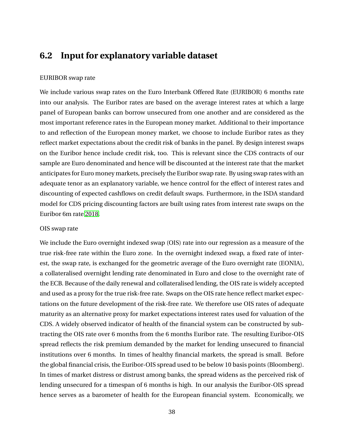# **6.2 Input for explanatory variable dataset**

## EURIBOR swap rate

We include various swap rates on the Euro Interbank Offered Rate (EURIBOR) 6 months rate into our analysis. The Euribor rates are based on the average interest rates at which a large panel of European banks can borrow unsecured from one another and are considered as the most important reference rates in the European money market. Additional to their importance to and reflection of the European money market, we choose to include Euribor rates as they reflect market expectations about the credit risk of banks in the panel. By design interest swaps on the Euribor hence include credit risk, too. This is relevant since the CDS contracts of our sample are Euro denominated and hence will be discounted at the interest rate that the market anticipates for Euro money markets, precisely the Euribor swap rate. By using swap rates with an adequate tenor as an explanatory variable, we hence control for the effect of interest rates and discounting of expected cashflows on credit default swaps. Furthermore, in the ISDA standard model for CDS pricing discounting factors are built using rates from interest rate swaps on the Euribor 6m rate [2018.](#page-93-0)

#### OIS swap rate

We include the Euro overnight indexed swap (OIS) rate into our regression as a measure of the true risk-free rate within the Euro zone. In the overnight indexed swap, a fixed rate of interest, the swap rate, is exchanged for the geometric average of the Euro overnight rate (EONIA), a collateralised overnight lending rate denominated in Euro and close to the overnight rate of the ECB. Because of the daily renewal and collateralised lending, the OIS rate is widely accepted and used as a proxy for the true risk-free rate. Swaps on the OIS rate hence reflect market expectations on the future development of the risk-free rate. We therefore use OIS rates of adequate maturity as an alternative proxy for market expectations interest rates used for valuation of the CDS. A widely observed indicator of health of the financial system can be constructed by subtracting the OIS rate over 6 months from the 6 months Euribor rate. The resulting Euribor-OIS spread reflects the risk premium demanded by the market for lending unsecured to financial institutions over 6 months. In times of healthy financial markets, the spread is small. Before the global financial crisis, the Euribor-OIS spread used to be below 10 basis points (Bloomberg). In times of market distress or distrust among banks, the spread widens as the perceived risk of lending unsecured for a timespan of 6 months is high. In our analysis the Euribor-OIS spread hence serves as a barometer of health for the European financial system. Economically, we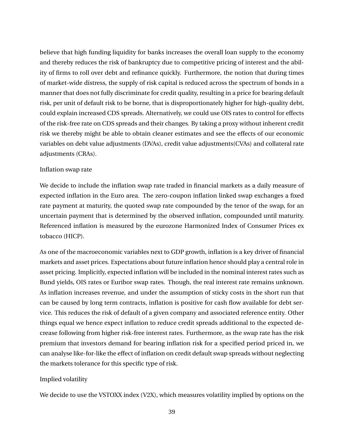believe that high funding liquidity for banks increases the overall loan supply to the economy and thereby reduces the risk of bankruptcy due to competitive pricing of interest and the ability of firms to roll over debt and refinance quickly. Furthermore, the notion that during times of market-wide distress, the supply of risk capital is reduced across the spectrum of bonds in a manner that does not fully discriminate for credit quality, resulting in a price for bearing default risk, per unit of default risk to be borne, that is disproportionately higher for high-quality debt, could explain increased CDS spreads. Alternatively, we could use OIS rates to control for effects of the risk-free rate on CDS spreads and their changes. By taking a proxy without inherent credit risk we thereby might be able to obtain cleaner estimates and see the effects of our economic variables on debt value adjustments (DVAs), credit value adjustments(CVAs) and collateral rate adjustments (CRAs).

## Inflation swap rate

We decide to include the inflation swap rate traded in financial markets as a daily measure of expected inflation in the Euro area. The zero-coupon inflation linked swap exchanges a fixed rate payment at maturity, the quoted swap rate compounded by the tenor of the swap, for an uncertain payment that is determined by the observed inflation, compounded until maturity. Referenced inflation is measured by the eurozone Harmonized Index of Consumer Prices ex tobacco (HICP).

As one of the macroeconomic variables next to GDP growth, inflation is a key driver of financial markets and asset prices. Expectations about future inflation hence should play a central role in asset pricing. Implicitly, expected inflation will be included in the nominal interest rates such as Bund yields, OIS rates or Euribor swap rates. Though, the real interest rate remains unknown. As inflation increases revenue, and under the assumption of sticky costs in the short run that can be caused by long term contracts, inflation is positive for cash flow available for debt service. This reduces the risk of default of a given company and associated reference entity. Other things equal we hence expect inflation to reduce credit spreads additional to the expected decrease following from higher risk-free interest rates. Furthermore, as the swap rate has the risk premium that investors demand for bearing inflation risk for a specified period priced in, we can analyse like-for-like the effect of inflation on credit default swap spreads without neglecting the markets tolerance for this specific type of risk.

## Implied volatility

We decide to use the VSTOXX index (V2X), which measures volatility implied by options on the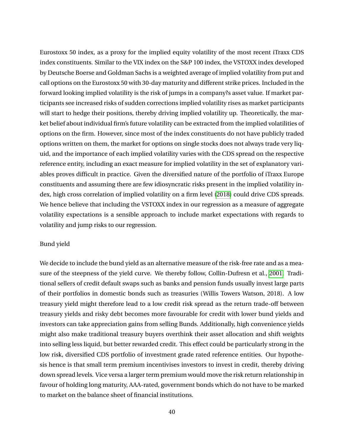Eurostoxx 50 index, as a proxy for the implied equity volatility of the most recent iTraxx CDS index constituents. Similar to the VIX index on the S&P 100 index, the VSTOXX index developed by Deutsche Boerse and Goldman Sachs is a weighted average of implied volatility from put and call options on the Eurostoxx 50 with 30-day maturity and different strike prices. Included in the forward looking implied volatility is the risk of jumps in a company?s asset value. If market participants see increased risks of sudden corrections implied volatility rises as market participants will start to hedge their positions, thereby driving implied volatility up. Theoretically, the market belief about individual firm's future volatility can be extracted from the implied volatilities of options on the firm. However, since most of the index constituents do not have publicly traded options written on them, the market for options on single stocks does not always trade very liquid, and the importance of each implied volatility varies with the CDS spread on the respective reference entity, including an exact measure for implied volatility in the set of explanatory variables proves difficult in practice. Given the diversified nature of the portfolio of iTraxx Europe constituents and assuming there are few idiosyncratic risks present in the implied volatility index, high cross correlation of implied volatility on a firm level [\(2018\)](#page-93-1) could drive CDS spreads. We hence believe that including the VSTOXX index in our regression as a measure of aggregate volatility expectations is a sensible approach to include market expectations with regards to volatility and jump risks to our regression.

## Bund yield

We decide to include the bund yield as an alternative measure of the risk-free rate and as a measure of the steepness of the yield curve. We thereby follow, Collin-Dufresn et al., [2001.](#page-93-2) Traditional sellers of credit default swaps such as banks and pension funds usually invest large parts of their portfolios in domestic bonds such as treasuries (Willis Towers Watson, 2018). A low treasury yield might therefore lead to a low credit risk spread as the return trade-off between treasury yields and risky debt becomes more favourable for credit with lower bund yields and investors can take appreciation gains from selling Bunds. Additionally, high convenience yields might also make traditional treasury buyers overthink their asset allocation and shift weights into selling less liquid, but better rewarded credit. This effect could be particularly strong in the low risk, diversified CDS portfolio of investment grade rated reference entities. Our hypothesis hence is that small term premium incentivises investors to invest in credit, thereby driving down spread levels. Vice versa a larger term premium would move the risk return relationship in favour of holding long maturity, AAA-rated, government bonds which do not have to be marked to market on the balance sheet of financial institutions.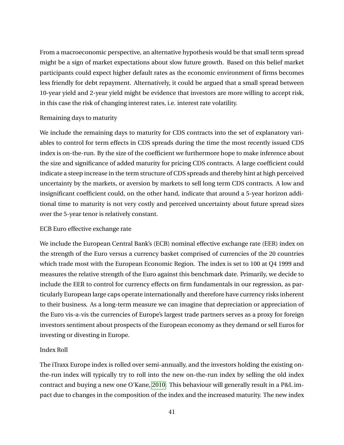From a macroeconomic perspective, an alternative hypothesis would be that small term spread might be a sign of market expectations about slow future growth. Based on this belief market participants could expect higher default rates as the economic environment of firms becomes less friendly for debt repayment. Alternatively, it could be argued that a small spread between 10-year yield and 2-year yield might be evidence that investors are more willing to accept risk, in this case the risk of changing interest rates, i.e. interest rate volatility.

## Remaining days to maturity

We include the remaining days to maturity for CDS contracts into the set of explanatory variables to control for term effects in CDS spreads during the time the most recently issued CDS index is on-the-run. By the size of the coefficient we furthermore hope to make inference about the size and significance of added maturity for pricing CDS contracts. A large coefficient could indicate a steep increase in the term structure of CDS spreads and thereby hint at high perceived uncertainty by the markets, or aversion by markets to sell long term CDS contracts. A low and insignificant coefficient could, on the other hand, indicate that around a 5-year horizon additional time to maturity is not very costly and perceived uncertainty about future spread sizes over the 5-year tenor is relatively constant.

## ECB Euro effective exchange rate

We include the European Central Bank's (ECB) nominal effective exchange rate (EER) index on the strength of the Euro versus a currency basket comprised of currencies of the 20 countries which trade most with the European Economic Region. The index is set to 100 at Q4 1999 and measures the relative strength of the Euro against this benchmark date. Primarily, we decide to include the EER to control for currency effects on firm fundamentals in our regression, as particularly European large caps operate internationally and therefore have currency risks inherent to their business. As a long-term measure we can imagine that depreciation or appreciation of the Euro vis-a-vis the currencies of Europe's largest trade partners serves as a proxy for foreign investors sentiment about prospects of the European economy as they demand or sell Euros for investing or divesting in Europe.

## Index Roll

The iTraxx Europe index is rolled over semi-annually, and the investors holding the existing onthe-run index will typically try to roll into the new on-the-run index by selling the old index contract and buying a new one O'Kane, [2010.](#page-95-0) This behaviour will generally result in a P&L impact due to changes in the composition of the index and the increased maturity. The new index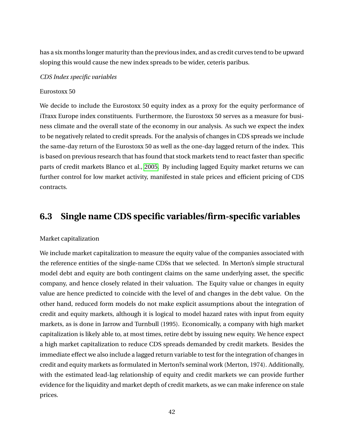has a six months longer maturity than the previous index, and as credit curves tend to be upward sloping this would cause the new index spreads to be wider, ceteris paribus.

### *CDS Index specific variables*

#### Eurostoxx 50

We decide to include the Eurostoxx 50 equity index as a proxy for the equity performance of iTraxx Europe index constituents. Furthermore, the Eurostoxx 50 serves as a measure for business climate and the overall state of the economy in our analysis. As such we expect the index to be negatively related to credit spreads. For the analysis of changes in CDS spreads we include the same-day return of the Eurostoxx 50 as well as the one-day lagged return of the index. This is based on previous research that has found that stock markets tend to react faster than specific parts of credit markets Blanco et al., [2005.](#page-93-3) By including lagged Equity market returns we can further control for low market activity, manifested in stale prices and efficient pricing of CDS contracts.

## **6.3 Single name CDS specific variables/firm-specific variables**

#### Market capitalization

We include market capitalization to measure the equity value of the companies associated with the reference entities of the single-name CDSs that we selected. In Merton's simple structural model debt and equity are both contingent claims on the same underlying asset, the specific company, and hence closely related in their valuation. The Equity value or changes in equity value are hence predicted to coincide with the level of and changes in the debt value. On the other hand, reduced form models do not make explicit assumptions about the integration of credit and equity markets, although it is logical to model hazard rates with input from equity markets, as is done in Jarrow and Turnbull (1995). Economically, a company with high market capitalization is likely able to, at most times, retire debt by issuing new equity. We hence expect a high market capitalization to reduce CDS spreads demanded by credit markets. Besides the immediate effect we also include a lagged return variable to test for the integration of changes in credit and equity markets as formulated in Merton?s seminal work (Merton, 1974). Additionally, with the estimated lead-lag relationship of equity and credit markets we can provide further evidence for the liquidity and market depth of credit markets, as we can make inference on stale prices.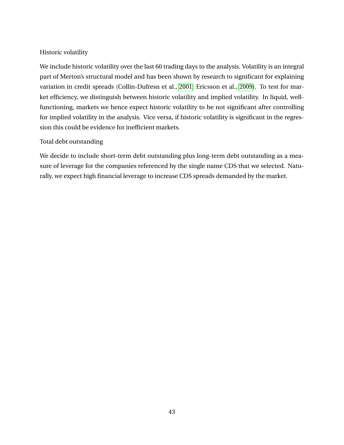## Historic volatility

We include historic volatility over the last 60 trading days to the analysis. Volatility is an integral part of Merton's structural model and has been shown by research to significant for explaining variation in credit spreads (Collin-Dufresn et al., [2001;](#page-93-2) Ericsson et al., [2009\)](#page-94-0). To test for market efficiency, we distinguish between historic volatility and implied volatility. In liquid, wellfunctioning, markets we hence expect historic volatility to be not significant after controlling for implied volatility in the analysis. Vice versa, if historic volatility is significant in the regression this could be evidence for inefficient markets.

## Total debt outstanding

We decide to include short-term debt outstanding plus long-term debt outstanding as a measure of leverage for the companies referenced by the single name CDS that we selected. Naturally, we expect high financial leverage to increase CDS spreads demanded by the market.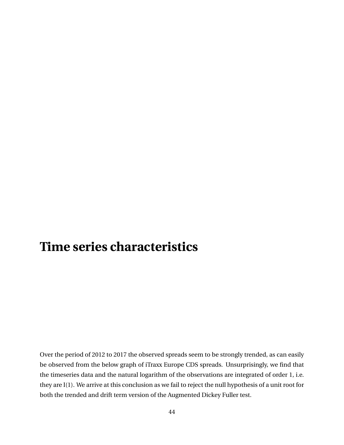# **Time series characteristics**

Over the period of 2012 to 2017 the observed spreads seem to be strongly trended, as can easily be observed from the below graph of iTraxx Europe CDS spreads. Unsurprisingly, we find that the timeseries data and the natural logarithm of the observations are integrated of order 1, i.e. they are I(1). We arrive at this conclusion as we fail to reject the null hypothesis of a unit root for both the trended and drift term version of the Augmented Dickey Fuller test.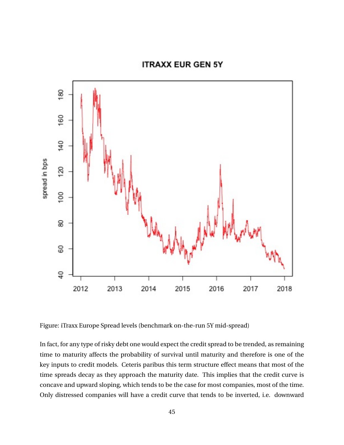## **ITRAXX EUR GEN 5Y**



Figure: iTraxx Europe Spread levels (benchmark on-the-run 5Y mid-spread)

In fact, for any type of risky debt one would expect the credit spread to be trended, as remaining time to maturity affects the probability of survival until maturity and therefore is one of the key inputs to credit models. Ceteris paribus this term structure effect means that most of the time spreads decay as they approach the maturity date. This implies that the credit curve is concave and upward sloping, which tends to be the case for most companies, most of the time. Only distressed companies will have a credit curve that tends to be inverted, i.e. downward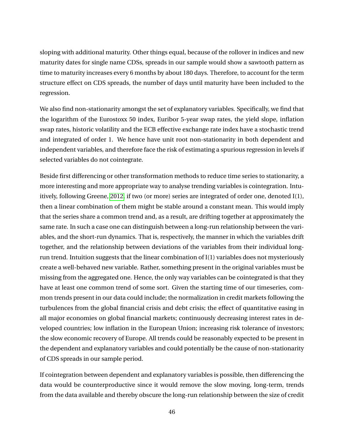sloping with additional maturity. Other things equal, because of the rollover in indices and new maturity dates for single name CDSs, spreads in our sample would show a sawtooth pattern as time to maturity increases every 6 months by about 180 days. Therefore, to account for the term structure effect on CDS spreads, the number of days until maturity have been included to the regression.

We also find non-stationarity amongst the set of explanatory variables. Specifically, we find that the logarithm of the Eurostoxx 50 index, Euribor 5-year swap rates, the yield slope, inflation swap rates, historic volatility and the ECB effective exchange rate index have a stochastic trend and integrated of order 1. We hence have unit root non-stationarity in both dependent and independent variables, and therefore face the risk of estimating a spurious regression in levels if selected variables do not cointegrate.

Beside first differencing or other transformation methods to reduce time series to stationarity, a more interesting and more appropriate way to analyse trending variables is cointegration. Intuitively, following Greene, [2012,](#page-94-1) if two (or more) series are integrated of order one, denoted I(1), then a linear combination of them might be stable around a constant mean. This would imply that the series share a common trend and, as a result, are drifting together at approximately the same rate. In such a case one can distinguish between a long-run relationship between the variables, and the short-run dynamics. That is, respectively, the manner in which the variables drift together, and the relationship between deviations of the variables from their individual longrun trend. Intuition suggests that the linear combination of I(1) variables does not mysteriously create a well-behaved new variable. Rather, something present in the original variables must be missing from the aggregated one. Hence, the only way variables can be cointegrated is that they have at least one common trend of some sort. Given the starting time of our timeseries, common trends present in our data could include; the normalization in credit markets following the turbulences from the global financial crisis and debt crisis; the effect of quantitative easing in all major economies on global financial markets; continuously decreasing interest rates in developed countries; low inflation in the European Union; increasing risk tolerance of investors; the slow economic recovery of Europe. All trends could be reasonably expected to be present in the dependent and explanatory variables and could potentially be the cause of non-stationarity of CDS spreads in our sample period.

If cointegration between dependent and explanatory variables is possible, then differencing the data would be counterproductive since it would remove the slow moving, long-term, trends from the data available and thereby obscure the long-run relationship between the size of credit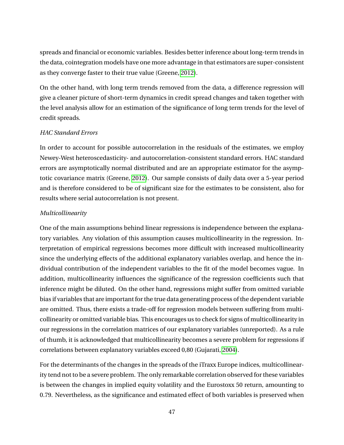spreads and financial or economic variables. Besides better inference about long-term trends in the data, cointegration models have one more advantage in that estimators are super-consistent as they converge faster to their true value (Greene, [2012\)](#page-94-1).

On the other hand, with long term trends removed from the data, a difference regression will give a cleaner picture of short-term dynamics in credit spread changes and taken together with the level analysis allow for an estimation of the significance of long term trends for the level of credit spreads.

## *HAC Standard Errors*

In order to account for possible autocorrelation in the residuals of the estimates, we employ Newey-West heteroscedasticity- and autocorrelation-consistent standard errors. HAC standard errors are asymptotically normal distributed and are an appropriate estimator for the asymptotic covariance matrix (Greene, [2012\)](#page-94-1). Our sample consists of daily data over a 5-year period and is therefore considered to be of significant size for the estimates to be consistent, also for results where serial autocorrelation is not present.

## *Multicollinearity*

One of the main assumptions behind linear regressions is independence between the explanatory variables. Any violation of this assumption causes multicollinearity in the regression. Interpretation of empirical regressions becomes more difficult with increased multicollinearity since the underlying effects of the additional explanatory variables overlap, and hence the individual contribution of the independent variables to the fit of the model becomes vague. In addition, multicollinearity influences the significance of the regression coefficients such that inference might be diluted. On the other hand, regressions might suffer from omitted variable bias if variables that are important for the true data generating process of the dependent variable are omitted. Thus, there exists a trade-off for regression models between suffering from multicollinearity or omitted variable bias. This encourages us to check for signs of multicollinearity in our regressions in the correlation matrices of our explanatory variables (unreported). As a rule of thumb, it is acknowledged that multicollinearity becomes a severe problem for regressions if correlations between explanatory variables exceed 0,80 (Gujarati, [2004\)](#page-94-2).

For the determinants of the changes in the spreads of the iTraxx Europe indices, multicollinearity tend not to be a severe problem. The only remarkable correlation observed for these variables is between the changes in implied equity volatility and the Eurostoxx 50 return, amounting to 0.79. Nevertheless, as the significance and estimated effect of both variables is preserved when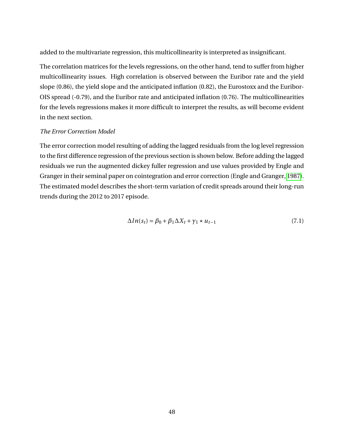added to the multivariate regression, this multicollinearity is interpreted as insignificant.

The correlation matrices for the levels regressions, on the other hand, tend to suffer from higher multicollinearity issues. High correlation is observed between the Euribor rate and the yield slope (0.86), the yield slope and the anticipated inflation (0.82), the Eurostoxx and the Euribor-OIS spread (-0.79), and the Euribor rate and anticipated inflation (0.76). The multicollinearities for the levels regressions makes it more difficult to interpret the results, as will become evident in the next section.

#### *The Error Correction Model*

The error correction model resulting of adding the lagged residuals from the log level regression to the first difference regression of the previous section is shown below. Before adding the lagged residuals we run the augmented dickey fuller regression and use values provided by Engle and Granger in their seminal paper on cointegration and error correction (Engle and Granger, [1987\)](#page-94-3). The estimated model describes the short-term variation of credit spreads around their long-run trends during the 2012 to 2017 episode.

$$
\Delta ln(s_t) = \beta_0 + \beta_1 \Delta X_t + \gamma_1 * u_{t-1}
$$
\n(7.1)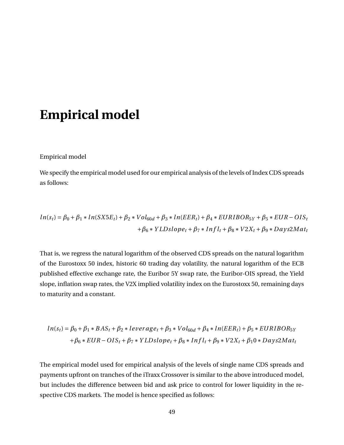# **Empirical model**

Empirical model

We specify the empirical model used for our empirical analysis of the levels of Index CDS spreads as follows:

$$
ln(s_t) = \beta_0 + \beta_1 * ln(SX5E_t) + \beta_2 * Vol_{60d} + \beta_3 * ln(EER_t) + \beta_4 * EURIBOR_{5Y} + \beta_5 * EUR - OIS_t + \beta_6 * YLDslope_t + \beta_7 * Infl_t + \beta_8 * V2X_t + \beta_9 * Days2Mat_t
$$

That is, we regress the natural logarithm of the observed CDS spreads on the natural logarithm of the Eurostoxx 50 index, historic 60 trading day volatility, the natural logarithm of the ECB published effective exchange rate, the Euribor 5Y swap rate, the Euribor-OIS spread, the Yield slope, inflation swap rates, the V2X implied volatility index on the Eurostoxx 50, remaining days to maturity and a constant.

$$
ln(s_t) = \beta_0 + \beta_1 * BAS_t + \beta_2 * leverage_t + \beta_3 * Vol_{60d} + \beta_4 * ln(EER_t) + \beta_5 * EURIBOR_{5Y}
$$
  
+
$$
\beta_6 * EUR - OIS_t + \beta_7 * YLDslope_t + \beta_8 * Infl_t + \beta_9 * V2X_t + \beta_1 0 * Days2Mat_t
$$

The empirical model used for empirical analysis of the levels of single name CDS spreads and payments upfront on tranches of the iTraxx Crossover is similar to the above introduced model, but includes the difference between bid and ask price to control for lower liquidity in the respective CDS markets. The model is hence specified as follows: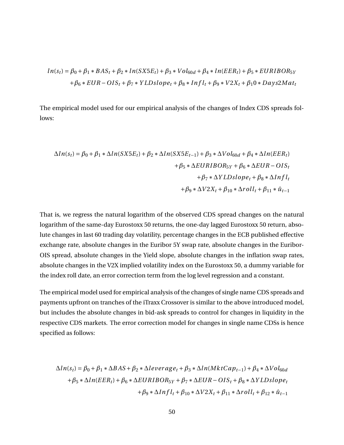$$
ln(s_t) = \beta_0 + \beta_1 * BAS_t + \beta_2 * ln(SX5E_t) + \beta_3 * Vol_{60d} + \beta_4 * ln(EER_t) + \beta_5 * EURIBOR_5y
$$
  
+  $\beta_6 * EUR - OIS_t + \beta_7 * YLDslope_t + \beta_8 * Infl_t + \beta_9 * V2X_t + \beta_1 0 * Days2Mat_t$ 

The empirical model used for our empirical analysis of the changes of Index CDS spreads follows:

$$
\begin{aligned} \Delta ln(s_t) = \beta_0 + \beta_1 * \Delta ln(SX5E_t) + \beta_2 * \Delta ln(SX5E_{t-1}) + \beta_3 * \Delta Vol_{60d} + \beta_4 * \Delta ln(EER_t) \\ + \beta_5 * \Delta EURIBOR_{5Y} + \beta_6 * \Delta EUR-OIS_t \\ + \beta_7 * \Delta YLDslope_t + \beta_8 * \Delta Infl_t \\ + \beta_9 * \Delta V2X_t + \beta_{10} * \Delta roll_t + \beta_{11} * \hat{u}_{t-1} \end{aligned}
$$

That is, we regress the natural logarithm of the observed CDS spread changes on the natural logarithm of the same-day Eurostoxx 50 returns, the one-day lagged Eurostoxx 50 return, absolute changes in last 60 trading day volatility, percentage changes in the ECB published effective exchange rate, absolute changes in the Euribor 5Y swap rate, absolute changes in the Euribor-OIS spread, absolute changes in the Yield slope, absolute changes in the inflation swap rates, absolute changes in the V2X implied volatility index on the Eurostoxx 50, a dummy variable for the index roll date, an error correction term from the log level regression and a constant.

The empirical model used for empirical analysis of the changes of single name CDS spreads and payments upfront on tranches of the iTraxx Crossover is similar to the above introduced model, but includes the absolute changes in bid-ask spreads to control for changes in liquidity in the respective CDS markets. The error correction model for changes in single name CDSs is hence specified as follows:

$$
\Delta ln(s_t) = \beta_0 + \beta_1 * \Delta BAS + \beta_2 * \Delta leverage_t + \beta_3 * \Delta ln(MktCap_{t-1}) + \beta_4 * \Delta Vol_{60d}
$$
  
+  $\beta_5 * \Delta ln(EER_t) + \beta_6 * \Delta EURIBOR_{5Y} + \beta_7 * \Delta EUR - OIS_t + \beta_8 * \Delta YLDslope_t$   
+  $\beta_9 * \Delta Infl_t + \beta_{10} * \Delta V2X_t + \beta_{11} * \Delta roll_t + \beta_{12} * \hat{u}_{t-1}$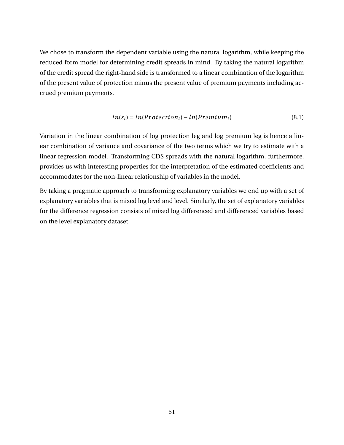We chose to transform the dependent variable using the natural logarithm, while keeping the reduced form model for determining credit spreads in mind. By taking the natural logarithm of the credit spread the right-hand side is transformed to a linear combination of the logarithm of the present value of protection minus the present value of premium payments including accrued premium payments.

$$
ln(s_t) = ln(Protection_t) - ln(Premium_t)
$$
\n(8.1)

Variation in the linear combination of log protection leg and log premium leg is hence a linear combination of variance and covariance of the two terms which we try to estimate with a linear regression model. Transforming CDS spreads with the natural logarithm, furthermore, provides us with interesting properties for the interpretation of the estimated coefficients and accommodates for the non-linear relationship of variables in the model.

By taking a pragmatic approach to transforming explanatory variables we end up with a set of explanatory variables that is mixed log level and level. Similarly, the set of explanatory variables for the difference regression consists of mixed log differenced and differenced variables based on the level explanatory dataset.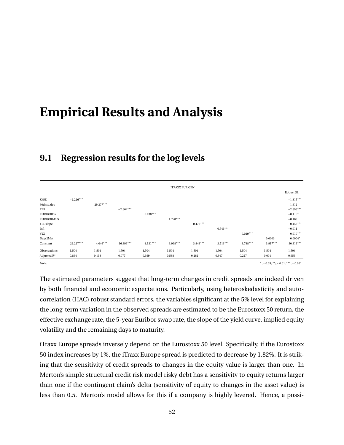# **Empirical Results and Analysis**

|                    |             |            |             |            | <b>ITRAXX EUR GEN</b> |            |            |            |            |             |
|--------------------|-------------|------------|-------------|------------|-----------------------|------------|------------|------------|------------|-------------|
|                    |             |            |             |            |                       |            |            |            |            | Robust SE   |
| SX5E               | $-2.226***$ |            |             |            |                       |            |            |            |            | $-1.815***$ |
| 60d std.dev        |             | 29.377***  |             |            |                       |            |            |            |            | 1.612       |
| EER                |             |            | $-2.664***$ |            |                       |            |            |            |            | $-2.696***$ |
| <b>EURIBOR5Y</b>   |             |            |             | $0.438***$ |                       |            |            |            |            | $-0.116*$   |
| <b>EURIBOR-OIS</b> |             |            |             |            | $1.720***$            |            |            |            |            | $-0.163$    |
| YLDslope           |             |            |             |            |                       | $0.475***$ |            |            |            | $0.458***$  |
| Infl               |             |            |             |            |                       |            | $0.546***$ |            |            | $-0.011$    |
| V2X                |             |            |             |            |                       |            |            | $0.029***$ |            | $0.010***$  |
| Days2Mat           |             |            |             |            |                       |            |            |            | 0.0003     | $0.0004*$   |
| Constant           | 22.227***   | $4.046***$ | 16.899***   | $4.131***$ | $3.968***$            | $3.848***$ | $3.713***$ | $3.788***$ | $3.917***$ | 30.316***   |
| Observations       | 1,504       | 1,504      | 1,504       | 1,504      | 1,504                 | 1,504      | 1,504      | 1,504      | 1,504      | 1,504       |
| Adjusted $R^2$     | 0.864       | 0.118      | 0.077       | 0.399      | 0.588                 | 0.262      | 0.347      | 0.227      | 0.001      | 0.956       |

# **9.1 Regression results for the log levels**

*Note:* <sup>∗</sup>p<0.05; ∗∗p<0.01; ∗∗∗p<0.001

The estimated parameters suggest that long-term changes in credit spreads are indeed driven by both financial and economic expectations. Particularly, using heteroskedasticity and autocorrelation (HAC) robust standard errors, the variables significant at the 5% level for explaining the long-term variation in the observed spreads are estimated to be the Eurostoxx 50 return, the effective exchange rate, the 5-year Euribor swap rate, the slope of the yield curve, implied equity volatility and the remaining days to maturity.

iTraxx Europe spreads inversely depend on the Eurostoxx 50 level. Specifically, if the Eurostoxx 50 index increases by 1%, the iTraxx Europe spread is predicted to decrease by 1.82%. It is striking that the sensitivity of credit spreads to changes in the equity value is larger than one. In Merton's simple structural credit risk model risky debt has a sensitivity to equity returns larger than one if the contingent claim's delta (sensitivity of equity to changes in the asset value) is less than 0.5. Merton's model allows for this if a company is highly levered. Hence, a possi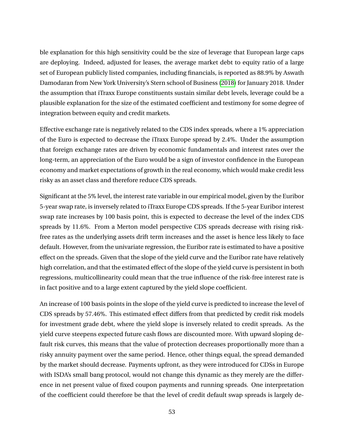ble explanation for this high sensitivity could be the size of leverage that European large caps are deploying. Indeed, adjusted for leases, the average market debt to equity ratio of a large set of European publicly listed companies, including financials, is reported as 88.9% by Aswath Damodaran from New York University's Stern school of Business [\(2018\)](#page-93-1) for January 2018. Under the assumption that iTraxx Europe constituents sustain similar debt levels, leverage could be a plausible explanation for the size of the estimated coefficient and testimony for some degree of integration between equity and credit markets.

Effective exchange rate is negatively related to the CDS index spreads, where a 1% appreciation of the Euro is expected to decrease the iTraxx Europe spread by 2.4%. Under the assumption that foreign exchange rates are driven by economic fundamentals and interest rates over the long-term, an appreciation of the Euro would be a sign of investor confidence in the European economy and market expectations of growth in the real economy, which would make credit less risky as an asset class and therefore reduce CDS spreads.

Significant at the 5% level, the interest rate variable in our empirical model, given by the Euribor 5-year swap rate, is inversely related to iTraxx Europe CDS spreads. If the 5-year Euribor interest swap rate increases by 100 basis point, this is expected to decrease the level of the index CDS spreads by 11.6%. From a Merton model perspective CDS spreads decrease with rising riskfree rates as the underlying assets drift term increases and the asset is hence less likely to face default. However, from the univariate regression, the Euribor rate is estimated to have a positive effect on the spreads. Given that the slope of the yield curve and the Euribor rate have relatively high correlation, and that the estimated effect of the slope of the yield curve is persistent in both regressions, multicollinearity could mean that the true influence of the risk-free interest rate is in fact positive and to a large extent captured by the yield slope coefficient.

An increase of 100 basis points in the slope of the yield curve is predicted to increase the level of CDS spreads by 57.46%. This estimated effect differs from that predicted by credit risk models for investment grade debt, where the yield slope is inversely related to credit spreads. As the yield curve steepens expected future cash flows are discounted more. With upward sloping default risk curves, this means that the value of protection decreases proportionally more than a risky annuity payment over the same period. Hence, other things equal, the spread demanded by the market should decrease. Payments upfront, as they were introduced for CDSs in Europe with ISDA's small bang protocol, would not change this dynamic as they merely are the difference in net present value of fixed coupon payments and running spreads. One interpretation of the coefficient could therefore be that the level of credit default swap spreads is largely de-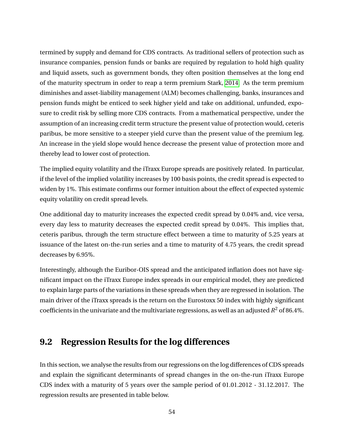termined by supply and demand for CDS contracts. As traditional sellers of protection such as insurance companies, pension funds or banks are required by regulation to hold high quality and liquid assets, such as government bonds, they often position themselves at the long end of the maturity spectrum in order to reap a term premium Stark, [2014.](#page-95-1) As the term premium diminishes and asset-liability management (ALM) becomes challenging, banks, insurances and pension funds might be enticed to seek higher yield and take on additional, unfunded, exposure to credit risk by selling more CDS contracts. From a mathematical perspective, under the assumption of an increasing credit term structure the present value of protection would, ceteris paribus, be more sensitive to a steeper yield curve than the present value of the premium leg. An increase in the yield slope would hence decrease the present value of protection more and thereby lead to lower cost of protection.

The implied equity volatility and the iTraxx Europe spreads are positively related. In particular, if the level of the implied volatility increases by 100 basis points, the credit spread is expected to widen by 1%. This estimate confirms our former intuition about the effect of expected systemic equity volatility on credit spread levels.

One additional day to maturity increases the expected credit spread by 0.04% and, vice versa, every day less to maturity decreases the expected credit spread by 0.04%. This implies that, ceteris paribus, through the term structure effect between a time to maturity of 5.25 years at issuance of the latest on-the-run series and a time to maturity of 4.75 years, the credit spread decreases by 6.95%.

Interestingly, although the Euribor-OIS spread and the anticipated inflation does not have significant impact on the iTraxx Europe index spreads in our empirical model, they are predicted to explain large parts of the variations in these spreads when they are regressed in isolation. The main driver of the iTraxx spreads is the return on the Eurostoxx 50 index with highly significant coefficients in the univariate and the multivariate regressions, as well as an adjusted  $R^2$  of 86.4%.

# **9.2 Regression Results for the log differences**

In this section, we analyse the results from our regressions on the log differences of CDS spreads and explain the significant determinants of spread changes in the on-the-run iTraxx Europe CDS index with a maturity of 5 years over the sample period of 01.01.2012 - 31.12.2017. The regression results are presented in table below.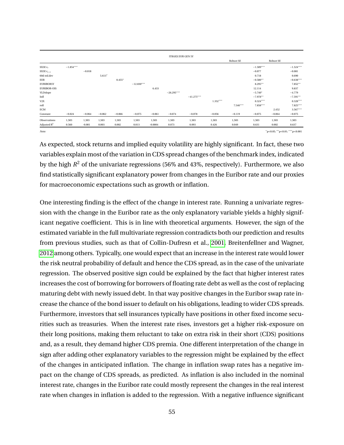|                         |             |          |          |          |              |           | <b>ITRAXX EUR GEN 5Y</b> |              |            |            |             |           |             |
|-------------------------|-------------|----------|----------|----------|--------------|-----------|--------------------------|--------------|------------|------------|-------------|-----------|-------------|
|                         |             |          |          |          |              |           |                          |              |            | Robust SE  |             | Robust SE |             |
| SX5E $r_t$              | $-1.854***$ |          |          |          |              |           |                          |              |            |            | $-1.509***$ |           | $-1.524***$ |
| SX5E $r_{t-1}$          |             | $-0.018$ |          |          |              |           |                          |              |            |            | $-0.077$    |           | $-0.081$    |
| 60d std.dev             |             |          | $5.613*$ |          |              |           |                          |              |            |            | 0.718       |           | 0.690       |
| EER                     |             |          |          | $0.455*$ |              |           |                          |              |            |            | $-0.580**$  |           | $-0.638***$ |
| <b>EURIBOR5Y</b>        |             |          |          |          | $-12.830***$ |           |                          |              |            |            | $8.295***$  |           | $7.852**$   |
| <b>EURIBOR-OIS</b>      |             |          |          |          |              | 6.433     |                          |              |            |            | 12.114      |           | 9.837       |
| YLDslope                |             |          |          |          |              |           | $-26.295***$             |              |            |            | $-5.740*$   |           | $-4.779$    |
| Infl                    |             |          |          |          |              |           |                          | $-41.275***$ |            |            | $-7.978**$  |           | $-7.591**$  |
| V2X                     |             |          |          |          |              |           |                          |              | $1.352***$ |            | $0.324***$  |           | $0.328***$  |
| roll                    |             |          |          |          |              |           |                          |              |            | $7.546***$ | $7.858***$  |           | 7.825***    |
| <b>ECM</b>              |             |          |          |          |              |           |                          |              |            |            |             | 2.452     | $3.567***$  |
| Constant                | $-0.024$    | $-0.064$ | $-0.062$ | $-0.066$ | $-0.075$     | $-0.061$  | $-0.074$                 | $-0.078$     | $-0.056$   | $-0.119$   | $-0.075$    | $-0.064$  | $-0.075$    |
| Observations            | 1,503       | 1,503    | 1,503    | 1,503    | 1,503        | 1,503     | 1,503                    | 1,503        | 1,503      | 1,503      | 1,503       | 1,503     | 1,503       |
| Adjusted $\mathbb{R}^2$ | 0.560       | $-0.001$ | 0.003    | 0.002    | 0.013        | $-0.0004$ | 0.073                    | 0.093        | 0.426      | 0.049      | 0.631       | 0.002     | 0.637       |

*Note:*  $*_{p<0.01}$ ; \*\* $_{p<0.01}$ ; \*\* $_{p<0.01}$ ; \*\* $_{p<0.01}$ 

As expected, stock returns and implied equity volatility are highly significant. In fact, these two variables explain most of the variation in CDS spread changes of the benchmark index, indicated by the high  $R^2$  of the univariate regressions (56% and 43%, respectively). Furthermore, we also find statistically significant explanatory power from changes in the Euribor rate and our proxies for macroeconomic expectations such as growth or inflation.

One interesting finding is the effect of the change in interest rate. Running a univariate regression with the change in the Euribor rate as the only explanatory variable yields a highly significant negative coefficient. This is in line with theoretical arguments. However, the sign of the estimated variable in the full multivariate regression contradicts both our prediction and results from previous studies, such as that of Collin-Dufresn et al., [2001,](#page-93-2) Breitenfellner and Wagner, [2012](#page-93-4) among others. Typically, one would expect that an increase in the interest rate would lower the risk neutral probability of default and hence the CDS spread, as in the case of the univariate regression. The observed positive sign could be explained by the fact that higher interest rates increases the cost of borrowing for borrowers of floating rate debt as well as the cost of replacing maturing debt with newly issued debt. In that way positive changes in the Euribor swap rate increase the chance of the bond issuer to default on his obligations, leading to wider CDS spreads. Furthermore, investors that sell insurances typically have positions in other fixed income securities such as treasuries. When the interest rate rises, investors get a higher risk-exposure on their long positions, making them reluctant to take on extra risk in their short (CDS) positions and, as a result, they demand higher CDS premia. One different interpretation of the change in sign after adding other explanatory variables to the regression might be explained by the effect of the changes in anticipated inflation. The change in inflation swap rates has a negative impact on the change of CDS spreads, as predicted. As inflation is also included in the nominal interest rate, changes in the Euribor rate could mostly represent the changes in the real interest rate when changes in inflation is added to the regression. With a negative influence significant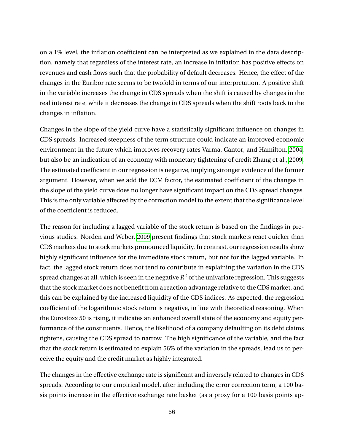on a 1% level, the inflation coefficient can be interpreted as we explained in the data description, namely that regardless of the interest rate, an increase in inflation has positive effects on revenues and cash flows such that the probability of default decreases. Hence, the effect of the changes in the Euribor rate seems to be twofold in terms of our interpretation. A positive shift in the variable increases the change in CDS spreads when the shift is caused by changes in the real interest rate, while it decreases the change in CDS spreads when the shift roots back to the changes in inflation.

Changes in the slope of the yield curve have a statistically significant influence on changes in CDS spreads. Increased steepness of the term structure could indicate an improved economic environment in the future which improves recovery rates Varma, Cantor, and Hamilton, [2004,](#page-95-2) but also be an indication of an economy with monetary tightening of credit Zhang et al., [2009.](#page-95-3) The estimated coefficient in our regression is negative, implying stronger evidence of the former argument. However, when we add the ECM factor, the estimated coefficient of the changes in the slope of the yield curve does no longer have significant impact on the CDS spread changes. This is the only variable affected by the correction model to the extent that the significance level of the coefficient is reduced.

The reason for including a lagged variable of the stock return is based on the findings in previous studies. Norden and Weber, [2009](#page-95-4) present findings that stock markets react quicker than CDS markets due to stock markets pronounced liquidity. In contrast, our regression results show highly significant influence for the immediate stock return, but not for the lagged variable. In fact, the lagged stock return does not tend to contribute in explaining the variation in the CDS spread changes at all, which is seen in the negative  $\mathit{R}^{2}$  of the univariate regression. This suggests that the stock market does not benefit from a reaction advantage relative to the CDS market, and this can be explained by the increased liquidity of the CDS indices. As expected, the regression coefficient of the logarithmic stock return is negative, in line with theoretical reasoning. When the Eurostoxx 50 is rising, it indicates an enhanced overall state of the economy and equity performance of the constituents. Hence, the likelihood of a company defaulting on its debt claims tightens, causing the CDS spread to narrow. The high significance of the variable, and the fact that the stock return is estimated to explain 56% of the variation in the spreads, lead us to perceive the equity and the credit market as highly integrated.

The changes in the effective exchange rate is significant and inversely related to changes in CDS spreads. According to our empirical model, after including the error correction term, a 100 basis points increase in the effective exchange rate basket (as a proxy for a 100 basis points ap-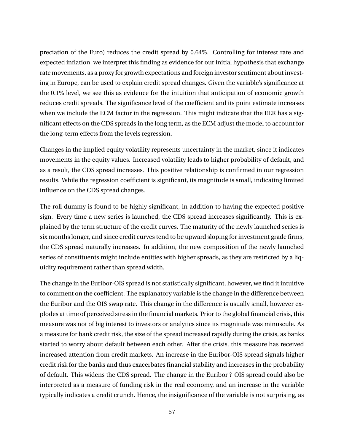preciation of the Euro) reduces the credit spread by 0.64%. Controlling for interest rate and expected inflation, we interpret this finding as evidence for our initial hypothesis that exchange rate movements, as a proxy for growth expectations and foreign investor sentiment about investing in Europe, can be used to explain credit spread changes. Given the variable's significance at the 0.1% level, we see this as evidence for the intuition that anticipation of economic growth reduces credit spreads. The significance level of the coefficient and its point estimate increases when we include the ECM factor in the regression. This might indicate that the EER has a significant effects on the CDS spreads in the long term, as the ECM adjust the model to account for the long-term effects from the levels regression.

Changes in the implied equity volatility represents uncertainty in the market, since it indicates movements in the equity values. Increased volatility leads to higher probability of default, and as a result, the CDS spread increases. This positive relationship is confirmed in our regression results. While the regression coefficient is significant, its magnitude is small, indicating limited influence on the CDS spread changes.

The roll dummy is found to be highly significant, in addition to having the expected positive sign. Every time a new series is launched, the CDS spread increases significantly. This is explained by the term structure of the credit curves. The maturity of the newly launched series is six months longer, and since credit curves tend to be upward sloping for investment grade firms, the CDS spread naturally increases. In addition, the new composition of the newly launched series of constituents might include entities with higher spreads, as they are restricted by a liquidity requirement rather than spread width.

The change in the Euribor-OIS spread is not statistically significant, however, we find it intuitive to comment on the coefficient. The explanatory variable is the change in the difference between the Euribor and the OIS swap rate. This change in the difference is usually small, however explodes at time of perceived stress in the financial markets. Prior to the global financial crisis, this measure was not of big interest to investors or analytics since its magnitude was minuscule. As a measure for bank credit risk, the size of the spread increased rapidly during the crisis, as banks started to worry about default between each other. After the crisis, this measure has received increased attention from credit markets. An increase in the Euribor-OIS spread signals higher credit risk for the banks and thus exacerbates financial stability and increases in the probability of default. This widens the CDS spread. The change in the Euribor ? OIS spread could also be interpreted as a measure of funding risk in the real economy, and an increase in the variable typically indicates a credit crunch. Hence, the insignificance of the variable is not surprising, as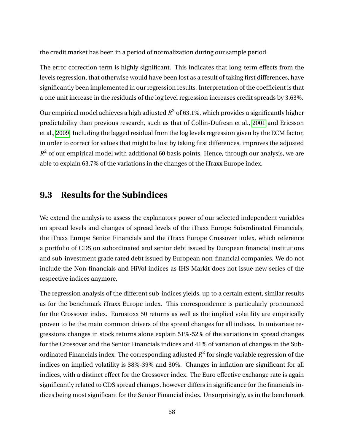the credit market has been in a period of normalization during our sample period.

The error correction term is highly significant. This indicates that long-term effects from the levels regression, that otherwise would have been lost as a result of taking first differences, have significantly been implemented in our regression results. Interpretation of the coefficient is that a one unit increase in the residuals of the log level regression increases credit spreads by 3.63%.

Our empirical model achieves a high adjusted *R* <sup>2</sup> of 63.1%, which provides a significantly higher predictability than previous research, such as that of Collin-Dufresn et al., [2001](#page-93-2) and Ericsson et al., [2009.](#page-94-0) Including the lagged residual from the log levels regression given by the ECM factor, in order to correct for values that might be lost by taking first differences, improves the adjusted  $R<sup>2</sup>$  of our empirical model with additional 60 basis points. Hence, through our analysis, we are able to explain 63.7% of the variations in the changes of the iTraxx Europe index.

# **9.3 Results for the Subindices**

We extend the analysis to assess the explanatory power of our selected independent variables on spread levels and changes of spread levels of the iTraxx Europe Subordinated Financials, the iTraxx Europe Senior Financials and the iTraxx Europe Crossover index, which reference a portfolio of CDS on subordinated and senior debt issued by European financial institutions and sub-investment grade rated debt issued by European non-financial companies. We do not include the Non-financials and HiVol indices as IHS Markit does not issue new series of the respective indices anymore.

The regression analysis of the different sub-indices yields, up to a certain extent, similar results as for the benchmark iTraxx Europe index. This correspondence is particularly pronounced for the Crossover index. Eurostoxx 50 returns as well as the implied volatility are empirically proven to be the main common drivers of the spread changes for all indices. In univariate regressions changes in stock returns alone explain 51%-52% of the variations in spread changes for the Crossover and the Senior Financials indices and 41% of variation of changes in the Subordinated Financials index. The corresponding adjusted  $R^2$  for single variable regression of the indices on implied volatility is 38%-39% and 30%. Changes in inflation are significant for all indices, with a distinct effect for the Crossover index. The Euro effective exchange rate is again significantly related to CDS spread changes, however differs in significance for the financials indices being most significant for the Senior Financial index. Unsurprisingly, as in the benchmark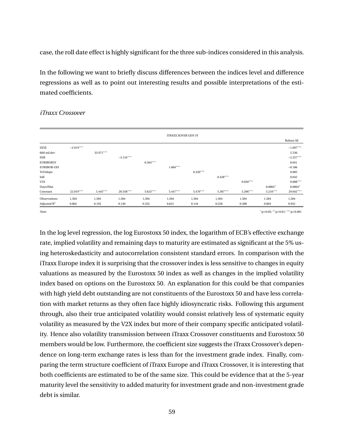case, the roll date effect is highly significant for the three sub-indices considered in this analysis.

In the following we want to briefly discuss differences between the indices level and difference regressions as well as to point out interesting results and possible interpretations of the estimated coefficients.

#### *iTraxx Crossover*

|             |           |             |            |            |            |                            |            |            | Robust SE   |
|-------------|-----------|-------------|------------|------------|------------|----------------------------|------------|------------|-------------|
| $-2.019***$ |           |             |            |            |            |                            |            |            | $-1.697***$ |
|             | 33.971*** |             |            |            |            |                            |            |            | 2.536       |
|             |           | $-3.134***$ |            |            |            |                            |            |            | $-2.257***$ |
|             |           |             | $0.364***$ |            |            |                            |            |            | 0.041       |
|             |           |             |            | $1.604***$ |            |                            |            |            | $-0.186$    |
|             |           |             |            |            | $0.320***$ |                            |            |            | 0.085       |
|             |           |             |            |            |            | $0.428***$                 |            |            | 0.042       |
|             |           |             |            |            |            |                            | $0.030***$ |            | $0.008***$  |
|             |           |             |            |            |            |                            |            | $0.0003*$  | $0.0004*$   |
| 22.019***   | 5.445***  | 20.558***   | $5.623***$ | $5.447***$ | 5.470***   | 5.307***                   | 5.206***   | $5.210***$ | 29.042***   |
| 1,504       | 1,504     | 1,504       | 1,504      | 1,504      | 1,504      | 1,504                      | 1,504      | 1,504      | 1,504       |
| 0.862       | 0.192     | 0.130       | 0.332      | 0.621      | 0.144      | 0.258                      | 0.308      | 0.003      | 0.952       |
|             |           |             |            |            |            | <b>ITRAXX XOVER GEN 5Y</b> |            |            |             |

*Note:* <sup>∗</sup>p<0.05; ∗∗p<0.01; ∗∗∗p<0.001

In the log level regression, the log Eurostoxx 50 index, the logarithm of ECB's effective exchange rate, implied volatility and remaining days to maturity are estimated as significant at the 5% using heteroskedasticity and autocorrelation consistent standard errors. In comparison with the iTraxx Europe index it is surprising that the crossover index is less sensitive to changes in equity valuations as measured by the Eurostoxx 50 index as well as changes in the implied volatility index based on options on the Eurostoxx 50. An explanation for this could be that companies with high yield debt outstanding are not constituents of the Eurostoxx 50 and have less correlation with market returns as they often face highly idiosyncratic risks. Following this argument through, also their true anticipated volatility would consist relatively less of systematic equity volatility as measured by the V2X index but more of their company specific anticipated volatility. Hence also volatility transmission between iTraxx Crossover constituents and Eurostoxx 50 members would be low. Furthermore, the coefficient size suggests the iTraxx Crossover's dependence on long-term exchange rates is less than for the investment grade index. Finally, comparing the term structure coefficient of iTraxx Europe and iTraxx Crossover, it is interesting that both coefficients are estimated to be of the same size. This could be evidence that at the 5-year maturity level the sensitivity to added maturity for investment grade and non-investment grade debt is similar.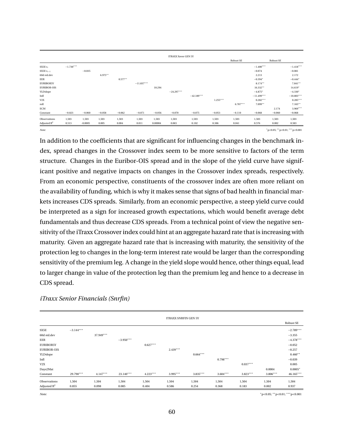|                    |             |           |          |           |              |          | <b>ITRAXX Xover GEN 5Y</b> |              |            |            |              |           |                                   |
|--------------------|-------------|-----------|----------|-----------|--------------|----------|----------------------------|--------------|------------|------------|--------------|-----------|-----------------------------------|
|                    |             |           |          |           |              |          |                            |              |            | Robust SE  |              | Robust SE |                                   |
| SX5E $r_t$         | $-1.730***$ |           |          |           |              |          |                            |              |            |            | $-1.400***$  |           | $-1.418***$                       |
| SX5E $r_{t-1}$     |             | $-0.035$  |          |           |              |          |                            |              |            |            | $-0.074$     |           | $-0.081$                          |
| 60d std.dev        |             |           | 6.975**  |           |              |          |                            |              |            |            | 2.213        |           | 2.172                             |
| EER                |             |           |          | $0.577**$ |              |          |                            |              |            |            | $-0.394*$    |           | $-0.444*$                         |
| <b>EURIBOR5Y</b>   |             |           |          |           | $-11.837***$ |          |                            |              |            |            | $8.174***$   |           | $7.841**$                         |
| <b>EURIBOR-OIS</b> |             |           |          |           |              | 10.294   |                            |              |            |            | $16.332**$   |           | $14.619*$                         |
| YLDslope           |             |           |          |           |              |          | $-24.297***$               |              |            |            | $-4.875*$    |           | $-4.330*$                         |
| Infl               |             |           |          |           |              |          |                            | $-42.189***$ |            |            | $-11.499***$ |           | $-10.803***$                      |
| V2X                |             |           |          |           |              |          |                            |              | $1.255***$ |            | $0.282***$   |           | $0.285***$                        |
| roll               |             |           |          |           |              |          |                            |              |            | $6.787***$ | $7.099**$    |           | $7.165***$                        |
| <b>ECM</b>         |             |           |          |           |              |          |                            |              |            |            |              | 2.174     | $3.969***$                        |
| Constant           | $-0.023$    | $-0.060$  | $-0.058$ | $-0.062$  | $-0.071$     | $-0.056$ | $-0.070$                   | $-0.075$     | $-0.053$   | $-0.110$   | $-0.068$     | $-0.060$  | $-0.068$                          |
| Observations       | 1,503       | 1,503     | 1,503    | 1,503     | 1,503        | 1,503    | 1,503                      | 1,503        | 1,503      | 1,503      | 1,503        | 1,503     | 1,503                             |
| Adjusted $R^2$     | 0.513       | $-0.0005$ | 0.005    | 0.004     | 0.011        | 0.00004  | 0.065                      | 0.102        | 0.386      | 0.041      | 0.576        | 0.002     | 0.583                             |
| Note:              |             |           |          |           |              |          |                            |              |            |            |              |           | $p<0.05$ ; ** p<0.01; *** p<0.001 |

In addition to the coefficients that are significant for influencing changes in the benchmark index, spread changes in the Crossover index seem to be more sensitive to factors of the term structure. Changes in the Euribor-OIS spread and in the slope of the yield curve have significant positive and negative impacts on changes in the Crossover index spreads, respectively. From an economic perspective, constituents of the crossover index are often more reliant on the availability of funding, which is why it makes sense that signs of bad health in financial markets increases CDS spreads. Similarly, from an economic perspective, a steep yield curve could be interpreted as a sign for increased growth expectations, which would benefit average debt fundamentals and thus decrease CDS spreads. From a technical point of view the negative sensitivity of the iTraxx Crossover index could hint at an aggregate hazard rate that is increasing with maturity. Given an aggregate hazard rate that is increasing with maturity, the sensitivity of the protection leg to changes in the long-term interest rate would be larger than the corresponding sensitivity of the premium leg. A change in the yield slope would hence, other things equal, lead to larger change in value of the protection leg than the premium leg and hence to a decrease in CDS spread.

|                    |             |            |             |            | <b>ITRAXX SNRFIN GEN 5Y</b> |            |            |            |            |                  |
|--------------------|-------------|------------|-------------|------------|-----------------------------|------------|------------|------------|------------|------------------|
|                    |             |            |             |            |                             |            |            |            |            | <b>Robust SE</b> |
| SX5E               | $-3.144***$ |            |             |            |                             |            |            |            |            | $-2.789***$      |
| 60d std.dev        |             | 37.949***  |             |            |                             |            |            |            |            | $-3.355$         |
| EER                |             |            | $-3.950***$ |            |                             |            |            |            |            | $-4.378***$      |
| <b>EURIBOR5Y</b>   |             |            |             | $0.627***$ |                             |            |            |            |            | $-0.052$         |
| <b>EURIBOR-OIS</b> |             |            |             |            | $2.439***$                  |            |            |            |            | $-0.257$         |
| YLDslope           |             |            |             |            |                             | $0.664***$ |            |            |            | $0.460**$        |
| Infl               |             |            |             |            |                             |            | $0.798***$ |            |            | $-0.039$         |
| V2X                |             |            |             |            |                             |            |            | $0.037***$ |            | 0.005            |
| Days2Mat           |             |            |             |            |                             |            |            |            | 0.0004     | $0.0005*$        |
| Constant           | 29.790***   | $4.147***$ | 23.140***   | $4.223***$ | $3.995***$                  | $3.835***$ | $3.604***$ | $3.823***$ | $3.806***$ | 46.165***        |
| Observations       | 1,504       | 1,504      | 1,504       | 1,504      | 1,504                       | 1,504      | 1,504      | 1,504      | 1,504      | 1,504            |
| Adjusted $R^2$     | 0.855       | 0.098      | 0.085       | 0.404      | 0.586                       | 0.254      | 0.368      | 0.183      | 0.002      | 0.937            |

#### *iTraxx Senior Financials (Snrfin)*

*Note:* <sup>∗</sup>p<0.05; ∗∗p<0.01; ∗∗∗p<0.001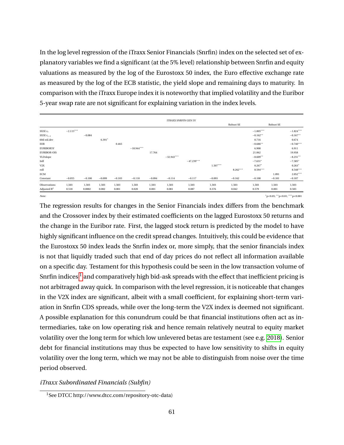In the log level regression of the iTraxx Senior Financials (Snrfin) index on the selected set of explanatory variables we find a significant (at the 5% level) relationship between Snrfin and equity valuations as measured by the log of the Eurostoxx 50 index, the Euro effective exchange rate as measured by the log of the ECB statistic, the yield slope and remaining days to maturity. In comparison with the iTraxx Europe index it is noteworthy that implied volatility and the Euribor 5-year swap rate are not significant for explaining variation in the index levels.

|                    |             |          |          |          |              |          | <b>ITRAXX SNRFIN GEN 5Y</b> |              |            |            |             |           |             |
|--------------------|-------------|----------|----------|----------|--------------|----------|-----------------------------|--------------|------------|------------|-------------|-----------|-------------|
|                    |             |          |          |          |              |          |                             |              |            | Robust SE  |             | Robust SE |             |
| SX5E $r_t$         | $-2.115***$ |          |          |          |              |          |                             |              |            |            | $-1.805***$ |           | $-1.824***$ |
| SX5E $r_{t-1}$     |             | $-0.084$ |          |          |              |          |                             |              |            |            | $-0.162**$  |           | $-0.167**$  |
| 60d std.dev        |             |          | $6.391*$ |          |              |          |                             |              |            |            | 0.716       |           | 0.674       |
| EER                |             |          |          | 0.465    |              |          |                             |              |            |            | $-0.686**$  |           | $-0.740***$ |
| <b>EURIBOR5Y</b>   |             |          |          |          | $-18.944***$ |          |                             |              |            |            | 6.908       |           | 6.911       |
| <b>EURIBOR-OIS</b> |             |          |          |          |              | 17.764   |                             |              |            |            | 21.062      |           | 19.958      |
| YLDslope           |             |          |          |          |              |          | $-32.943***$                |              |            |            | $-8.609**$  |           | $-8.231**$  |
| Infl               |             |          |          |          |              |          |                             | $-47.239***$ |            |            | $-7.631*$   |           | $-7.585*$   |
| V2X                |             |          |          |          |              |          |                             |              | $1.507***$ |            | $0.267*$    |           | $0.263*$    |
| roll               |             |          |          |          |              |          |                             |              |            | $8.262***$ | $8.594***$  |           | $8.548***$  |
| ECM                |             |          |          |          |              |          |                             |              |            |            |             | 1.091     | $2.052***$  |
| Constant           | $-0.055$    | $-0.100$ | $-0.099$ | $-0.103$ | $-0.118$     | $-0.094$ | $-0.114$                    | $-0.117$     | $-0.093$   | $-0.162$   | $-0.108$    | $-0.101$  | $-0.107$    |
| Observations       | 1,503       | 1,503    | 1,503    | 1,503    | 1,503        | 1,503    | 1,503                       | 1,503        | 1,503      | 1,503      | 1,503       | 1,503     | 1,503       |
| Adjusted $R^2$     | 0.518       | 0.0002   | 0.002    | 0.001    | 0.020        | 0.001    | 0.081                       | 0.087        | 0.376      | 0.042      | 0.579       | 0.001     | 0.583       |
| $\cdots$           |             |          |          |          |              |          |                             |              |            |            |             |           |             |

p<0.05; \*\*p<0.01; \*\*\*p<0.001

The regression results for changes in the Senior Financials index differs from the benchmark and the Crossover index by their estimated coefficients on the lagged Eurostoxx 50 returns and the change in the Euribor rate. First, the lagged stock return is predicted by the model to have highly significant influence on the credit spread changes. Intuitively, this could be evidence that the Eurostoxx 50 index leads the Snrfin index or, more simply, that the senior financials index is not that liquidly traded such that end of day prices do not reflect all information available on a specific day. Testament for this hypothesis could be seen in the low transaction volume of Snrfin indices  $^{\rm l}$  and comparatively high bid-ask spreads with the effect that inefficient pricing is not arbitraged away quick. In comparison with the level regression, it is noticeable that changes in the V2X index are significant, albeit with a small coefficient, for explaining short-term variation in Snrfin CDS spreads, while over the long-term the V2X index is deemed not significant. A possible explanation for this conundrum could be that financial institutions often act as intermediaries, take on low operating risk and hence remain relatively neutral to equity market volatility over the long term for which low unlevered betas are testament (see e.g. [2018\)](#page-93-1). Senior debt for financial institutions may thus be expected to have low sensitivity to shifts in equity volatility over the long term, which we may not be able to distinguish from noise over the time period observed.

## *iTraxx Subordinated Financials (Subfin)*

<sup>1</sup>See DTCC http://www.dtcc.com/repository-otc-data)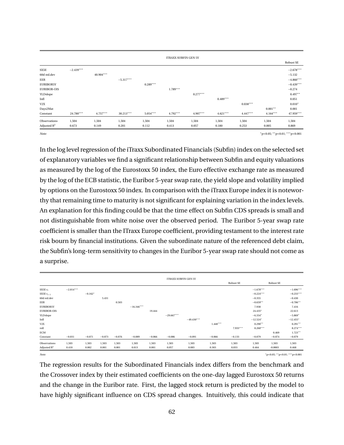|                    |             |            |             |            | <b>ITRAXX SUBFIN GEN 5Y</b> |            |            |            |            |             |
|--------------------|-------------|------------|-------------|------------|-----------------------------|------------|------------|------------|------------|-------------|
|                    |             |            |             |            |                             |            |            |            |            | Robust SE   |
| SX5E               | $-2.439***$ |            |             |            |                             |            |            |            |            | $-2.678***$ |
| 60d std.dev        |             | 40.904***  |             |            |                             |            |            |            |            | $-5.132$    |
| EER                |             |            | $-5.317***$ |            |                             |            |            |            |            | $-4.860***$ |
| <b>EURIBOR5Y</b>   |             |            |             | $0.289***$ |                             |            |            |            |            | $-0.439***$ |
| <b>EURIBOR-OIS</b> |             |            |             |            | $1.789***$                  |            |            |            |            | $-0.274$    |
| YLDslope           |             |            |             |            |                             | $0.277***$ |            |            |            | $0.497**$   |
| Infl               |             |            |             |            |                             |            | $0.489***$ |            |            | 0.051       |
| V2X                |             |            |             |            |                             |            |            | $0.038***$ |            | $0.010*$    |
| Days2Mat           |             |            |             |            |                             |            |            |            | $0.001**$  | 0.001       |
| Constant           | 24.780***   | $4.757***$ | $30.213***$ | $5.054***$ | $4.792***$                  | 4.907***   | $4.621***$ | $4.447***$ | $4.164***$ | 47.959***   |
| Observations       | 1,504       | 1,504      | 1,504       | 1,504      | 1,504                       | 1,504      | 1,504      | 1,504      | 1,504      | 1,504       |
| Adjusted $R^2$     | 0.673       | 0.149      | 0.201       | 0.112      | 0.413                       | 0.057      | 0.180      | 0.253      | 0.005      | 0.869       |

*Note:* <sup>∗</sup>p<0.05; ∗∗p<0.01; ∗∗∗p<0.001

In the log level regression of the iTraxx Subordinated Financials (Subfin) index on the selected set of explanatory variables we find a significant relationship between Subfin and equity valuations as measured by the log of the Eurostoxx 50 index, the Euro effective exchange rate as measured by the log of the ECB statistic, the Euribor 5-year swap rate, the yield slope and volatility implied by options on the Eurostoxx 50 index. In comparison with the iTraxx Europe index it is noteworthy that remaining time to maturity is not significant for explaining variation in the index levels. An explanation for this finding could be that the time effect on Subfin CDS spreads is small and not distinguishable from white noise over the observed period. The Euribor 5-year swap rate coefficient is smaller than the ITraxx Europe coefficient, providing testament to the interest rate risk bourn by financial institutions. Given the subordinate nature of the referenced debt claim, the Subfin's long-term sensitivity to changes in the Euribor 5-year swap rate should not come as a surprise.

|                                  |             |           |          |          |              |          | <b>ITRAXX SUBFIN GEN 5Y</b> |              |            |            |             |           |                                   |
|----------------------------------|-------------|-----------|----------|----------|--------------|----------|-----------------------------|--------------|------------|------------|-------------|-----------|-----------------------------------|
|                                  |             |           |          |          |              |          |                             |              |            | Robust SE  |             | Robust SE |                                   |
| SX5E $r_t$                       | $-2.014***$ |           |          |          |              |          |                             |              |            |            | $-1.678***$ |           | $-1.696***$                       |
| SX5E $r_{t-1}$                   |             | $-0.162*$ |          |          |              |          |                             |              |            |            | $-0.224***$ |           | $-0.233***$                       |
| 60d std.dev                      |             |           | 5.431    |          |              |          |                             |              |            |            | $-0.355$    |           | $-0.430$                          |
| EER                              |             |           |          | 0.503    |              |          |                             |              |            |            | $-0.659**$  |           | $-0.706**$                        |
| <b>EURIBOR5Y</b>                 |             |           |          |          | $-16.346***$ |          |                             |              |            |            | 7.938       |           | 7.416                             |
| <b>EURIBOR-OIS</b>               |             |           |          |          |              | 19.444   |                             |              |            |            | 24.435*     |           | 22.613                            |
| YLDslope                         |             |           |          |          |              |          | $-29.667***$                |              |            |            | $-6.334*$   |           | $-5.869*$                         |
| Infl                             |             |           |          |          |              |          |                             | $-49.430***$ |            |            | $-12.524*$  |           | $-12.455*$                        |
| V2X                              |             |           |          |          |              |          |                             |              | $1.448***$ |            | $0.290**$   |           | $0.291**$                         |
| roll                             |             |           |          |          |              |          |                             |              |            | $7.933***$ | $8.260***$  |           | $8.274***$                        |
| $\ensuremath{\text{ECM}}\xspace$ |             |           |          |          |              |          |                             |              |            |            |             | 0.469     | $1.723**$                         |
| Constant                         | $-0.031$    | $-0.071$  | $-0.073$ | $-0.076$ | $-0.089$     | $-0.066$ | $-0.086$                    | $-0.091$     | $-0.066$   | $-0.133$   | $-0.079$    | $-0.074$  | $-0.079$                          |
| Observations                     | 1,503       | 1,503     | 1,503    | 1,503    | 1,503        | 1,503    | 1,503                       | 1,503        | 1,503      | 1,503      | 1,503       | 1,503     | 1,503                             |
| Adjusted $\mathbb{R}^2$          | 0.410       | 0.002     | 0.001    | 0.001    | 0.013        | 0.001    | 0.057                       | 0.083        | 0.303      | 0.033      | 0.464       | $-0.0003$ | 0.468                             |
| Note:                            |             |           |          |          |              |          |                             |              |            |            |             |           | $p<0.05$ ; ** p<0.01; *** p<0.001 |

The regression results for the Subordinated Financials index differs from the benchmark and the Crossover index by their estimated coefficients on the one-day lagged Eurostoxx 50 returns and the change in the Euribor rate. First, the lagged stock return is predicted by the model to have highly significant influence on CDS spread changes. Intuitively, this could indicate that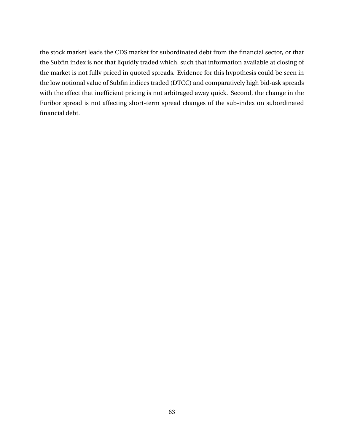the stock market leads the CDS market for subordinated debt from the financial sector, or that the Subfin index is not that liquidly traded which, such that information available at closing of the market is not fully priced in quoted spreads. Evidence for this hypothesis could be seen in the low notional value of Subfin indices traded (DTCC) and comparatively high bid-ask spreads with the effect that inefficient pricing is not arbitraged away quick. Second, the change in the Euribor spread is not affecting short-term spread changes of the sub-index on subordinated financial debt.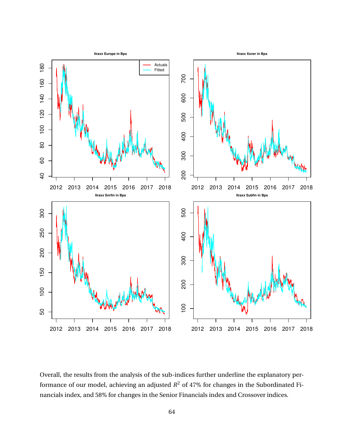

Overall, the results from the analysis of the sub-indices further underline the explanatory performance of our model, achieving an adjusted  $R^2$  of 47% for changes in the Subordinated Financials index, and 58% for changes in the Senior Financials index and Crossover indices.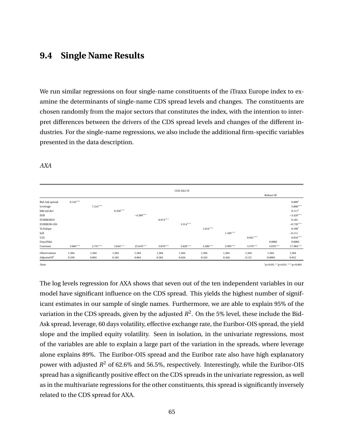# **9.4 Single Name Results**

We run similar regressions on four single-name constituents of the iTraxx Europe index to examine the determinants of single-name CDS spread levels and changes. The constituents are chosen randomly from the major sectors that constitutes the index, with the intention to interpret differences between the drivers of the CDS spread levels and changes of the different industries. For the single-name regressions, we also include the additional firm-specific variables presented in the data description.

|                       |            |            |            |             |            | CDS AXA 5Y |            |            |            |                                 |             |
|-----------------------|------------|------------|------------|-------------|------------|------------|------------|------------|------------|---------------------------------|-------------|
|                       |            |            |            |             |            |            |            |            |            | Robust SE                       |             |
| <b>Bid-Ask spread</b> | $0.143***$ |            |            |             |            |            |            |            |            |                                 | $0.009*$    |
| Leverage              |            | $7.214***$ |            |             |            |            |            |            |            |                                 | $5.868***$  |
| 60d std.dev           |            |            | $0.450***$ |             |            |            |            |            |            |                                 | $0.117*$    |
| EER                   |            |            |            | $-4.509***$ |            |            |            |            |            |                                 | $-3.429***$ |
| <b>EURIBOR5Y</b>      |            |            |            |             | $0.974***$ |            |            |            |            |                                 | 0.181       |
| <b>EURIBOR-OIS</b>    |            |            |            |             |            | $3.314***$ |            |            |            |                                 | $-0.739***$ |
| YLDslope              |            |            |            |             |            |            | $1.014***$ |            |            |                                 | $0.396*$    |
| Infl                  |            |            |            |             |            |            |            | $1.169***$ |            |                                 | $-0.111$    |
| V2X                   |            |            |            |             |            |            |            |            | $0.041***$ |                                 | $0.016***$  |
| Days2Mat              |            |            |            |             |            |            |            |            |            | 0.0002                          | 0.0002      |
| Constant              | $3.684***$ | $2.757***$ | $3.644***$ | 25.610***   | $3.870***$ | $3.628***$ | $3.286***$ | $2.995***$ | $3.579***$ | $4.019***$                      | 17.984***   |
| Observations          | 1,504      | 1,504      | 1,504      | 1,504       | 1,504      | 1,504      | 1,504      | 1,504      | 1,504      | 1,504                           | 1,504       |
| Adjusted $R^2$        | 0.339      | 0.894      | 0.185      | 0.064       | 0.565      | 0.626      | 0.343      | 0.456      | 0.131      | $-0.0003$                       | 0.952       |
| Note:                 |            |            |            |             |            |            |            |            |            | $p<0.05$ ; **p<0.01; ***p<0.001 |             |

*AXA*

The log levels regression for AXA shows that seven out of the ten independent variables in our model have significant influence on the CDS spread. This yields the highest number of significant estimates in our sample of single names. Furthermore, we are able to explain 95% of the variation in the CDS spreads, given by the adjusted  $R^2$ . On the 5% level, these include the Bid-Ask spread, leverage, 60 days volatility, effective exchange rate, the Euribor-OIS spread, the yield slope and the implied equity volatility. Seen in isolation, in the univariate regressions, most of the variables are able to explain a large part of the variation in the spreads, where leverage alone explains 89%. The Euribor-OIS spread and the Euribor rate also have high explanatory power with adjusted *R* <sup>2</sup> of 62.6% and 56.5%, respectively. Interestingly, while the Euribor-OIS spread has a significantly positive effect on the CDS spreads in the univariate regression, as well as in the multivariate regressions for the other constituents, this spread is significantly inversely related to the CDS spread for AXA.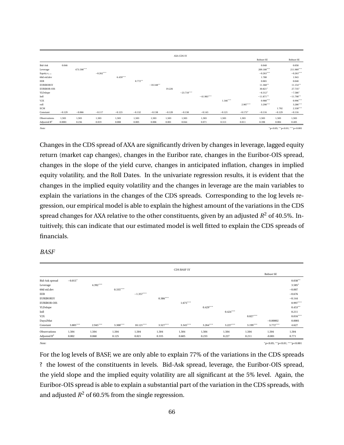|                         |          |            |             |            |           |             |          | AXA CDS 5Y   |              |            |            |             |          |             |
|-------------------------|----------|------------|-------------|------------|-----------|-------------|----------|--------------|--------------|------------|------------|-------------|----------|-------------|
|                         |          |            |             |            |           |             |          |              |              |            |            | Robust SE   |          | Robust SE   |
| Bid-Ask                 | 0.046    |            |             |            |           |             |          |              |              |            |            | 0.048       |          | 0.058       |
| Leverage                |          | 473.590*** |             |            |           |             |          |              |              |            |            | 209.180***  |          | 211.989***  |
| Equity $r_{t-1}$        |          |            | $-0.262***$ |            |           |             |          |              |              |            |            | $-0.263***$ |          | $-0.263***$ |
| 60d std.dev             |          |            |             | $6.459***$ |           |             |          |              |              |            |            | 1.780       |          | 1.943       |
| EER                     |          |            |             |            | $0.772**$ |             |          |              |              |            |            | 0.065       |          | 0.048       |
| <b>EURIBOR5Y</b>        |          |            |             |            |           | $-10.348**$ |          |              |              |            |            | $11.368**$  |          | $11.154***$ |
| <b>EURIBOR-OIS</b>      |          |            |             |            |           |             | 19.226   |              |              |            |            | 30.821*     |          | 27.735*     |
| YLDslope                |          |            |             |            |           |             |          | $-23.718***$ |              |            |            | $-8.312*$   |          | $-7.586*$   |
| Infl                    |          |            |             |            |           |             |          |              | $-41.983***$ |            |            | $-11.871**$ |          | $-11.798**$ |
| V2X                     |          |            |             |            |           |             |          |              |              | $1.346***$ |            | $0.988***$  |          | $0.996***$  |
| roll                    |          |            |             |            |           |             |          |              |              |            | $2.907***$ | $3.298***$  |          | $3.286***$  |
| ECM                     |          |            |             |            |           |             |          |              |              |            |            |             | 1.792    | $2.330***$  |
| Constant                | $-0.129$ | $-0.066$   | $-0.117$    | $-0.123$   | $-0.132$  | $-0.138$    | $-0.120$ | $-0.138$     | $-0.143$     | $-0.121$   | $-0.173*$  | $-0.116$    | $-0.129$ | $-0.116$    |
| Observations            | 1,503    | 1,503      | 1,503       | 1,503      | 1,503     | 1,503       | 1,503    | 1,503        | 1,503        | 1,503      | 1,503      | 1,503       | 1,503    | 1,503       |
| Adjusted $\mathbb{R}^2$ | 0.0001   | 0.236      | 0.019       | 0.008      | 0.005     | 0.006       | 0.001    | 0.044        | 0.071        | 0.313      | 0.011      | 0.398       | 0.004    | 0.405       |
|                         |          |            |             |            |           |             |          |              |              |            |            |             |          |             |

*Note:* <sup>∗</sup>p<0.05; ∗∗p<0.01; ∗∗∗p<0.001

Changes in the CDS spread of AXA are significantly driven by changes in leverage, lagged equity return (market cap changes), changes in the Euribor rate, changes in the Euribor-OIS spread, changes in the slope of the yield curve, changes in anticipated inflation, changes in implied equity volatility, and the Roll Dates. In the univariate regression results, it is evident that the changes in the implied equity volatility and the changes in leverage are the main variables to explain the variations in the changes of the CDS spreads. Corresponding to the log levels regression, our empirical model is able to explain the highest amount of the variations in the CDS spread changes for AXA relative to the other constituents, given by an adjusted  $R^2$  of 40.5%. Intuitively, this can indicate that our estimated model is well fitted to explain the CDS spreads of financials.

*BASF*

|                       |            |            |            |             |            | <b>CDS BASF 5Y</b> |            |            |            |                                       |            |
|-----------------------|------------|------------|------------|-------------|------------|--------------------|------------|------------|------------|---------------------------------------|------------|
|                       |            |            |            |             |            |                    |            |            |            | Robust SE                             |            |
| <b>Bid-Ask spread</b> | $-0.015*$  |            |            |             |            |                    |            |            |            |                                       | $0.038**$  |
| Leverage              |            | 4.392***   |            |             |            |                    |            |            |            |                                       | $3.585*$   |
| 60d std.dev           |            |            | $0.335***$ |             |            |                    |            |            |            |                                       | $-0.007$   |
| EER                   |            |            |            | $-1.357***$ |            |                    |            |            |            |                                       | $-0.676$   |
| <b>EURIBOR5Y</b>      |            |            |            |             | $0.386***$ |                    |            |            |            |                                       | $-0.144$   |
| <b>EURIBOR-OIS</b>    |            |            |            |             |            | $1.675***$         |            |            |            |                                       | $0.997***$ |
| YLDslope              |            |            |            |             |            |                    | $0.429***$ |            |            |                                       | $0.453***$ |
| Infl                  |            |            |            |             |            |                    |            | $0.424***$ |            |                                       | 0.211      |
| V2X                   |            |            |            |             |            |                    |            |            | $0.027***$ |                                       | $0.016***$ |
| Days2Mat              |            |            |            |             |            |                    |            |            |            | $-0.00002$                            | 0.0001     |
| Constant              | $3.805***$ | $2.945***$ | $3.300***$ | $10.121***$ | $3.527***$ | $3.345***$         | $3.264***$ | $3.227***$ | $3.199***$ | $3.772***$                            | 4.627      |
| Observations          | 1,504      | 1,504      | 1,504      | 1,504       | 1,504      | 1,504              | 1,504      | 1,504      | 1,504      | 1,504                                 | 1,504      |
| Adjusted $R^2$        | 0.002      | 0.060      | 0.125      | 0.021       | 0.335      | 0.605              | 0.233      | 0.227      | 0.211      | $-0.001$                              | 0.771      |
| Note:                 |            |            |            |             |            |                    |            |            |            | $"p<0.05;$ ** $p<0.01;$ *** $p<0.001$ |            |

For the log levels of BASF, we are only able to explain 77% of the variations in the CDS spreads ? the lowest of the constituents in levels. Bid-Ask spread, leverage, the Euribor-OIS spread, the yield slope and the implied equity volatility are all significant at the 5% level. Again, the Euribor-OIS spread is able to explain a substantial part of the variation in the CDS spreads, with and adjusted  $R^2$  of 60.5% from the single regression.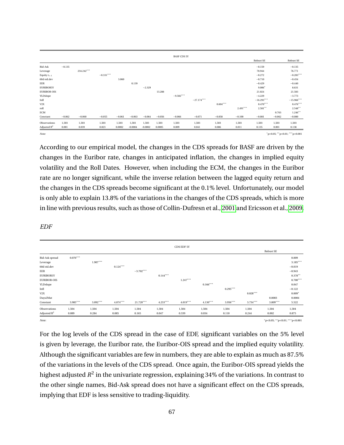|                         |          |            |             |          |           |           |          | <b>BASF CDS 5Y</b> |              |            |            |              |          |                               |
|-------------------------|----------|------------|-------------|----------|-----------|-----------|----------|--------------------|--------------|------------|------------|--------------|----------|-------------------------------|
|                         |          |            |             |          |           |           |          |                    |              |            |            | Robust SE    |          | Robust SE                     |
| Bid-Ask                 | $-0.135$ |            |             |          |           |           |          |                    |              |            |            | $-0.159$     |          | $-0.135$                      |
| Leverage                |          | 234.242*** |             |          |           |           |          |                    |              |            |            | 70.944       |          | 76.771                        |
| Equity $r_{t-1}$        |          |            | $-0.331***$ |          |           |           |          |                    |              |            |            | $-0.272$     |          | $-0.283***$                   |
| 60d std.dev             |          |            |             | 3.060    |           |           |          |                    |              |            |            | $-0.710$     |          | $-0.454$                      |
| EER                     |          |            |             |          | 0.139     |           |          |                    |              |            |            | $-0.429$     |          | $-0.440$                      |
| <b>EURIBOR5Y</b>        |          |            |             |          |           | $-2.329$  |          |                    |              |            |            | $9.006*$     |          | 8.631                         |
| <b>EURIBOR-OIS</b>      |          |            |             |          |           |           | 13.288   |                    |              |            |            | 21.024       |          | 21.583                        |
| YLDslope                |          |            |             |          |           |           |          | $-9.502***$        |              |            |            | $-4.229$     |          | $-3.773$                      |
| Infl                    |          |            |             |          |           |           |          |                    | $-27.174***$ |            |            | $-16.293***$ |          | $-15.966***$                  |
| V2X                     |          |            |             |          |           |           |          |                    |              | $0.604***$ |            | $0.470***$   |          | $0.476***$                    |
| roll                    |          |            |             |          |           |           |          |                    |              |            | $2.491***$ | $2.581**$    |          | $2.548**$                     |
| <b>ECM</b>              |          |            |             |          |           |           |          |                    |              |            |            |              | 0.763    | $1.246***$                    |
| Constant                | $-0.062$ | $-0.060$   | $-0.055$    | $-0.061$ | $-0.063$  | $-0.064$  | $-0.056$ | $-0.066$           | $-0.071$     | $-0.058$   | $-0.100$   | $-0.081$     | $-0.062$ | $-0.080$                      |
| Observations            | 1,503    | 1,503      | 1,503       | 1,503    | 1,503     | 1,503     | 1,503    | 1,503              | 1,503        | 1,503      | 1,503      | 1,503        | 1,503    | 1,503                         |
| Adjusted $\mathbb{R}^2$ | 0.001    | 0.039      | 0.023       | 0.0002   | $-0.0004$ | $-0.0002$ | 0.0005   | 0.009              | 0.041        | 0.086      | 0.011      | 0.135        | 0.001    | 0.138                         |
| Note:                   |          |            |             |          |           |           |          |                    |              |            |            |              |          | *p<0.05; **p<0.01; ***p<0.001 |

According to our empirical model, the changes in the CDS spreads for BASF are driven by the changes in the Euribor rate, changes in anticipated inflation, the changes in implied equity volatility and the Roll Dates. However, when including the ECM, the changes in the Euribor rate are no longer significant, while the inverse relation between the lagged equity return and the changes in the CDS spreads become significant at the 0.1% level. Unfortunately, our model is only able to explain 13.8% of the variations in the changes of the CDS spreads, which is more in line with previous results, such as those of Collin-Dufresn et al., [2001](#page-93-2) and Ericsson et al., [2009.](#page-94-0)

*EDF*

|                    |            |            |            |             |            | CDS EDF 5Y |            |            |            |                                       |            |
|--------------------|------------|------------|------------|-------------|------------|------------|------------|------------|------------|---------------------------------------|------------|
|                    |            |            |            |             |            |            |            |            |            | Robust SE                             |            |
| Bid-Ask spread     | $0.070***$ |            |            |             |            |            |            |            |            |                                       | 0.009      |
| Leverage           |            | $1.907***$ |            |             |            |            |            |            |            |                                       | $3.185***$ |
| 60d std.dev        |            |            | $0.124***$ |             |            |            |            |            |            |                                       | $-0.019$   |
| EER                |            |            |            | $-3.702***$ |            |            |            |            |            |                                       | $-0.943$   |
| <b>EURIBOR5Y</b>   |            |            |            |             | $0.144***$ |            |            |            |            |                                       | $0.378**$  |
| <b>EURIBOR-OIS</b> |            |            |            |             |            | $1.247***$ |            |            |            |                                       | $0.700***$ |
| YLDslope           |            |            |            |             |            |            | $0.166***$ |            |            |                                       | 0.047      |
| Infl               |            |            |            |             |            |            |            | $0.295***$ |            |                                       | $-0.122$   |
| V2X                |            |            |            |             |            |            |            |            | $0.028***$ |                                       | $0.009*$   |
| Days2Mat           |            |            |            |             |            |            |            |            |            | 0.0003                                | 0.0004     |
| Constant           | $3.985***$ | $3.092***$ | $4.074***$ | 21.720***   | $4.233***$ | $4.019***$ | $4.130***$ | $3.956***$ | $3.734***$ | $3.809***$                            | 5.522      |
| Observations       | 1,504      | 1,504      | 1,504      | 1,504       | 1,504      | 1,504      | 1,504      | 1,504      | 1,504      | 1,504                                 | 1,504      |
| Adjusted $R^2$     | 0.089      | 0.284      | 0.085      | 0.165       | 0.047      | 0.339      | 0.034      | 0.110      | 0.244      | 0.002                                 | 0.875      |
| Note:              |            |            |            |             |            |            |            |            |            | $"p<0.05;$ ** $p<0.01;$ *** $p<0.001$ |            |

For the log levels of the CDS spread in the case of EDF, significant variables on the 5% level is given by leverage, the Euribor rate, the Euribor-OIS spread and the implied equity volatility. Although the significant variables are few in numbers, they are able to explain as much as 87.5% of the variations in the levels of the CDS spread. Once again, the Euribor-OIS spread yields the highest adjusted  $R^2$  in the univariate regression, explaining 34% of the variations. In contrast to the other single names, Bid-Ask spread does not have a significant effect on the CDS spreads, implying that EDF is less sensitive to trading-liquidity.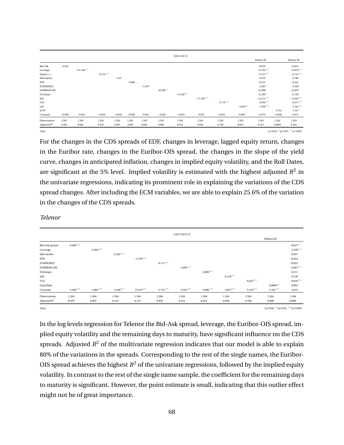|                         |          |            |             |          |          |           |          | EDF CDS 5Y   |              |            |            |              |           |              |
|-------------------------|----------|------------|-------------|----------|----------|-----------|----------|--------------|--------------|------------|------------|--------------|-----------|--------------|
|                         |          |            |             |          |          |           |          |              |              |            |            | Robust SE    |           | Robust SE    |
| Bid-Ask                 | $-0.024$ |            |             |          |          |           |          |              |              |            |            | $-0.019$     |           | $-0.014$     |
| Leverage                |          | 151.346*** |             |          |          |           |          |              |              |            |            | 73.194***    |           | 74.819***    |
| Equity $r_{t-1}$        |          |            | $-0.152***$ |          |          |           |          |              |              |            |            | $-0.141***$  |           | $-0.143***$  |
| 60d std.dev             |          |            |             | 1.347    |          |           |          |              |              |            |            | 0.879        |           | 0.788        |
| EER                     |          |            |             |          | 0.088    |           |          |              |              |            |            | $-0.355$     |           | $-0.345$     |
| <b>EURIBOR5Y</b>        |          |            |             |          |          | $-5.445*$ |          |              |              |            |            | $9.282*$     |           | $9.358*$     |
| <b>EURIBOR-OIS</b>      |          |            |             |          |          |           | 26.506** |              |              |            |            | 32.090*      |           | 32.025*      |
| YLDslope                |          |            |             |          |          |           |          | $-12.429***$ |              |            |            | $-6.390*$    |           | $-6.120*$    |
| Infl                    |          |            |             |          |          |           |          |              | $-27.538***$ |            |            | $-14.214***$ |           | $-13.944***$ |
| V2X                     |          |            |             |          |          |           |          |              |              | $0.719***$ |            | $0.564***$   |           | $0.571***$   |
| roll                    |          |            |             |          |          |           |          |              |              |            | $3.049***$ | $3.306***$   |           | $3.343***$   |
| ECM                     |          |            |             |          |          |           |          |              |              |            |            |              | 0.553     | $1.321*$     |
| Constant                | $-0.038$ | $-0.045$   | $-0.039$    | $-0.039$ | $-0.038$ | $-0.043$  | $-0.026$ | $-0.043$     | $-0.047$     | $-0.034$   | $-0.085$   | $-0.074$     | $-0.038$  | $-0.074$     |
| Observations            | 1,503    | 1,503      | 1,503       | 1,503    | 1,503    | 1,503     | 1,503    | 1,503        | 1,503        | 1,503      | 1,503      | 1,503        | 1,503     | 1,503        |
| Adjusted $\mathbb{R}^2$ | $-0.001$ | 0.083      | 0.016       | 0.001    | $-0.001$ | 0.003     | 0.006    | 0.022        | 0.058        | 0.169      | 0.023      | 0.253        | $-0.0001$ | 0.256        |
|                         |          |            |             |          |          |           |          |              |              |            |            |              |           |              |

*Note:* <sup>∗</sup>p<0.05; ∗∗p<0.01; ∗∗∗p<0.001

For the changes in the CDS spreads of EDF, changes in leverage, lagged equity return, changes in the Euribor rate, changes in the Euribor-OIS spread, the changes in the slope of the yield curve, changes in anticipated inflation, changes in implied equity volatility, and the Roll Dates, are significant at the 5% level. Implied volatility is estimated with the highest adjusted  $R^2$  in the univariate regressions, indicating its prominent role in explaining the variations of the CDS spread changes. After including the ECM variables, we are able to explain 25.6% of the variation in the changes of the CDS spreads.

#### *Telenor*

|                         |            |            |            |             |            | <b>CDS TELN 5Y</b> |            |            |            |                                       |            |
|-------------------------|------------|------------|------------|-------------|------------|--------------------|------------|------------|------------|---------------------------------------|------------|
|                         |            |            |            |             |            |                    |            |            |            | Robust SE                             |            |
| Bid-Ask spread          | $0.046***$ |            |            |             |            |                    |            |            |            |                                       | $0.037***$ |
| Leverage                |            | $0.563***$ |            |             |            |                    |            |            |            |                                       | $2.520***$ |
| 60d std.dev             |            |            | $0.262***$ |             |            |                    |            |            |            |                                       | 0.047      |
| EER                     |            |            |            | $-2.516***$ |            |                    |            |            |            |                                       | $-0.814$   |
| <b>EURIBOR5Y</b>        |            |            |            |             | $0.111***$ |                    |            |            |            |                                       | $-0.022$   |
| <b>EURIBOR-OIS</b>      |            |            |            |             |            | $1.049***$         |            |            |            |                                       | $0.697***$ |
| YLDslope                |            |            |            |             |            |                    | $0.096***$ |            |            |                                       | 0.211      |
| Infl                    |            |            |            |             |            |                    |            | $0.129***$ |            |                                       | 0.139      |
| V2X                     |            |            |            |             |            |                    |            |            | $0.025***$ |                                       | $0.018***$ |
| Days2Mat                |            |            |            |             |            |                    |            |            |            | $0.0003**$                            | $0.001*$   |
| Constant                | $3.582***$ | $3.661***$ | $3.448***$ | $15.619***$ | $3.731***$ | $3.545***$         | $3.686***$ | $3.637***$ | $3.276***$ | $3.181***$                            | 4.915      |
| Observations            | 1,504      | 1,504      | 1,504      | 1,504       | 1,504      | 1,504              | 1,504      | 1,504      | 1,504      | 1,504                                 | 1,504      |
| Adjusted $\mathbb{R}^2$ | 0.070      | 0.007      | 0.125      | 0.141       | 0.052      | 0.444              | 0.021      | 0.038      | 0.358      | 0.006                                 | 0.800      |
| Note:                   |            |            |            |             |            |                    |            |            |            | $"p<0.05;$ ** $p<0.01;$ *** $p<0.001$ |            |

In the log levels regression for Telenor the Bid-Ask spread, leverage, the Euribor-OIS spread, implied equity volatility and the remaining days to maturity, have significant influence on the CDS spreads. Adjusted  $R^2$  of the multivariate regression indicates that our model is able to explain 80% of the variations in the spreads. Corresponding to the rest of the single names, the Euribor-OIS spread achieves the highest  $R^2$  of the univariate regressions, followed by the implied equity volatility. In contrast to the rest of the single name sample, the coefficient for the remaining days to maturity is significant. However, the point estimate is small, indicating that this outlier effect might not be of great importance.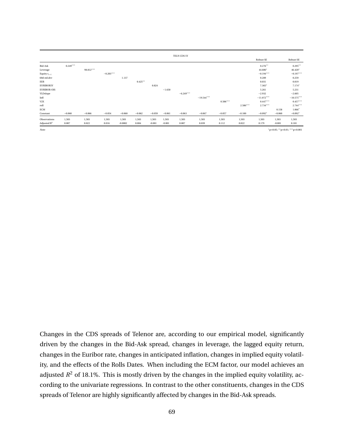|                    |            |           |             |           |            |          |          | TELN CDS 5Y |              |            |            |              |          |                                    |
|--------------------|------------|-----------|-------------|-----------|------------|----------|----------|-------------|--------------|------------|------------|--------------|----------|------------------------------------|
|                    |            |           |             |           |            |          |          |             |              |            |            | Robust SE    |          | Robust SE                          |
| Bid-Ask            | $0.249***$ |           |             |           |            |          |          |             |              |            |            | $0.276**$    |          | $0.295***$                         |
| Leverage           |            | 98.812*** |             |           |            |          |          |             |              |            |            | 44.606*      |          | $46.420*$                          |
| Equity $r_{t-1}$   |            |           | $-0.203***$ |           |            |          |          |             |              |            |            | $-0.194***$  |          | $-0.197***$                        |
| 60d std.dev        |            |           |             | 1.137     |            |          |          |             |              |            |            | 0.289        |          | 0.259                              |
| EER                |            |           |             |           | $0.425***$ |          |          |             |              |            |            | 0.031        |          | 0.019                              |
| <b>EURIBOR5Y</b>   |            |           |             |           |            | 0.824    |          |             |              |            |            | $7.365*$     |          | $7.174*$                           |
| <b>EURIBOR-OIS</b> |            |           |             |           |            |          | $-1.650$ |             |              |            |            | 5.261        |          | 5.231                              |
| YLDslope           |            |           |             |           |            |          |          | $-6.249***$ |              |            |            | $-2.932$     |          | $-2.605$                           |
| Infl               |            |           |             |           |            |          |          |             | $-19.544***$ |            |            | $-11.072***$ |          | $-10.575***$                       |
| V2X                |            |           |             |           |            |          |          |             |              | $0.506***$ |            | $0.447***$   |          | $0.457***$                         |
| roll               |            |           |             |           |            |          |          |             |              |            | $2.586***$ | $2.734***$   |          | $2.744***$                         |
| ECM                |            |           |             |           |            |          |          |             |              |            |            |              | 0.158    | $1.066*$                           |
| Constant           | $-0.060$   | $-0.066$  | $-0.054$    | $-0.060$  | $-0.062$   | $-0.059$ | $-0.061$ | $-0.063$    | $-0.067$     | $-0.057$   | $-0.100$   | $-0.092*$    | $-0.060$ | $-0.092*$                          |
| Observations       | 1,503      | 1,503     | 1,503       | 1,503     | 1,503      | 1,503    | 1,503    | 1,503       | 1,503        | 1,503      | 1,503      | 1,503        | 1,503    | 1,503                              |
| Adjusted $R^2$     | 0.007      | 0.022     | 0.016       | $-0.0002$ | 0.004      | $-0.001$ | $-0.001$ | 0.007       | 0.039        | 0.112      | 0.022      | 0.179        | $-0.001$ | 0.181                              |
| Note:              |            |           |             |           |            |          |          |             |              |            |            |              |          | $*$ p<0.05; ** p<0.01; *** p<0.001 |

Changes in the CDS spreads of Telenor are, according to our empirical model, significantly driven by the changes in the Bid-Ask spread, changes in leverage, the lagged equity return, changes in the Euribor rate, changes in anticipated inflation, changes in implied equity volatility, and the effects of the Rolls Dates. When including the ECM factor, our model achieves an adjusted  $R^2$  of 18.1%. This is mostly driven by the changes in the implied equity volatility, according to the univariate regressions. In contrast to the other constituents, changes in the CDS spreads of Telenor are highly significantly affected by changes in the Bid-Ask spreads.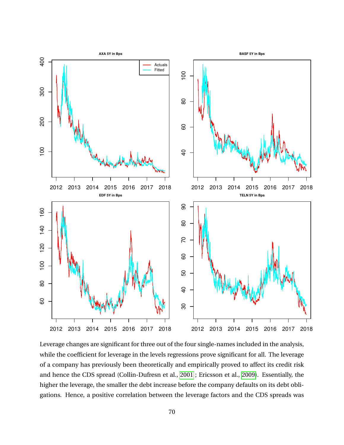

Leverage changes are significant for three out of the four single-names included in the analysis, while the coefficient for leverage in the levels regressions prove significant for all. The leverage of a company has previously been theoretically and empirically proved to affect its credit risk and hence the CDS spread (Collin-Dufresn et al., [2001](#page-93-2) ; Ericsson et al., [2009\)](#page-94-0). Essentially, the higher the leverage, the smaller the debt increase before the company defaults on its debt obligations. Hence, a positive correlation between the leverage factors and the CDS spreads was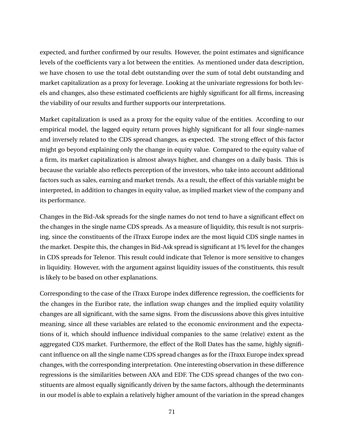expected, and further confirmed by our results. However, the point estimates and significance levels of the coefficients vary a lot between the entities. As mentioned under data description, we have chosen to use the total debt outstanding over the sum of total debt outstanding and market capitalization as a proxy for leverage. Looking at the univariate regressions for both levels and changes, also these estimated coefficients are highly significant for all firms, increasing the viability of our results and further supports our interpretations.

Market capitalization is used as a proxy for the equity value of the entities. According to our empirical model, the lagged equity return proves highly significant for all four single-names and inversely related to the CDS spread changes, as expected. The strong effect of this factor might go beyond explaining only the change in equity value. Compared to the equity value of a firm, its market capitalization is almost always higher, and changes on a daily basis. This is because the variable also reflects perception of the investors, who take into account additional factors such as sales, earning and market trends. As a result, the effect of this variable might be interpreted, in addition to changes in equity value, as implied market view of the company and its performance.

Changes in the Bid-Ask spreads for the single names do not tend to have a significant effect on the changes in the single name CDS spreads. As a measure of liquidity, this result is not surprising, since the constituents of the iTraxx Europe index are the most liquid CDS single names in the market. Despite this, the changes in Bid-Ask spread is significant at 1% level for the changes in CDS spreads for Telenor. This result could indicate that Telenor is more sensitive to changes in liquidity. However, with the argument against liquidity issues of the constituents, this result is likely to be based on other explanations.

Corresponding to the case of the iTraxx Europe index difference regression, the coefficients for the changes in the Euribor rate, the inflation swap changes and the implied equity volatility changes are all significant, with the same signs. From the discussions above this gives intuitive meaning, since all these variables are related to the economic environment and the expectations of it, which should influence individual companies to the same (relative) extent as the aggregated CDS market. Furthermore, the effect of the Roll Dates has the same, highly significant influence on all the single name CDS spread changes as for the iTraxx Europe index spread changes, with the corresponding interpretation. One interesting observation in these difference regressions is the similarities between AXA and EDF. The CDS spread changes of the two constituents are almost equally significantly driven by the same factors, although the determinants in our model is able to explain a relatively higher amount of the variation in the spread changes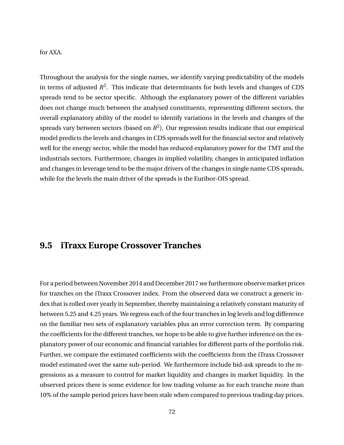#### for AXA.

Throughout the analysis for the single names, we identify varying predictability of the models in terms of adjusted  $R^2$ . This indicate that determinants for both levels and changes of CDS spreads tend to be sector specific. Although the explanatory power of the different variables does not change much between the analysed constituents, representing different sectors, the overall explanatory ability of the model to identify variations in the levels and changes of the spreads vary between sectors (based on  $R^2$ ). Our regression results indicate that our empirical model predicts the levels and changes in CDS spreads well for the financial sector and relatively well for the energy sector, while the model has reduced explanatory power for the TMT and the industrials sectors. Furthermore, changes in implied volatility, changes in anticipated inflation and changes in leverage tend to be the major drivers of the changes in single name CDS spreads, while for the levels the main driver of the spreads is the Euribor-OIS spread.

### **9.5 iTraxx Europe Crossover Tranches**

For a period between November 2014 and December 2017 we furthermore observe market prices for tranches on the iTraxx Crossover index. From the observed data we construct a generic index that is rolled over yearly in September, thereby maintaining a relatively constant maturity of between 5.25 and 4.25 years. We regress each of the four tranches in log levels and log difference on the familiar two sets of explanatory variables plus an error correction term. By comparing the coefficients for the different tranches, we hope to be able to give further inference on the explanatory power of our economic and financial variables for different parts of the portfolio risk. Further, we compare the estimated coefficients with the coefficients from the iTraxx Crossover model estimated over the same sub-period. We furthermore include bid-ask spreads to the regressions as a measure to control for market liquidity and changes in market liquidity. In the observed prices there is some evidence for low trading volume as for each tranche more than 10% of the sample period prices have been stale when compared to previous trading day prices.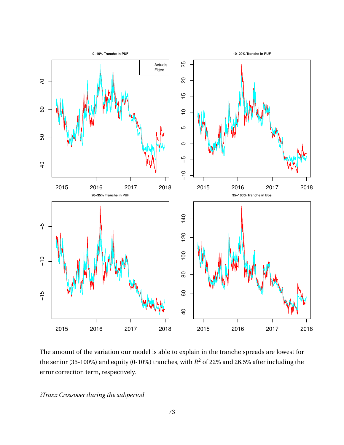

The amount of the variation our model is able to explain in the tranche spreads are lowest for the senior (35-100%) and equity (0-10%) tranches, with  $R^2$  of 22% and 26.5% after including the error correction term, respectively.

*iTraxx Crossover during the subperiod*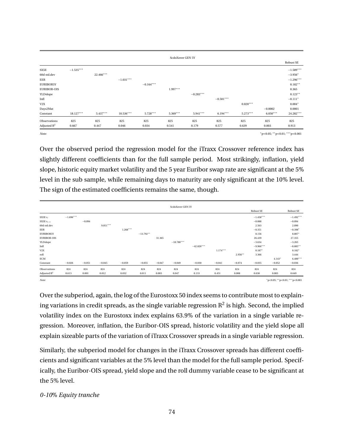|                    |             |           |             |             | ScdoXover GEN 5Y |             |             |            |            |             |
|--------------------|-------------|-----------|-------------|-------------|------------------|-------------|-------------|------------|------------|-------------|
|                    |             |           |             |             |                  |             |             |            |            | Robust SE   |
| SX5E               | $-1.535***$ |           |             |             |                  |             |             |            |            | $-1.589***$ |
| 60d std.dev        |             | 22.466*** |             |             |                  |             |             |            |            | $-3.956*$   |
| EER                |             |           | $-1.031***$ |             |                  |             |             |            |            | $-1.296***$ |
| <b>EURIBOR5Y</b>   |             |           |             | $-0.164***$ |                  |             |             |            |            | $0.182**$   |
| <b>EURIBOR-OIS</b> |             |           |             |             | $1.997***$       |             |             |            |            | 0.365       |
| YLDslope           |             |           |             |             |                  | $-0.283***$ |             |            |            | $0.123**$   |
| Infl               |             |           |             |             |                  |             | $-0.501***$ |            |            | $-0.111*$   |
| V2X                |             |           |             |             |                  |             |             | $0.020***$ |            | $0.004*$    |
| Days2Mat           |             |           |             |             |                  |             |             |            | $-0.0002$  | 0.0001      |
| Constant           | $18.127***$ | 5.437***  | 10.536***   | 5.728***    | $5.369***$       | $5.941***$  | $6.194***$  | $5.273***$ | $6.050***$ | 24.282***   |
| Observations       | 825         | 825       | 825         | 825         | 825              | 825         | 825         | 825        | 825        | 825         |
| Adjusted $R^2$     | 0.667       | 0.447     | 0.046       | 0.034       | 0.541            | 0.179       | 0.577       | 0.639      | 0.003      | 0.913       |

*Note:* <sup>∗</sup>p<0.05; ∗∗p<0.01; ∗∗∗p<0.001

Over the observed period the regression model for the iTraxx Crossover reference index has slightly different coefficients than for the full sample period. Most strikingly, inflation, yield slope, historic equity market volatility and the 5 year Euribor swap rate are significant at the 5% level in the sub sample, while remaining days to maturity are only significant at the 10% level. The sign of the estimated coefficients remains the same, though.

|                    |             |          |            |            |             |          | ScdoXover GEN 5Y |              |            |           |             |          |                                         |
|--------------------|-------------|----------|------------|------------|-------------|----------|------------------|--------------|------------|-----------|-------------|----------|-----------------------------------------|
|                    |             |          |            |            |             |          |                  |              |            |           | Robust SE   |          | Robust SE                               |
| SX5E $r_t$         | $-1.696***$ |          |            |            |             |          |                  |              |            |           | $-1.458***$ |          | $-1.492***$                             |
| SX5E $r_{t-1}$     |             | $-0.094$ |            |            |             |          |                  |              |            |           | $-0.088$    |          | $-0.094$                                |
| 60d std.dev        |             |          | $9.051***$ |            |             |          |                  |              |            |           | 2.563       |          | 2.090                                   |
| EER                |             |          |            | $1.268***$ |             |          |                  |              |            |           | $-0.351$    |          | $-0.398*$                               |
| <b>EURIBOR5Y</b>   |             |          |            |            | $-13.792**$ |          |                  |              |            |           | 8.156       |          | 8.807*                                  |
| <b>EURIBOR-OIS</b> |             |          |            |            |             | 31.365   |                  |              |            |           | 26.439      |          | 27.355                                  |
| YLDslope           |             |          |            |            |             |          | $-18.780***$     |              |            |           | $-3.634$    |          | $-3.265$                                |
| Infl               |             |          |            |            |             |          |                  | $-42.826***$ |            |           | $-9.966***$ |          | $-8.885**$                              |
| V2X                |             |          |            |            |             |          |                  |              | $1.174***$ |           | $0.187*$    |          | $0.182*$                                |
| roll               |             |          |            |            |             |          |                  |              |            | $2.956**$ | 3.366       |          | 3.444                                   |
| <b>ECM</b>         |             |          |            |            |             |          |                  |              |            |           |             | $4.143*$ | $6.400***$                              |
| Constant           | $-0.026$    | $-0.051$ | $-0.045$   | $-0.059$   | $-0.055$    | $-0.047$ | $-0.049$         | $-0.030$     | $-0.041$   | $-0.074$  | $-0.035$    | $-0.052$ | $-0.036$                                |
| Observations       | 824         | 824      | 824        | 824        | 824         | 824      | 824              | 824          | 824        | 824       | 824         | 824      | 824                                     |
| Adjusted $R^2$     | 0.613       | 0.001    | 0.012      | 0.032      | 0.011       | 0.003    | 0.047            | 0.133        | 0.451      | 0.008     | 0.638       | 0.003    | 0.649                                   |
| Note:              |             |          |            |            |             |          |                  |              |            |           |             |          | $n < 0.05$ : ** n < 0.01: *** n < 0.001 |

Over the subperiod, again, the log of the Eurostoxx 50 index seems to contribute most to explaining variations in credit spreads, as the single variable regression  $\mathbb{R}^2$  is high. Second, the implied volatility index on the Eurostoxx index explains 63.9% of the variation in a single variable regression. Moreover, inflation, the Euribor-OIS spread, historic volatility and the yield slope all explain sizeable parts of the variation of iTraxx Crossover spreads in a single variable regression.

Similarly, the subperiod model for changes in the iTraxx Crossover spreads has different coefficients and significant variables at the 5% level than the model for the full sample period. Specifically, the Euribor-OIS spread, yield slope and the roll dummy variable cease to be significant at the 5% level.

#### *0-10*% *Equity tranche*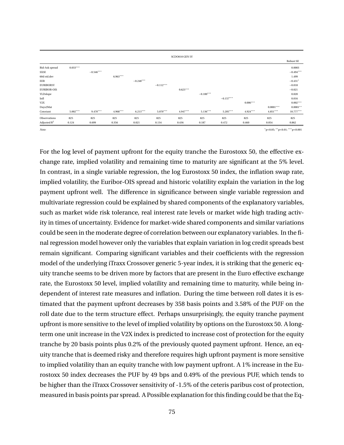|                       |            |             |            |             |             | SCDO010 GEN 5Y |             |             |            |             |             |
|-----------------------|------------|-------------|------------|-------------|-------------|----------------|-------------|-------------|------------|-------------|-------------|
|                       |            |             |            |             |             |                |             |             |            |             | Robust SE   |
| <b>Bid-Ask spread</b> | $0.033***$ |             |            |             |             |                |             |             |            |             | 0.0003      |
| SX5E                  |            | $-0.546***$ |            |             |             |                |             |             |            |             | $-0.494***$ |
| 60d std.dev           |            |             | 6.963***   |             |             |                |             |             |            |             | 1.499       |
| EER                   |            |             |            | $-0.248***$ |             |                |             |             |            |             | $-0.431*$   |
| <b>EURIBOR5Y</b>      |            |             |            |             | $-0.112***$ |                |             |             |            |             | $-0.018$    |
| <b>EURIBOR-OIS</b>    |            |             |            |             |             | $0.623***$     |             |             |            |             | $-0.021$    |
| YLDslope              |            |             |            |             |             |                | $-0.100***$ |             |            |             | 0.020       |
| Infl                  |            |             |            |             |             |                |             | $-0.157***$ |            |             | 0.016       |
| V2X                   |            |             |            |             |             |                |             |             | $0.006***$ |             | $0.002***$  |
| Days2Mat              |            |             |            |             |             |                |             |             |            | $0.0001***$ | $0.0001**$  |
| Constant              | $5.002***$ | $9.470***$  | $4.968***$ | $6.213***$  | $5.070***$  | $4.947***$     | $5.136***$  | 5.205***    | $4.924***$ | $4.851***$  | $10.777***$ |
| Observations          | 825        | 825         | 825        | 825         | 825         | 825            | 825         | 825         | 825        | 825         | 825         |
| Adjusted $R^2$        | 0.124      | 0.699       | 0.356      | 0.021       | 0.134       | 0.436          | 0.187       | 0.472       | 0.460      | 0.054       | 0.862       |

*Note:* <sup>∗</sup>p<0.05; ∗∗p<0.01; ∗∗∗p<0.001

For the log level of payment upfront for the equity tranche the Eurostoxx 50, the effective exchange rate, implied volatility and remaining time to maturity are significant at the 5% level. In contrast, in a single variable regression, the log Eurostoxx 50 index, the inflation swap rate, implied volatility, the Euribor-OIS spread and historic volatility explain the variation in the log payment upfront well. The difference in significance between single variable regression and multivariate regression could be explained by shared components of the explanatory variables, such as market wide risk tolerance, real interest rate levels or market wide high trading activity in times of uncertainty. Evidence for market-wide shared components and similar variations could be seen in the moderate degree of correlation between our explanatory variables. In the final regression model however only the variables that explain variation in log credit spreads best remain significant. Comparing significant variables and their coefficients with the regression model of the underlying iTraxx Crossover generic 5-year index, it is striking that the generic equity tranche seems to be driven more by factors that are present in the Euro effective exchange rate, the Eurostoxx 50 level, implied volatility and remaining time to maturity, while being independent of interest rate measures and inflation. During the time between roll dates it is estimated that the payment upfront decreases by 358 basis points and 3.58% of the PUF on the roll date due to the term structure effect. Perhaps unsurprisingly, the equity tranche payment upfront is more sensitive to the level of implied volatility by options on the Eurostoxx 50. A longterm one unit increase in the V2X index is predicted to increase cost of protection for the equity tranche by 20 basis points plus 0.2% of the previously quoted payment upfront. Hence, an equity tranche that is deemed risky and therefore requires high upfront payment is more sensitive to implied volatility than an equity tranche with low payment upfront. A 1% increase in the Eurostoxx 50 index decreases the PUF by 49 bps and 0.49% of the previous PUF, which tends to be higher than the iTraxx Crossover sensitivity of -1.5% of the ceteris paribus cost of protection, measured in basis points par spread. A Possible explanation for this finding could be that the Eq-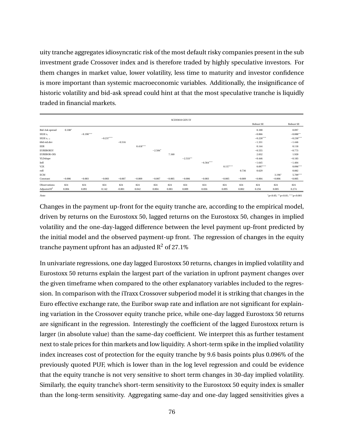uity tranche aggregates idiosyncratic risk of the most default risky companies present in the sub investment grade Crossover index and is therefore traded by highly speculative investors. For them changes in market value, lower volatility, less time to maturity and investor confidence is more important than systemic macroeconomic variables. Additionally, the insignificance of historic volatility and bid-ask spread could hint at that the most speculative tranche is liquidly traded in financial markets.

|                         |          |             |             |          |            |           |          | SCDO010 GEN 5Y |             |            |          |             |          |                                       |
|-------------------------|----------|-------------|-------------|----------|------------|-----------|----------|----------------|-------------|------------|----------|-------------|----------|---------------------------------------|
|                         |          |             |             |          |            |           |          |                |             |            |          | Robust SE   |          | Robust SE                             |
| <b>Bid-Ask spread</b>   | $0.108*$ |             |             |          |            |           |          |                |             |            |          | 0.100       |          | 0.097                                 |
| SX5E $r_t$              |          | $-0.190***$ |             |          |            |           |          |                |             |            |          | $-0.066$    |          | $-0.088**$                            |
| SX5E $r_{t-1}$          |          |             | $-0.237***$ |          |            |           |          |                |             |            |          | $-0.228***$ |          | $-0.230***$                           |
| 60d std.dev             |          |             |             | $-0.516$ |            |           |          |                |             |            |          | $-1.331$    |          | $-1.446$                              |
| EER                     |          |             |             |          | $0.418***$ |           |          |                |             |            |          | 0.144       |          | 0.118                                 |
| <b>EURIBOR5Y</b>        |          |             |             |          |            | $-2.584*$ |          |                |             |            |          | $-0.555$    |          | $-0.773$                              |
| <b>EURIBOR-OIS</b>      |          |             |             |          |            |           | 7.160    |                |             |            |          | 2.032       |          | 1.920                                 |
| YLDslope                |          |             |             |          |            |           |          | $-2.533**$     |             |            |          | $-0.446$    |          | $-0.183$                              |
| Infl                    |          |             |             |          |            |           |          |                | $-6.564***$ |            |          | $-1.645$    |          | $-1.404$                              |
| $_{\rm V2X}$            |          |             |             |          |            |           |          |                |             | $0.157***$ |          | $0.097***$  |          | $0.096***$                            |
| roll                    |          |             |             |          |            |           |          |                |             |            | 0.736    | 0.629       |          | 0.882                                 |
| <b>ECM</b>              |          |             |             |          |            |           |          |                |             |            |          |             | $3.196*$ | 5.709***                              |
| Constant                | $-0.006$ | $-0.003$    | $-0.003$    | $-0.007$ | $-0.009$   | $-0.007$  | $-0.005$ | $-0.006$       | $-0.003$    | $-0.005$   | $-0.009$ | $-0.004$    | $-0.006$ | $-0.005$                              |
| Observations            | 824      | 824         | 824         | 824      | 824        | 824       | 824      | 824            | 824         | 824        | 824      | 824         | 824      | 824                                   |
| Adjusted $\mathbb{R}^2$ | 0.004    | 0.091       | 0.142       | $-0.001$ | 0.042      | 0.004     | 0.001    | 0.009          | 0.036       | 0.095      | 0.002    | 0.256       | 0.005    | 0.274                                 |
| Note:                   |          |             |             |          |            |           |          |                |             |            |          |             |          | $"p<0.05;$ ** $p<0.01;$ *** $p<0.001$ |

Changes in the payment up-front for the equity tranche are, according to the empirical model, driven by returns on the Eurostoxx 50, lagged returns on the Eurostoxx 50, changes in implied volatility and the one-day-lagged difference between the level payment up-front predicted by the initial model and the observed payment-up front. The regression of changes in the equity tranche payment upfront has an adjusted  $R^2$  of 27.1%

In univariate regressions, one day lagged Eurostoxx 50 returns, changes in implied volatility and Eurostoxx 50 returns explain the largest part of the variation in upfront payment changes over the given timeframe when compared to the other explanatory variables included to the regression. In comparison with the iTraxx Crossover subperiod model it is striking that changes in the Euro effective exchange rate, the Euribor swap rate and inflation are not significant for explaining variation in the Crossover equity tranche price, while one-day lagged Eurostoxx 50 returns are significant in the regression. Interestingly the coefficient of the lagged Eurostoxx return is larger (in absolute value) than the same-day coefficient. We interpret this as further testament next to stale prices for thin markets and low liquidity. A short-term spike in the implied volatility index increases cost of protection for the equity tranche by 9.6 basis points plus 0.096% of the previously quoted PUF, which is lower than in the log level regression and could be evidence that the equity tranche is not very sensitive to short term changes in 30-day implied volatility. Similarly, the equity tranche's short-term sensitivity to the Eurostoxx 50 equity index is smaller than the long-term sensitivity. Aggregating same-day and one-day lagged sensitivities gives a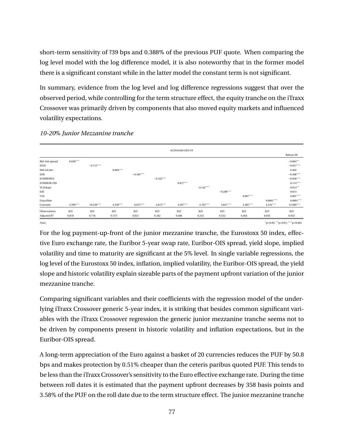short-term sensitivity of ?39 bps and 0.388% of the previous PUF quote. When comparing the log level model with the log difference model, it is also noteworthy that in the former model there is a significant constant while in the latter model the constant term is not significant.

In summary, evidence from the log level and log difference regressions suggest that over the observed period, while controlling for the term structure effect, the equity tranche on the iTraxx Crossover was primarily driven by components that also moved equity markets and influenced volatility expectations.

|                         |            |             |            |             |             | SCDO1020 GEN 5Y |             |             |            |             |                                   |
|-------------------------|------------|-------------|------------|-------------|-------------|-----------------|-------------|-------------|------------|-------------|-----------------------------------|
|                         |            |             |            |             |             |                 |             |             |            |             | Robust SE                         |
| <b>Bid-Ask spread</b>   | $0.038***$ |             |            |             |             |                 |             |             |            |             | $-0.004**$                        |
| SX5E                    |            | $-0.715***$ |            |             |             |                 |             |             |            |             | $-0.657***$                       |
| 60d std.dev             |            |             | $8.869***$ |             |             |                 |             |             |            |             | 0.402                             |
| EER                     |            |             |            | $-0.305***$ |             |                 |             |             |            |             | $-0.508***$                       |
| <b>EURIBOR5Y</b>        |            |             |            |             | $-0.162***$ |                 |             |             |            |             | $-0.028***$                       |
| <b>EURIBOR-OIS</b>      |            |             |            |             |             | $0.817***$      |             |             |            |             | $0.114***$                        |
| YLDslope                |            |             |            |             |             |                 | $-0.142***$ |             |            |             | $0.014***$                        |
| Infl                    |            |             |            |             |             |                 |             | $-0.208***$ |            |             | 0.014                             |
| V2X                     |            |             |            |             |             |                 |             |             | $0.007***$ |             | $0.001***$                        |
| Days2Mat                |            |             |            |             |             |                 |             |             |            | $0.0001***$ | $0.0001***$                       |
| Constant                | $4.599***$ | $10.430***$ | $4.538***$ | $6.072***$  | $4.672***$  | $4.507***$      | $4.763***$  | $4.847***$  | $4.485***$ | $4.416***$  | 12.060***                         |
| Observations            | 825        | 825         | 825        | 825         | 825         | 825             | 825         | 825         | 825        | 825         | 825                               |
| Adjusted $\mathbb{R}^2$ | 0.078      | 0.776       | 0.373      | 0.021       | 0.182       | 0.486           | 0.242       | 0.532       | 0.465      | 0.045       | 0.923                             |
| Note:                   |            |             |            |             |             |                 |             |             |            |             | $p<0.05$ ; ** p<0.01; *** p<0.001 |

#### *10-20*% *Junior Mezzanine tranche*

For the log payment-up-front of the junior mezzanine tranche, the Eurostoxx 50 index, effective Euro exchange rate, the Euribor 5-year swap rate, Euribor-OIS spread, yield slope, implied volatility and time to maturity are significant at the 5% level. In single variable regressions, the log level of the Eurostoxx 50 index, inflation, implied volatility, the Euribor-OIS spread, the yield slope and historic volatility explain sizeable parts of the payment upfront variation of the junior mezzanine tranche.

Comparing significant variables and their coefficients with the regression model of the underlying iTraxx Crossover generic 5-year index, it is striking that besides common significant variables with the iTraxx Crossover regression the generic junior mezzanine tranche seems not to be driven by components present in historic volatility and inflation expectations, but in the Euribor-OIS spread.

A long-term appreciation of the Euro against a basket of 20 currencies reduces the PUF by 50.8 bps and makes protection by 0.51% cheaper than the ceteris paribus quoted PUF. This tends to be less than the iTraxx Crossover's sensitivity to the Euro effective exchange rate. During the time between roll dates it is estimated that the payment upfront decreases by 358 basis points and 3.58% of the PUF on the roll date due to the term structure effect. The junior mezzanine tranche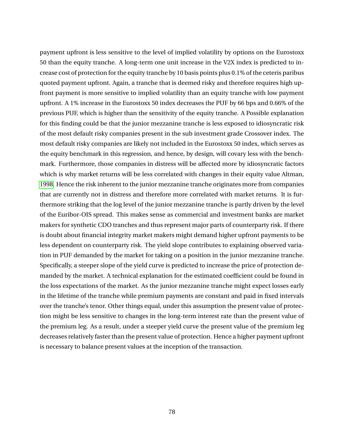payment upfront is less sensitive to the level of implied volatility by options on the Eurostoxx 50 than the equity tranche. A long-term one unit increase in the V2X index is predicted to increase cost of protection for the equity tranche by 10 basis points plus 0.1% of the ceteris paribus quoted payment upfront. Again, a tranche that is deemed risky and therefore requires high upfront payment is more sensitive to implied volatility than an equity tranche with low payment upfront. A 1% increase in the Eurostoxx 50 index decreases the PUF by 66 bps and 0.66% of the previous PUF, which is higher than the sensitivity of the equity tranche. A Possible explanation for this finding could be that the junior mezzanine tranche is less exposed to idiosyncratic risk of the most default risky companies present in the sub investment grade Crossover index. The most default risky companies are likely not included in the Eurostoxx 50 index, which serves as the equity benchmark in this regression, and hence, by design, will covary less with the benchmark. Furthermore, those companies in distress will be affected more by idiosyncratic factors which is why market returns will be less correlated with changes in their equity value Altman, [1998.](#page-93-0) Hence the risk inherent to the junior mezzanine tranche originates more from companies that are currently not in distress and therefore more correlated with market returns. It is furthermore striking that the log level of the junior mezzanine tranche is partly driven by the level of the Euribor-OIS spread. This makes sense as commercial and investment banks are market makers for synthetic CDO tranches and thus represent major parts of counterparty risk. If there is doubt about financial integrity market makers might demand higher upfront payments to be less dependent on counterparty risk. The yield slope contributes to explaining observed variation in PUF demanded by the market for taking on a position in the junior mezzanine tranche. Specifically, a steeper slope of the yield curve is predicted to increase the price of protection demanded by the market. A technical explanation for the estimated coefficient could be found in the loss expectations of the market. As the junior mezzanine tranche might expect losses early in the lifetime of the tranche while premium payments are constant and paid in fixed intervals over the tranche's tenor. Other things equal, under this assumption the present value of protection might be less sensitive to changes in the long-term interest rate than the present value of the premium leg. As a result, under a steeper yield curve the present value of the premium leg decreases relatively faster than the present value of protection. Hence a higher payment upfront is necessary to balance present values at the inception of the transaction.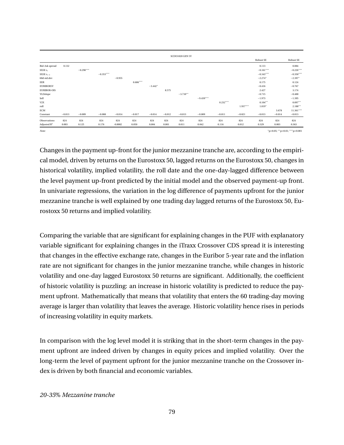|                       |          |             |             |           |            |           |          | SCDO1020 GEN 5Y |             |            |            |                  |          |             |
|-----------------------|----------|-------------|-------------|-----------|------------|-----------|----------|-----------------|-------------|------------|------------|------------------|----------|-------------|
|                       |          |             |             |           |            |           |          |                 |             |            |            | <b>Robust SE</b> |          | Robust SE   |
| <b>Bid-Ask spread</b> | 0.132    |             |             |           |            |           |          |                 |             |            |            | 0.113            |          | 0.084       |
| SX5E $r_t$            |          | $-0.298***$ |             |           |            |           |          |                 |             |            |            | $-0.161***$      |          | $-0.226***$ |
| SX5E $r_{t-1}$        |          |             | $-0.353***$ |           |            |           |          |                 |             |            |            | $-0.343***$      |          | $-0.350***$ |
| 60d std.dev           |          |             |             | $-0.955$  |            |           |          |                 |             |            |            | $-2.274*$        |          | $-2.397*$   |
| EER                   |          |             |             |           | $0.606***$ |           |          |                 |             |            |            | 0.175            |          | 0.124       |
| <b>EURIBOR5Y</b>      |          |             |             |           |            | $-3.442*$ |          |                 |             |            |            | $-0.416$         |          | $-0.767$    |
| <b>EURIBOR-OIS</b>    |          |             |             |           |            |           | 8.575    |                 |             |            |            | 2.427            |          | 3.174       |
| YLDslope              |          |             |             |           |            |           |          | $-3.710**$      |             |            |            | $-0.715$         |          | $-0.400$    |
| Infl                  |          |             |             |           |            |           |          |                 | $-9.439***$ |            |            | $-1.973$         |          | $-1.395$    |
| V2X                   |          |             |             |           |            |           |          |                 |             | $0.232***$ |            | $0.104**$        |          | $0.097**$   |
| roll                  |          |             |             |           |            |           |          |                 |             |            | $1.937***$ | $1.819*$         |          | $2.188**$   |
| ECM                   |          |             |             |           |            |           |          |                 |             |            |            |                  | 3.678    | $11.361***$ |
| Constant              | $-0.013$ | $-0.009$    | $-0.008$    | $-0.014$  | $-0.017$   | $-0.014$  | $-0.012$ | $-0.013$        | $-0.009$    | $-0.011$   | $-0.021$   | $-0.013$         | $-0.014$ | $-0.013$    |
| Observations          | 824      | 824         | 824         | 824       | 824        | 824       | 824      | 824             | 824         | 824        | 824        | 824              | 824      | 824         |
| Adjusted $R^2$        | 0.003    | 0.125       | 0.176       | $-0.0002$ | 0.050      | 0.004     | 0.001    | 0.011           | 0.042       | 0.116      | 0.012      | 0.329            | 0.003    | 0.363       |

*Note:* <sup>∗</sup>p<0.05; ∗∗p<0.01; ∗∗∗p<0.001

Changes in the payment up-front for the junior mezzanine tranche are, according to the empirical model, driven by returns on the Eurostoxx 50, lagged returns on the Eurostoxx 50, changes in historical volatility, implied volatility, the roll date and the one-day-lagged difference between the level payment up-front predicted by the initial model and the observed payment-up front. In univariate regressions, the variation in the log difference of payments upfront for the junior mezzanine tranche is well explained by one trading day lagged returns of the Eurostoxx 50, Eurostoxx 50 returns and implied volatility.

Comparing the variable that are significant for explaining changes in the PUF with explanatory variable significant for explaining changes in the iTraxx Crossover CDS spread it is interesting that changes in the effective exchange rate, changes in the Euribor 5-year rate and the inflation rate are not significant for changes in the junior mezzanine tranche, while changes in historic volatility and one-day lagged Eurostoxx 50 returns are significant. Additionally, the coefficient of historic volatility is puzzling: an increase in historic volatility is predicted to reduce the payment upfront. Mathematically that means that volatility that enters the 60 trading-day moving average is larger than volatility that leaves the average. Historic volatility hence rises in periods of increasing volatility in equity markets.

In comparison with the log level model it is striking that in the short-term changes in the payment upfront are indeed driven by changes in equity prices and implied volatility. Over the long-term the level of payment upfront for the junior mezzanine tranche on the Crossover index is driven by both financial and economic variables.

#### *20-35*% *Mezzanine tranche*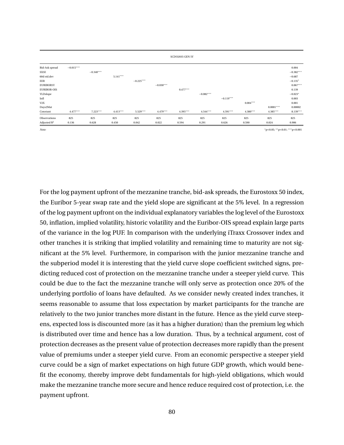|                       |             |             |            |             |             | SCDO2035 GEN 5Y |             |             |            |                                       |             |
|-----------------------|-------------|-------------|------------|-------------|-------------|-----------------|-------------|-------------|------------|---------------------------------------|-------------|
| <b>Bid-Ask spread</b> | $-0.015***$ |             |            |             |             |                 |             |             |            |                                       | 0.004       |
| SX5E                  |             | $-0.340***$ |            |             |             |                 |             |             |            |                                       | $-0.382***$ |
| 60d std.dev           |             |             | $5.141***$ |             |             |                 |             |             |            |                                       | $-0.687$    |
| EER                   |             |             |            | $-0.225***$ |             |                 |             |             |            |                                       | $-0.135*$   |
| EURIBOR5Y             |             |             |            |             | $-0.030***$ |                 |             |             |            |                                       | $0.067***$  |
| <b>EURIBOR-OIS</b>    |             |             |            |             |             | $0.477***$      |             |             |            |                                       | 0.139       |
| YLDslope              |             |             |            |             |             |                 | $-0.082***$ |             |            |                                       | $-0.023*$   |
| Infl                  |             |             |            |             |             |                 |             | $-0.119***$ |            |                                       | 0.003       |
| V2X                   |             |             |            |             |             |                 |             |             | $0.004***$ |                                       | 0.001       |
| Days2Mat              |             |             |            |             |             |                 |             |             |            | $0.0001***$                           | 0.00002     |
| Constant              | $4.477***$  | $7.223***$  | $4.413***$ | $5.529***$  | $4.479***$  | 4.395***        | $4.544***$  | $4.591***$  | $4.380***$ | $4.385***$                            | $8.139***$  |
| Observations          | 825         | 825         | 825        | 825         | 825         | 825             | 825         | 825         | 825        | 825                                   | 825         |
| Adjusted $R^2$        | 0.136       | 0.628       | 0.450      | 0.042       | 0.022       | 0.594           | 0.291       | 0.626       | 0.590      | 0.024                                 | 0.906       |
| Note:                 |             |             |            |             |             |                 |             |             |            | $*n<0.05$ , $**n<0.01$ , $***n<0.001$ |             |

For the log payment upfront of the mezzanine tranche, bid-ask spreads, the Eurostoxx 50 index, the Euribor 5-year swap rate and the yield slope are significant at the 5% level. In a regression of the log payment upfront on the individual explanatory variables the log level of the Eurostoxx 50, inflation, implied volatility, historic volatility and the Euribor-OIS spread explain large parts of the variance in the log PUF. In comparison with the underlying iTraxx Crossover index and other tranches it is striking that implied volatility and remaining time to maturity are not significant at the 5% level. Furthermore, in comparison with the junior mezzanine tranche and the subperiod model it is interesting that the yield curve slope coefficient switched signs, predicting reduced cost of protection on the mezzanine tranche under a steeper yield curve. This could be due to the fact the mezzanine tranche will only serve as protection once 20% of the underlying portfolio of loans have defaulted. As we consider newly created index tranches, it seems reasonable to assume that loss expectation by market participants for the tranche are relatively to the two junior tranches more distant in the future. Hence as the yield curve steepens, expected loss is discounted more (as it has a higher duration) than the premium leg which is distributed over time and hence has a low duration. Thus, by a technical argument, cost of protection decreases as the present value of protection decreases more rapidly than the present value of premiums under a steeper yield curve. From an economic perspective a steeper yield curve could be a sign of market expectations on high future GDP growth, which would benefit the economy, thereby improve debt fundamentals for high-yield obligations, which would make the mezzanine tranche more secure and hence reduce required cost of protection, i.e. the payment upfront.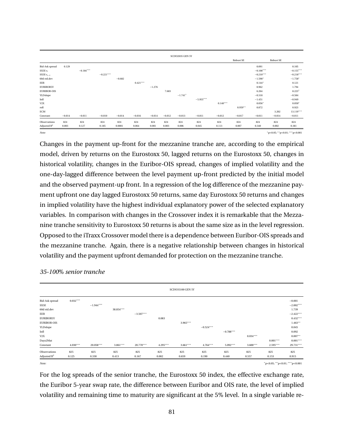|                    |          |             |             |          |            |          |          | SCDO2035 GEN 5Y |             |            |           |             |                                              |             |
|--------------------|----------|-------------|-------------|----------|------------|----------|----------|-----------------|-------------|------------|-----------|-------------|----------------------------------------------|-------------|
|                    |          |             |             |          |            |          |          |                 |             |            | Robust SE |             | Robust SE                                    |             |
| Bid-Ask spread     | 0.129    |             |             |          |            |          |          |                 |             |            |           | 0.091       |                                              | 0.105       |
| SX5E $r_t$         |          | $-0.184***$ |             |          |            |          |          |                 |             |            |           | $-0.108***$ |                                              | $-0.155***$ |
| SX5E $r_{t-1}$     |          |             | $-0.221***$ |          |            |          |          |                 |             |            |           | $-0.210***$ |                                              | $-0.218***$ |
| 60d std.dev        |          |             |             | $-0.682$ |            |          |          |                 |             |            |           | $-1.598*$   |                                              | $-1.758*$   |
| EER                |          |             |             |          | $0.421***$ |          |          |                 |             |            |           | $0.144*$    |                                              | 0.121       |
| <b>EURIBOR5Y</b>   |          |             |             |          |            | $-1.276$ |          |                 |             |            |           | 0.962       |                                              | 1.794       |
| <b>EURIBOR-OIS</b> |          |             |             |          |            |          | 7.683    |                 |             |            |           | 6.264       |                                              | 8.223*      |
| YLDslope           |          |             |             |          |            |          |          | $-1.741*$       |             |            |           | $-0.318$    |                                              | $-0.584$    |
| Infl               |          |             |             |          |            |          |          |                 | $-5.955***$ |            |           | $-1.451$    |                                              | $-0.949$    |
| V2X                |          |             |             |          |            |          |          |                 |             | $0.140***$ |           | $0.056*$    |                                              | $0.050*$    |
| roll               |          |             |             |          |            |          |          |                 |             |            | $0.959**$ | 0.872       |                                              | 0.923       |
| ECM                |          |             |             |          |            |          |          |                 |             |            |           |             | 3.202                                        | 13.119***   |
| Constant           | $-0.014$ | $-0.011$    | $-0.010$    | $-0.014$ | $-0.016$   | $-0.014$ | $-0.012$ | $-0.013$        | $-0.011$    | $-0.012$   | $-0.017$  | $-0.011$    | $-0.014$                                     | $-0.011$    |
| Observations       | 824      | 824         | 824         | 824      | 824        | 824      | 824      | 824             | 824         | 824        | 824       | 824         | 824                                          | 824         |
| Adjusted $R^2$     | 0.003    | 0.127       | 0.185       | 0.0001   | 0.064      | 0.001    | 0.003    | 0.006           | 0.045       | 0.113      | 0.007     | 0.340       | 0.002                                        | 0.381       |
| Note:              |          |             |             |          |            |          |          |                 |             |            |           |             | $n < 0.05$ : ** n $< 0.01$ : *** n $< 0.001$ |             |

Changes in the payment up-front for the mezzanine tranche are, according to the empirical model, driven by returns on the Eurostoxx 50, lagged returns on the Eurostoxx 50, changes in historical volatility, changes in the Euribor-OIS spread, changes of implied volatility and the one-day-lagged difference between the level payment up-front predicted by the initial model and the observed payment-up front. In a regression of the log difference of the mezzanine payment upfront one day lagged Eurostoxx 50 returns, same day Eurostoxx 50 returns and changes in implied volatility have the highest individual explanatory power of the selected explanatory variables. In comparison with changes in the Crossover index it is remarkable that the Mezzanine tranche sensitivity to Eurostoxx 50 returns is about the same size as in the level regression. Opposed to the iTraxx Crossover model there is a dependence between Euribor-OIS spreads and the mezzanine tranche. Again, there is a negative relationship between changes in historical volatility and the payment upfront demanded for protection on the mezzanine tranche.

|                       |            |             |            |             |            | <b>SCDO35100 GEN 5Y</b> |             |             |            |                                     |             |
|-----------------------|------------|-------------|------------|-------------|------------|-------------------------|-------------|-------------|------------|-------------------------------------|-------------|
| <b>Bid-Ask spread</b> | $0.032***$ |             |            |             |            |                         |             |             |            |                                     | $-0.001$    |
| SX5E                  |            | $-1.944***$ |            |             |            |                         |             |             |            |                                     | $-2.002***$ |
| 60d std.dev           |            |             | 38.854***  |             |            |                         |             |             |            |                                     | 1.739       |
| EER                   |            |             |            | $-3.507***$ |            |                         |             |             |            |                                     | $-2.422***$ |
| <b>EURIBOR5Y</b>      |            |             |            |             | 0.083      |                         |             |             |            |                                     | $0.432***$  |
| <b>EURIBOR-OIS</b>    |            |             |            |             |            | 3.965***                |             |             |            |                                     | $1.463**$   |
| YLDslope              |            |             |            |             |            |                         | $-0.524***$ |             |            |                                     | 0.045       |
| Infl                  |            |             |            |             |            |                         |             | $-0.788***$ |            |                                     | 0.092       |
| V2X                   |            |             |            |             |            |                         |             |             | $0.034***$ |                                     | $0.007***$  |
| Days2Mat              |            |             |            |             |            |                         |             |             |            | $0.001***$                          | $0.001***$  |
| Constant              | $4.030***$ | 20.058***   | $3.861***$ | 20.770***   | $4.295***$ | $3.661***$              | $4.764***$  | $5.092***$  | $3.600***$ | $2.595***$                          | 29.731***   |
| Observations          | 825        | 825         | 825        | 825         | 825        | 825                     | 825         | 825         | 825        | 825                                 | 825         |
| Adjusted $R^2$        | 0.125      | 0.330       | 0.413      | 0.167       | 0.002      | 0.659                   | 0.190       | 0.440       | 0.557      | 0.153                               | 0.915       |
| Note:                 |            |             |            |             |            |                         |             |             |            | $*p<0.05$ ; $*p<0.01$ ; $**p<0.001$ |             |

*35-100*% *senior tranche*

For the log spreads of the senior tranche, the Eurostoxx 50 index, the effective exchange rate, the Euribor 5-year swap rate, the difference between Euribor and OIS rate, the level of implied volatility and remaining time to maturity are significant at the 5% level. In a single variable re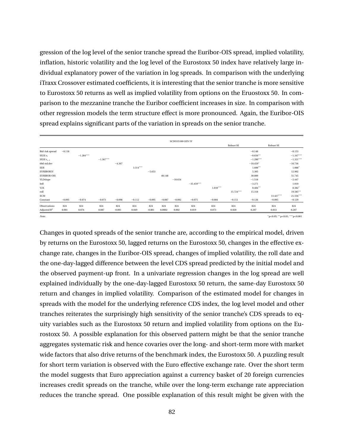gression of the log level of the senior tranche spread the Euribor-OIS spread, implied volatility, inflation, historic volatility and the log level of the Eurostoxx 50 index have relatively large individual explanatory power of the variation in log spreads. In comparison with the underlying iTraxx Crossover estimated coefficients, it is interesting that the senior tranche is more sensitive to Eurostoxx 50 returns as well as implied volatility from options on the Eruostoxx 50. In comparison to the mezzanine tranche the Euribor coefficient increases in size. In comparison with other regression models the term structure effect is more pronounced. Again, the Euribor-OIS spread explains significant parts of the variation in spreads on the senior tranche.

|                    |          |             |             |          |            |          |          | <b>SCDO35100 GEN 5Y</b> |              |            |           |             |                                       |             |
|--------------------|----------|-------------|-------------|----------|------------|----------|----------|-------------------------|--------------|------------|-----------|-------------|---------------------------------------|-------------|
|                    |          |             |             |          |            |          |          |                         |              |            | Robust SE |             | Robust SE                             |             |
| Bid-Ask spread     | $-0.118$ |             |             |          |            |          |          |                         |              |            |           | $-0.148$    |                                       | $-0.153$    |
| SX5E $r_t$         |          | $-1.284***$ |             |          |            |          |          |                         |              |            |           | $-0.656**$  |                                       | $-1.167***$ |
| SX5E $r_{t-1}$     |          |             | $-1.367***$ |          |            |          |          |                         |              |            |           | $-1.280***$ |                                       | $-1.321***$ |
| 60d std.dev        |          |             |             | $-4.367$ |            |          |          |                         |              |            |           | $-10.459*$  |                                       | $-10.736$   |
| EER                |          |             |             |          | $3.314***$ |          |          |                         |              |            |           | $1.600**$   |                                       | $1.088*$    |
| <b>EURIBOR5Y</b>   |          |             |             |          |            | $-5.653$ |          |                         |              |            |           | 5.305       |                                       | 12.902      |
| <b>EURIBOR-OIS</b> |          |             |             |          |            |          | 40.148   |                         |              |            |           | 30.089      |                                       | 51.745      |
| YLDslope           |          |             |             |          |            |          |          | $-10.654$               |              |            |           | $-1.518$    |                                       | $-2.447$    |
| Infl               |          |             |             |          |            |          |          |                         | $-35.459***$ |            |           | $-3.271$    |                                       | 1.010       |
| V2X                |          |             |             |          |            |          |          |                         |              | $1.010***$ |           | $0.484**$   |                                       | $0.382*$    |
| roll               |          |             |             |          |            |          |          |                         |              |            | 15.724*** | 15.318      |                                       | 19.585**    |
| ECM                |          |             |             |          |            |          |          |                         |              |            |           |             | 13.427***                             | $21.556***$ |
| Constant           | $-0.095$ | $-0.074$    | $-0.073$    | $-0.098$ | $-0.112$   | $-0.095$ | $-0.087$ | $-0.092$                | $-0.075$     | $-0.084$   | $-0.151$  | $-0.126$    | $-0.095$                              | $-0.129$    |
| Observations       | 824      | 824         | 824         | 824      | 824        | 824      | 824      | 824                     | 824          | 824        | 824       | 824         | 824                                   | 824         |
| Adjusted $R^2$     | 0.001    | 0.076       | 0.087       | $-0.001$ | 0.049      | $-0.001$ | 0.0002   | 0.002                   | 0.019        | 0.073      | 0.028     | 0.207       | 0.033                                 | 0.287       |
| Note:              |          |             |             |          |            |          |          |                         |              |            |           |             | $"p<0.05;$ ** $p<0.01;$ *** $p<0.001$ |             |

Changes in quoted spreads of the senior tranche are, according to the empirical model, driven by returns on the Eurostoxx 50, lagged returns on the Eurostoxx 50, changes in the effective exchange rate, changes in the Euribor-OIS spread, changes of implied volatility, the roll date and the one-day-lagged difference between the level CDS spread predicted by the initial model and the observed payment-up front. In a univariate regression changes in the log spread are well explained individually by the one-day-lagged Eurostoxx 50 return, the same-day Eurostoxx 50 return and changes in implied volatility. Comparison of the estimated model for changes in spreads with the model for the underlying reference CDS index, the log level model and other tranches reiterates the surprisingly high sensitivity of the senior tranche's CDS spreads to equity variables such as the Eurostoxx 50 return and implied volatility from options on the Eurostoxx 50. A possible explanation for this observed pattern might be that the senior tranche aggregates systematic risk and hence covaries over the long- and short-term more with market wide factors that also drive returns of the benchmark index, the Eurostoxx 50. A puzzling result for short term variation is observed with the Euro effective exchange rate. Over the short term the model suggests that Euro appreciation against a currency basket of 20 foreign currencies increases credit spreads on the tranche, while over the long-term exchange rate appreciation reduces the tranche spread. One possible explanation of this result might be given with the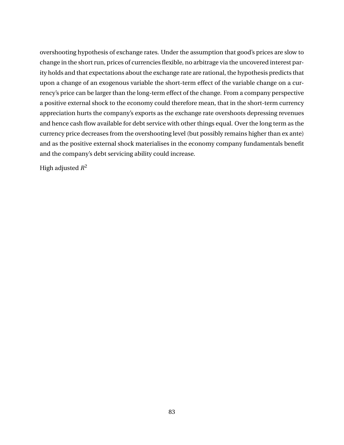overshooting hypothesis of exchange rates. Under the assumption that good's prices are slow to change in the short run, prices of currencies flexible, no arbitrage via the uncovered interest parity holds and that expectations about the exchange rate are rational, the hypothesis predicts that upon a change of an exogenous variable the short-term effect of the variable change on a currency's price can be larger than the long-term effect of the change. From a company perspective a positive external shock to the economy could therefore mean, that in the short-term currency appreciation hurts the company's exports as the exchange rate overshoots depressing revenues and hence cash flow available for debt service with other things equal. Over the long term as the currency price decreases from the overshooting level (but possibly remains higher than ex ante) and as the positive external shock materialises in the economy company fundamentals benefit and the company's debt servicing ability could increase.

High adjusted *R* 2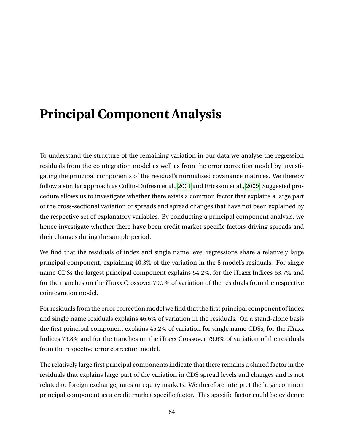## **Principal Component Analysis**

To understand the structure of the remaining variation in our data we analyse the regression residuals from the cointegration model as well as from the error correction model by investigating the principal components of the residual's normalised covariance matrices. We thereby follow a similar approach as Collin-Dufresn et al., [2001](#page-93-1) and Ericsson et al., [2009.](#page-94-0) Suggested procedure allows us to investigate whether there exists a common factor that explains a large part of the cross-sectional variation of spreads and spread changes that have not been explained by the respective set of explanatory variables. By conducting a principal component analysis, we hence investigate whether there have been credit market specific factors driving spreads and their changes during the sample period.

We find that the residuals of index and single name level regressions share a relatively large principal component, explaining 40.3% of the variation in the 8 model's residuals. For single name CDSs the largest principal component explains 54.2%, for the iTraxx Indices 63.7% and for the tranches on the iTraxx Crossover 70.7% of variation of the residuals from the respective cointegration model.

For residuals from the error correction model we find that the first principal component of index and single name residuals explains 46.6% of variation in the residuals. On a stand-alone basis the first principal component explains 45.2% of variation for single name CDSs, for the iTraxx Indices 79.8% and for the tranches on the iTraxx Crossover 79.6% of variation of the residuals from the respective error correction model.

The relatively large first principal components indicate that there remains a shared factor in the residuals that explains large part of the variation in CDS spread levels and changes and is not related to foreign exchange, rates or equity markets. We therefore interpret the large common principal component as a credit market specific factor. This specific factor could be evidence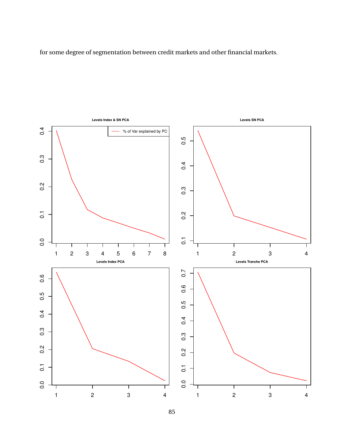for some degree of segmentation between credit markets and other financial markets.



85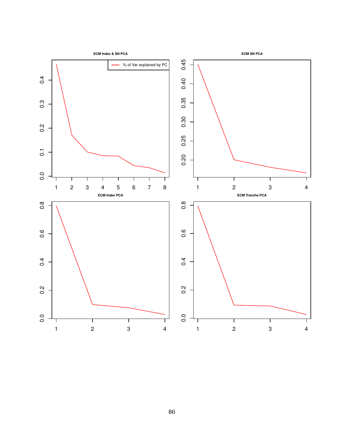

86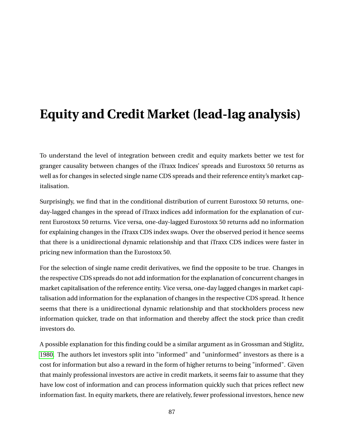# **Equity and Credit Market (lead-lag analysis)**

To understand the level of integration between credit and equity markets better we test for granger causality between changes of the iTraxx Indices' spreads and Eurostoxx 50 returns as well as for changes in selected single name CDS spreads and their reference entity's market capitalisation.

Surprisingly, we find that in the conditional distribution of current Eurostoxx 50 returns, oneday-lagged changes in the spread of iTraxx indices add information for the explanation of current Eurostoxx 50 returns. Vice versa, one-day-lagged Eurostoxx 50 returns add no information for explaining changes in the iTraxx CDS index swaps. Over the observed period it hence seems that there is a unidirectional dynamic relationship and that iTraxx CDS indices were faster in pricing new information than the Eurostoxx 50.

For the selection of single name credit derivatives, we find the opposite to be true. Changes in the respective CDS spreads do not add information for the explanation of concurrent changes in market capitalisation of the reference entity. Vice versa, one-day lagged changes in market capitalisation add information for the explanation of changes in the respective CDS spread. It hence seems that there is a unidirectional dynamic relationship and that stockholders process new information quicker, trade on that information and thereby affect the stock price than credit investors do.

A possible explanation for this finding could be a similar argument as in Grossman and Stiglitz, [1980.](#page-94-1) The authors let investors split into "informed" and "uninformed" investors as there is a cost for information but also a reward in the form of higher returns to being "informed". Given that mainly professional investors are active in credit markets, it seems fair to assume that they have low cost of information and can process information quickly such that prices reflect new information fast. In equity markets, there are relatively, fewer professional investors, hence new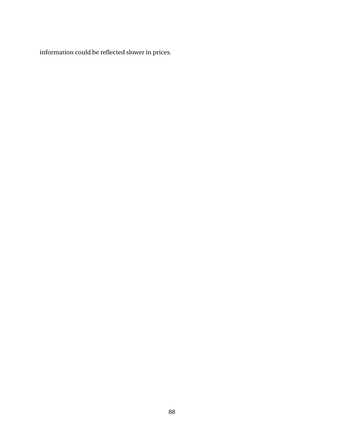information could be reflected slower in prices.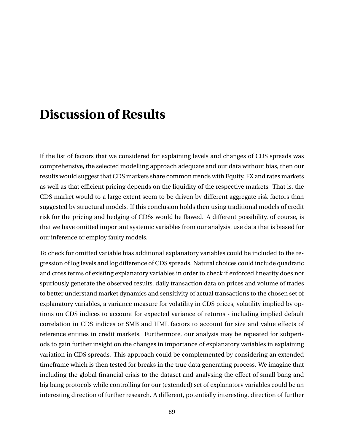## **Discussion of Results**

If the list of factors that we considered for explaining levels and changes of CDS spreads was comprehensive, the selected modelling approach adequate and our data without bias, then our results would suggest that CDS markets share common trends with Equity, FX and rates markets as well as that efficient pricing depends on the liquidity of the respective markets. That is, the CDS market would to a large extent seem to be driven by different aggregate risk factors than suggested by structural models. If this conclusion holds then using traditional models of credit risk for the pricing and hedging of CDSs would be flawed. A different possibility, of course, is that we have omitted important systemic variables from our analysis, use data that is biased for our inference or employ faulty models.

To check for omitted variable bias additional explanatory variables could be included to the regression of log levels and log difference of CDS spreads. Natural choices could include quadratic and cross terms of existing explanatory variables in order to check if enforced linearity does not spuriously generate the observed results, daily transaction data on prices and volume of trades to better understand market dynamics and sensitivity of actual transactions to the chosen set of explanatory variables, a variance measure for volatility in CDS prices, volatility implied by options on CDS indices to account for expected variance of returns - including implied default correlation in CDS indices or SMB and HML factors to account for size and value effects of reference entities in credit markets. Furthermore, our analysis may be repeated for subperiods to gain further insight on the changes in importance of explanatory variables in explaining variation in CDS spreads. This approach could be complemented by considering an extended timeframe which is then tested for breaks in the true data generating process. We imagine that including the global financial crisis to the dataset and analysing the effect of small bang and big bang protocols while controlling for our (extended) set of explanatory variables could be an interesting direction of further research. A different, potentially interesting, direction of further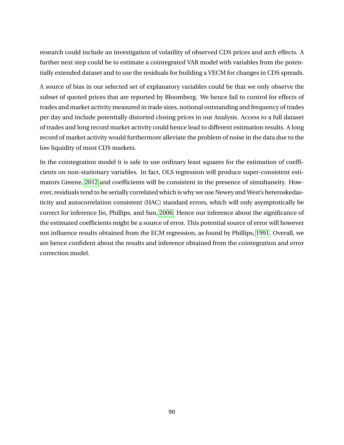research could include an investigation of volatility of observed CDS prices and arch effects. A further next step could be to estimate a cointegrated VAR model with variables from the potentially extended dataset and to use the residuals for building a VECM for changes in CDS spreads.

A source of bias in our selected set of explanatory variables could be that we only observe the subset of quoted prices that are reported by Bloomberg. We hence fail to control for effects of trades and market activity measured in trade sizes, notional outstanding and frequency of trades per day and include potentially distorted closing prices in our Analysis. Access to a full dataset of trades and long record market activity could hence lead to different estimation results. A long record of market activity would furthermore alleviate the problem of noise in the data due to the low liquidity of most CDS markets.

In the cointegration model it is safe to use ordinary least squares for the estimation of coefficients on non-stationary variables. In fact, OLS regression will produce super-consistent estimators Greene, [2012](#page-94-2) and coefficients will be consistent in the presence of simultaneity. However, residuals tend to be serially correlated which is why we use Newey and West's heteroskedasticity and autocorrelation consistent (HAC) standard errors, which will only asymptotically be correct for inference Jin, Phillips, and Sun, [2006.](#page-94-3) Hence our inference about the significance of the estimated coefficients might be a source of error. This potential source of error will however not influence results obtained from the ECM regression, as found by Phillips, [1991.](#page-95-0) Overall, we are hence confident about the results and inference obtained from the cointegration and error correction model.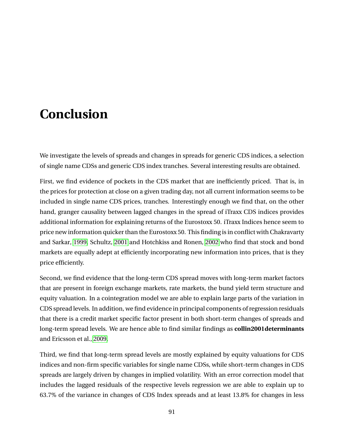## **Conclusion**

We investigate the levels of spreads and changes in spreads for generic CDS indices, a selection of single name CDSs and generic CDS index tranches. Several interesting results are obtained.

First, we find evidence of pockets in the CDS market that are inefficiently priced. That is, in the prices for protection at close on a given trading day, not all current information seems to be included in single name CDS prices, tranches. Interestingly enough we find that, on the other hand, granger causality between lagged changes in the spread of iTraxx CDS indices provides additional information for explaining returns of the Eurostoxx 50. iTraxx Indices hence seem to price new information quicker than the Eurostoxx 50. This finding is in conflict with Chakravarty and Sarkar, [1999,](#page-93-2) Schultz, [2001](#page-95-1) and Hotchkiss and Ronen, [2002](#page-94-4) who find that stock and bond markets are equally adept at efficiently incorporating new information into prices, that is they price efficiently.

Second, we find evidence that the long-term CDS spread moves with long-term market factors that are present in foreign exchange markets, rate markets, the bund yield term structure and equity valuation. In a cointegration model we are able to explain large parts of the variation in CDS spread levels. In addition, we find evidence in principal components of regression residuals that there is a credit market specific factor present in both short-term changes of spreads and long-term spread levels. We are hence able to find similar findings as **collin2001determinants** and Ericsson et al., [2009.](#page-94-0)

Third, we find that long-term spread levels are mostly explained by equity valuations for CDS indices and non-firm specific variables for single name CDSs, while short-term changes in CDS spreads are largely driven by changes in implied volatility. With an error correction model that includes the lagged residuals of the respective levels regression we are able to explain up to 63.7% of the variance in changes of CDS Index spreads and at least 13.8% for changes in less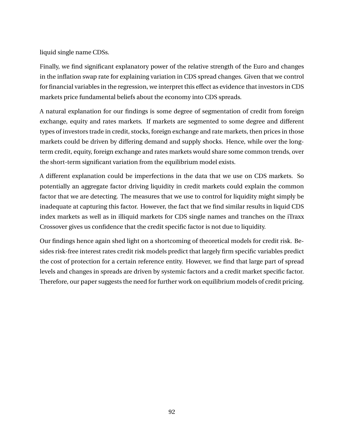liquid single name CDSs.

Finally, we find significant explanatory power of the relative strength of the Euro and changes in the inflation swap rate for explaining variation in CDS spread changes. Given that we control for financial variables in the regression, we interpret this effect as evidence that investors in CDS markets price fundamental beliefs about the economy into CDS spreads.

A natural explanation for our findings is some degree of segmentation of credit from foreign exchange, equity and rates markets. If markets are segmented to some degree and different types of investors trade in credit, stocks, foreign exchange and rate markets, then prices in those markets could be driven by differing demand and supply shocks. Hence, while over the longterm credit, equity, foreign exchange and rates markets would share some common trends, over the short-term significant variation from the equilibrium model exists.

A different explanation could be imperfections in the data that we use on CDS markets. So potentially an aggregate factor driving liquidity in credit markets could explain the common factor that we are detecting. The measures that we use to control for liquidity might simply be inadequate at capturing this factor. However, the fact that we find similar results in liquid CDS index markets as well as in illiquid markets for CDS single names and tranches on the iTraxx Crossover gives us confidence that the credit specific factor is not due to liquidity.

Our findings hence again shed light on a shortcoming of theoretical models for credit risk. Besides risk-free interest rates credit risk models predict that largely firm specific variables predict the cost of protection for a certain reference entity. However, we find that large part of spread levels and changes in spreads are driven by systemic factors and a credit market specific factor. Therefore, our paper suggests the need for further work on equilibrium models of credit pricing.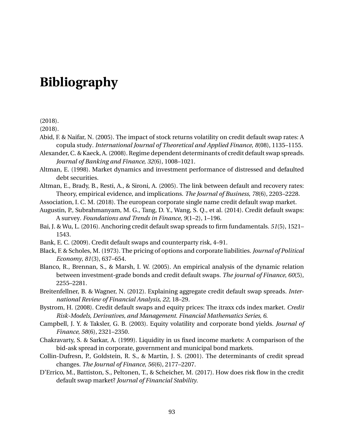## **Bibliography**

(2018).

(2018).

- Abid, F. & Naifar, N. (2005). The impact of stock returns volatility on credit default swap rates: A copula study. *International Journal of Theoretical and Applied Finance*, *8*(08), 1135–1155.
- Alexander, C. & Kaeck, A. (2008). Regime dependent determinants of credit default swap spreads. *Journal of Banking and Finance*, *32*(6), 1008–1021.
- <span id="page-93-0"></span>Altman, E. (1998). Market dynamics and investment performance of distressed and defaulted debt securities.
- Altman, E., Brady, B., Resti, A., & Sironi, A. (2005). The link between default and recovery rates: Theory, empirical evidence, and implications. *The Journal of Business*, *78*(6), 2203–2228.
- Association, I. C. M. (2018). The european corporate single name credit default swap market.
- Augustin, P., Subrahmanyam, M. G., Tang, D. Y., Wang, S. Q., et al. (2014). Credit default swaps: A survey. *Foundations and Trends in Finance*, *9*(1–2), 1–196.
- Bai, J. & Wu, L. (2016). Anchoring credit default swap spreads to firm fundamentals. *51*(5), 1521– 1543.
- Bank, E. C. (2009). Credit default swaps and counterparty risk, 4–91.
- Black, F. & Scholes, M. (1973). The pricing of options and corporate liabilities. *Journal of Political Economy*, *81*(3), 637–654.
- Blanco, R., Brennan, S., & Marsh, I. W. (2005). An empirical analysis of the dynamic relation between investment-grade bonds and credit default swaps. *The journal of Finance*, *60*(5), 2255–2281.
- Breitenfellner, B. & Wagner, N. (2012). Explaining aggregate credit default swap spreads. *International Review of Financial Analysis*, *22*, 18–29.
- Bystrom, H. (2008). Credit default swaps and equity prices: The itraxx cds index market. *Credit Risk-Models, Derivatives, and Management. Financial Mathematics Series*, *6*.
- Campbell, J. Y. & Taksler, G. B. (2003). Equity volatility and corporate bond yields. *Journal of Finance*, *58*(6), 2321–2350.
- <span id="page-93-2"></span>Chakravarty, S. & Sarkar, A. (1999). Liquidity in us fixed income markets: A comparison of the bid-ask spread in corporate, government and municipal bond markets.
- <span id="page-93-1"></span>Collin-Dufresn, P., Goldstein, R. S., & Martin, J. S. (2001). The determinants of credit spread changes. *The Journal of Finance*, *56*(6), 2177–2207.
- D'Errico, M., Battiston, S., Peltonen, T., & Scheicher, M. (2017). How does risk flow in the credit default swap market? *Journal of Financial Stability*.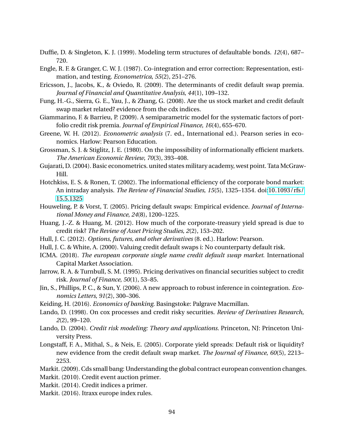Duffie, D. & Singleton, K. J. (1999). Modeling term structures of defaultable bonds. *12*(4), 687– 720.

- Engle, R. F. & Granger, C. W. J. (1987). Co-integration and error correction: Representation, estimation, and testing. *Econometrica*, *55*(2), 251–276.
- <span id="page-94-0"></span>Ericsson, J., Jacobs, K., & Oviedo, R. (2009). The determinants of credit default swap premia. *Journal of Financial and Quantitative Analysis*, *44*(1), 109–132.
- Fung, H.-G., Sierra, G. E., Yau, J., & Zhang, G. (2008). Are the us stock market and credit default swap market related? evidence from the cdx indices.
- Giammarino, F. & Barrieu, P. (2009). A semiparametric model for the systematic factors of portfolio credit risk premia. *Journal of Empirical Finance*, *16*(4), 655–670.
- <span id="page-94-2"></span>Greene, W. H. (2012). *Econometric analysis* (7. ed., International ed.). Pearson series in economics. Harlow: Pearson Education.
- <span id="page-94-1"></span>Grossman, S. J. & Stiglitz, J. E. (1980). On the impossibility of informationally efficient markets. *The American Economic Review*, *70*(3), 393–408.
- Gujarati, D. (2004). Basic econometrics. united states military academy, west point. Tata McGraw-Hill.
- <span id="page-94-4"></span>Hotchkiss, E. S. & Ronen, T. (2002). The informational efficiency of the corporate bond market: An intraday analysis. *The Review of Financial Studies*, *15*(5), 1325–1354. doi[:10.1093/rfs/](https://dx.doi.org/10.1093/rfs/15.5.1325) [15.5.1325](https://dx.doi.org/10.1093/rfs/15.5.1325)
- Houweling, P. & Vorst, T. (2005). Pricing default swaps: Empirical evidence. *Journal of International Money and Finance*, *24*(8), 1200–1225.
- Huang, J.-Z. & Huang, M. (2012). How much of the corporate-treasury yield spread is due to credit risk? *The Review of Asset Pricing Studies*, *2*(2), 153–202.
- Hull, J. C. (2012). *Options, futures, and other derivatives* (8. ed.). Harlow: Pearson.
- Hull, J. C. & White, A. (2000). Valuing credit default swaps i: No counterparty default risk.
- ICMA. (2018). *The european corporate single name credit default swap market*. International Capital Market Association.
- Jarrow, R. A. & Turnbull, S. M. (1995). Pricing derivatives on financial securities subject to credit risk. *Journal of Finance*, *50*(1), 53–85.
- <span id="page-94-3"></span>Jin, S., Phillips, P. C., & Sun, Y. (2006). A new approach to robust inference in cointegration. *Economics Letters*, *91*(2), 300–306.
- Keiding, H. (2016). *Economics of banking*. Basingstoke: Palgrave Macmillan.
- Lando, D. (1998). On cox processes and credit risky securities. *Review of Derivatives Research*, *2*(2), 99–120.
- Lando, D. (2004). *Credit risk modeling: Theory and applications*. Princeton, NJ: Princeton University Press.
- Longstaff, F. A., Mithal, S., & Neis, E. (2005). Corporate yield spreads: Default risk or liquidity? new evidence from the credit default swap market. *The Journal of Finance*, *60*(5), 2213– 2253.
- Markit. (2009). Cds small bang: Understanding the global contract european convention changes. Markit. (2010). Credit event auction primer.
- Markit. (2014). Credit indices a primer.
- Markit. (2016). Itraxx europe index rules.